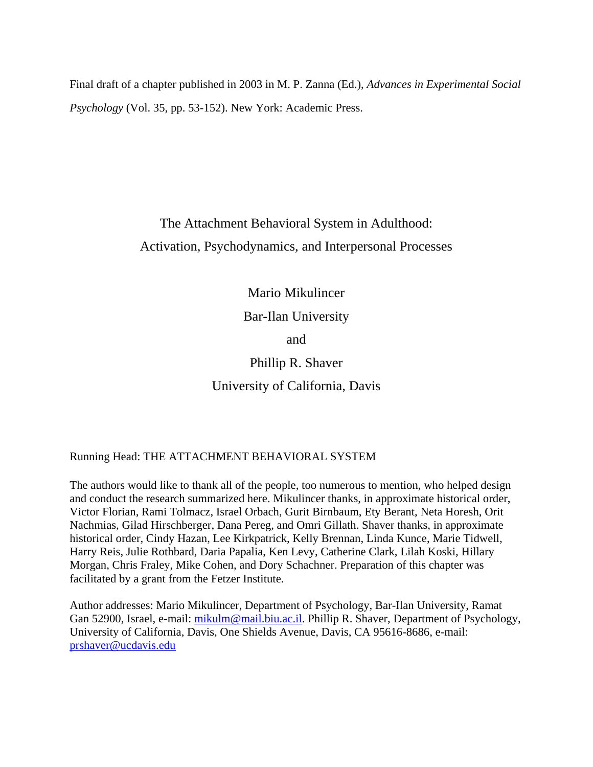Final draft of a chapter published in 2003 in M. P. Zanna (Ed.), *Advances in Experimental Social Psychology* (Vol. 35, pp. 53-152). New York: Academic Press.

> The Attachment Behavioral System in Adulthood: Activation, Psychodynamics, and Interpersonal Processes

> > Mario Mikulincer Bar-Ilan University and Phillip R. Shaver University of California, Davis

Running Head: THE ATTACHMENT BEHAVIORAL SYSTEM

The authors would like to thank all of the people, too numerous to mention, who helped design and conduct the research summarized here. Mikulincer thanks, in approximate historical order, Victor Florian, Rami Tolmacz, Israel Orbach, Gurit Birnbaum, Ety Berant, Neta Horesh, Orit Nachmias, Gilad Hirschberger, Dana Pereg, and Omri Gillath. Shaver thanks, in approximate historical order, Cindy Hazan, Lee Kirkpatrick, Kelly Brennan, Linda Kunce, Marie Tidwell, Harry Reis, Julie Rothbard, Daria Papalia, Ken Levy, Catherine Clark, Lilah Koski, Hillary Morgan, Chris Fraley, Mike Cohen, and Dory Schachner. Preparation of this chapter was facilitated by a grant from the Fetzer Institute.

Author addresses: Mario Mikulincer, Department of Psychology, Bar-Ilan University, Ramat Gan 52900, Israel, e-mail: [mikulm@mail.biu.ac.il](mailto:mikulm@mail.biu.ac.il). Phillip R. Shaver, Department of Psychology, University of California, Davis, One Shields Avenue, Davis, CA 95616-8686, e-mail: prshaver@ucdavis.edu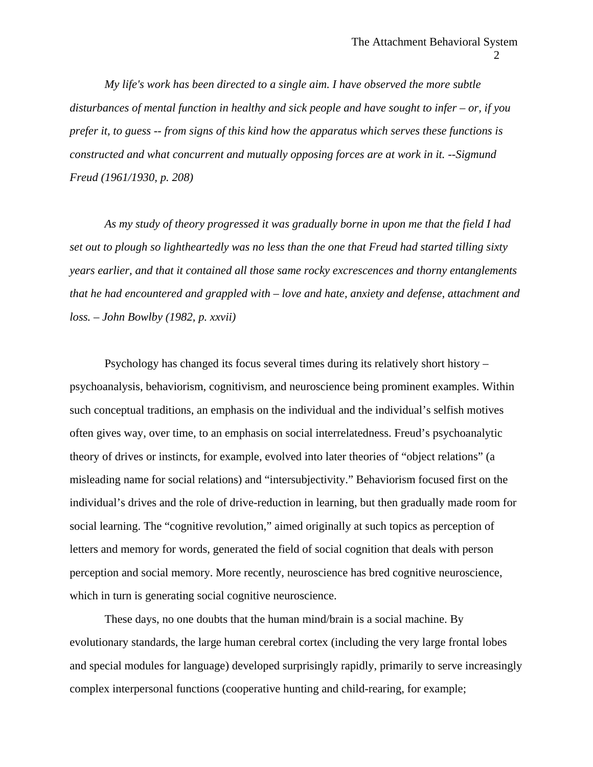*My life's work has been directed to a single aim. I have observed the more subtle disturbances of mental function in healthy and sick people and have sought to infer – or, if you prefer it, to guess -- from signs of this kind how the apparatus which serves these functions is constructed and what concurrent and mutually opposing forces are at work in it. --Sigmund Freud (1961/1930, p. 208)* 

*As my study of theory progressed it was gradually borne in upon me that the field I had set out to plough so lightheartedly was no less than the one that Freud had started tilling sixty years earlier, and that it contained all those same rocky excrescences and thorny entanglements that he had encountered and grappled with – love and hate, anxiety and defense, attachment and loss. – John Bowlby (1982, p. xxvii)* 

Psychology has changed its focus several times during its relatively short history – psychoanalysis, behaviorism, cognitivism, and neuroscience being prominent examples. Within such conceptual traditions, an emphasis on the individual and the individual's selfish motives often gives way, over time, to an emphasis on social interrelatedness. Freud's psychoanalytic theory of drives or instincts, for example, evolved into later theories of "object relations" (a misleading name for social relations) and "intersubjectivity." Behaviorism focused first on the individual's drives and the role of drive-reduction in learning, but then gradually made room for social learning. The "cognitive revolution," aimed originally at such topics as perception of letters and memory for words, generated the field of social cognition that deals with person perception and social memory. More recently, neuroscience has bred cognitive neuroscience, which in turn is generating social cognitive neuroscience.

These days, no one doubts that the human mind/brain is a social machine. By evolutionary standards, the large human cerebral cortex (including the very large frontal lobes and special modules for language) developed surprisingly rapidly, primarily to serve increasingly complex interpersonal functions (cooperative hunting and child-rearing, for example;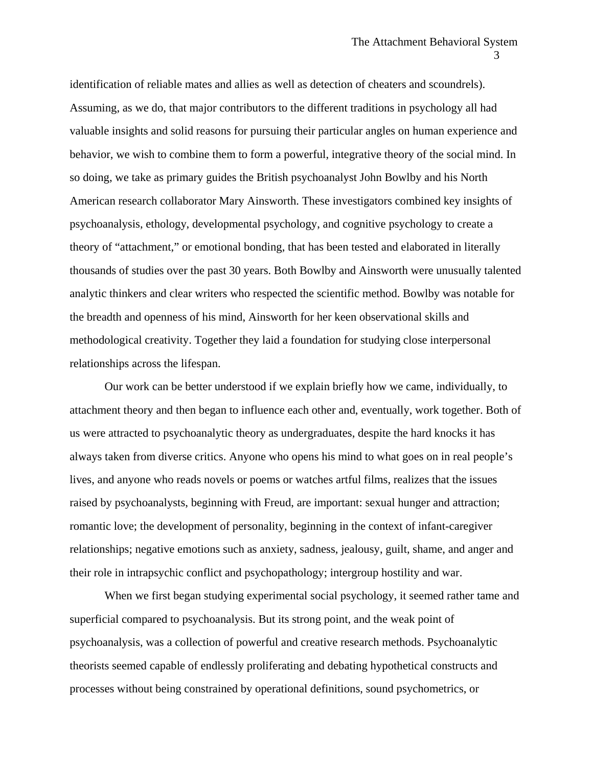identification of reliable mates and allies as well as detection of cheaters and scoundrels). Assuming, as we do, that major contributors to the different traditions in psychology all had valuable insights and solid reasons for pursuing their particular angles on human experience and behavior, we wish to combine them to form a powerful, integrative theory of the social mind. In so doing, we take as primary guides the British psychoanalyst John Bowlby and his North American research collaborator Mary Ainsworth. These investigators combined key insights of psychoanalysis, ethology, developmental psychology, and cognitive psychology to create a theory of "attachment," or emotional bonding, that has been tested and elaborated in literally thousands of studies over the past 30 years. Both Bowlby and Ainsworth were unusually talented analytic thinkers and clear writers who respected the scientific method. Bowlby was notable for the breadth and openness of his mind, Ainsworth for her keen observational skills and methodological creativity. Together they laid a foundation for studying close interpersonal relationships across the lifespan.

Our work can be better understood if we explain briefly how we came, individually, to attachment theory and then began to influence each other and, eventually, work together. Both of us were attracted to psychoanalytic theory as undergraduates, despite the hard knocks it has always taken from diverse critics. Anyone who opens his mind to what goes on in real people's lives, and anyone who reads novels or poems or watches artful films, realizes that the issues raised by psychoanalysts, beginning with Freud, are important: sexual hunger and attraction; romantic love; the development of personality, beginning in the context of infant-caregiver relationships; negative emotions such as anxiety, sadness, jealousy, guilt, shame, and anger and their role in intrapsychic conflict and psychopathology; intergroup hostility and war.

When we first began studying experimental social psychology, it seemed rather tame and superficial compared to psychoanalysis. But its strong point, and the weak point of psychoanalysis, was a collection of powerful and creative research methods. Psychoanalytic theorists seemed capable of endlessly proliferating and debating hypothetical constructs and processes without being constrained by operational definitions, sound psychometrics, or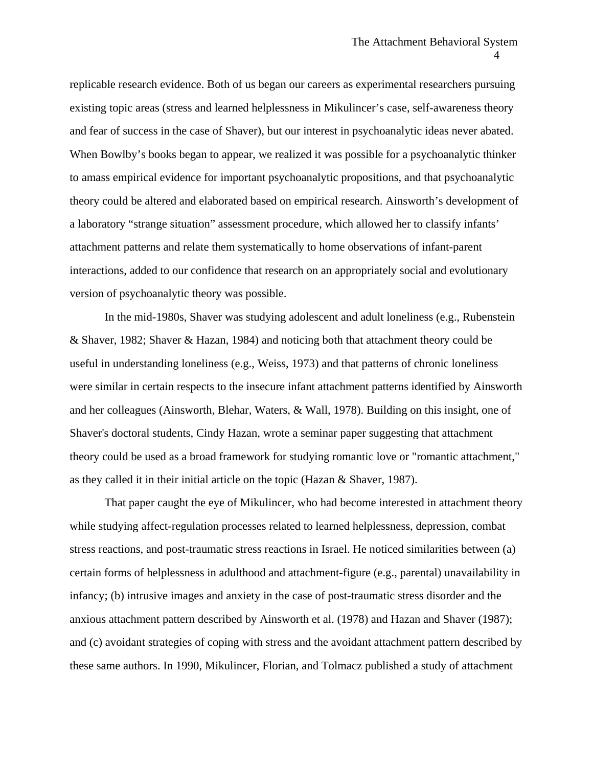replicable research evidence. Both of us began our careers as experimental researchers pursuing existing topic areas (stress and learned helplessness in Mikulincer's case, self-awareness theory and fear of success in the case of Shaver), but our interest in psychoanalytic ideas never abated. When Bowlby's books began to appear, we realized it was possible for a psychoanalytic thinker to amass empirical evidence for important psychoanalytic propositions, and that psychoanalytic theory could be altered and elaborated based on empirical research. Ainsworth's development of a laboratory "strange situation" assessment procedure, which allowed her to classify infants' attachment patterns and relate them systematically to home observations of infant-parent interactions, added to our confidence that research on an appropriately social and evolutionary version of psychoanalytic theory was possible.

In the mid-1980s, Shaver was studying adolescent and adult loneliness (e.g., Rubenstein & Shaver, 1982; Shaver & Hazan, 1984) and noticing both that attachment theory could be useful in understanding loneliness (e.g., Weiss, 1973) and that patterns of chronic loneliness were similar in certain respects to the insecure infant attachment patterns identified by Ainsworth and her colleagues (Ainsworth, Blehar, Waters, & Wall, 1978). Building on this insight, one of Shaver's doctoral students, Cindy Hazan, wrote a seminar paper suggesting that attachment theory could be used as a broad framework for studying romantic love or "romantic attachment," as they called it in their initial article on the topic (Hazan & Shaver, 1987).

That paper caught the eye of Mikulincer, who had become interested in attachment theory while studying affect-regulation processes related to learned helplessness, depression, combat stress reactions, and post-traumatic stress reactions in Israel. He noticed similarities between (a) certain forms of helplessness in adulthood and attachment-figure (e.g., parental) unavailability in infancy; (b) intrusive images and anxiety in the case of post-traumatic stress disorder and the anxious attachment pattern described by Ainsworth et al. (1978) and Hazan and Shaver (1987); and (c) avoidant strategies of coping with stress and the avoidant attachment pattern described by these same authors. In 1990, Mikulincer, Florian, and Tolmacz published a study of attachment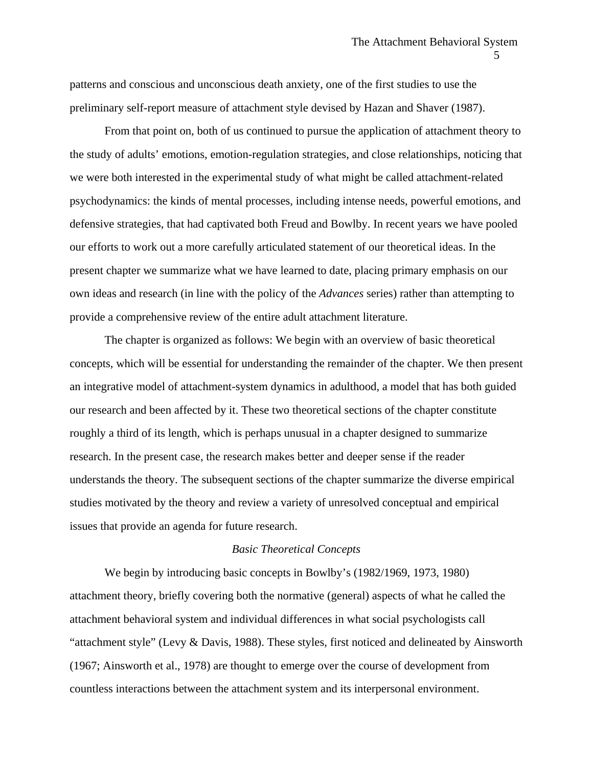patterns and conscious and unconscious death anxiety, one of the first studies to use the preliminary self-report measure of attachment style devised by Hazan and Shaver (1987).

From that point on, both of us continued to pursue the application of attachment theory to the study of adults' emotions, emotion-regulation strategies, and close relationships, noticing that we were both interested in the experimental study of what might be called attachment-related psychodynamics: the kinds of mental processes, including intense needs, powerful emotions, and defensive strategies, that had captivated both Freud and Bowlby. In recent years we have pooled our efforts to work out a more carefully articulated statement of our theoretical ideas. In the present chapter we summarize what we have learned to date, placing primary emphasis on our own ideas and research (in line with the policy of the *Advances* series) rather than attempting to provide a comprehensive review of the entire adult attachment literature.

The chapter is organized as follows: We begin with an overview of basic theoretical concepts, which will be essential for understanding the remainder of the chapter. We then present an integrative model of attachment-system dynamics in adulthood, a model that has both guided our research and been affected by it. These two theoretical sections of the chapter constitute roughly a third of its length, which is perhaps unusual in a chapter designed to summarize research. In the present case, the research makes better and deeper sense if the reader understands the theory. The subsequent sections of the chapter summarize the diverse empirical studies motivated by the theory and review a variety of unresolved conceptual and empirical issues that provide an agenda for future research.

#### *Basic Theoretical Concepts*

We begin by introducing basic concepts in Bowlby's (1982/1969, 1973, 1980) attachment theory, briefly covering both the normative (general) aspects of what he called the attachment behavioral system and individual differences in what social psychologists call "attachment style" (Levy & Davis, 1988). These styles, first noticed and delineated by Ainsworth (1967; Ainsworth et al., 1978) are thought to emerge over the course of development from countless interactions between the attachment system and its interpersonal environment.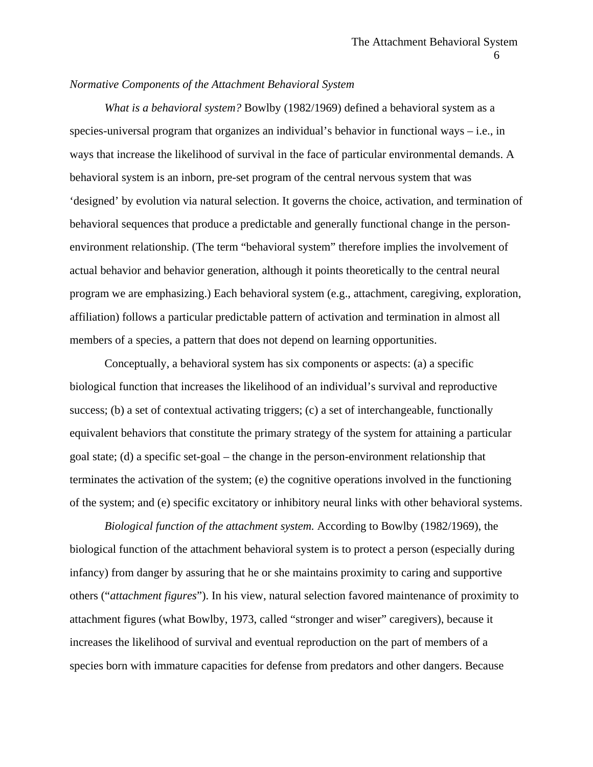## *Normative Components of the Attachment Behavioral System*

*What is a behavioral system?* Bowlby (1982/1969) defined a behavioral system as a species-universal program that organizes an individual's behavior in functional ways – i.e., in ways that increase the likelihood of survival in the face of particular environmental demands. A behavioral system is an inborn, pre-set program of the central nervous system that was 'designed' by evolution via natural selection. It governs the choice, activation, and termination of behavioral sequences that produce a predictable and generally functional change in the personenvironment relationship. (The term "behavioral system" therefore implies the involvement of actual behavior and behavior generation, although it points theoretically to the central neural program we are emphasizing.) Each behavioral system (e.g., attachment, caregiving, exploration, affiliation) follows a particular predictable pattern of activation and termination in almost all members of a species, a pattern that does not depend on learning opportunities.

Conceptually, a behavioral system has six components or aspects: (a) a specific biological function that increases the likelihood of an individual's survival and reproductive success; (b) a set of contextual activating triggers; (c) a set of interchangeable, functionally equivalent behaviors that constitute the primary strategy of the system for attaining a particular goal state; (d) a specific set-goal – the change in the person-environment relationship that terminates the activation of the system; (e) the cognitive operations involved in the functioning of the system; and (e) specific excitatory or inhibitory neural links with other behavioral systems.

*Biological function of the attachment system.* According to Bowlby (1982/1969), the biological function of the attachment behavioral system is to protect a person (especially during infancy) from danger by assuring that he or she maintains proximity to caring and supportive others ("*attachment figures*"). In his view, natural selection favored maintenance of proximity to attachment figures (what Bowlby, 1973, called "stronger and wiser" caregivers), because it increases the likelihood of survival and eventual reproduction on the part of members of a species born with immature capacities for defense from predators and other dangers. Because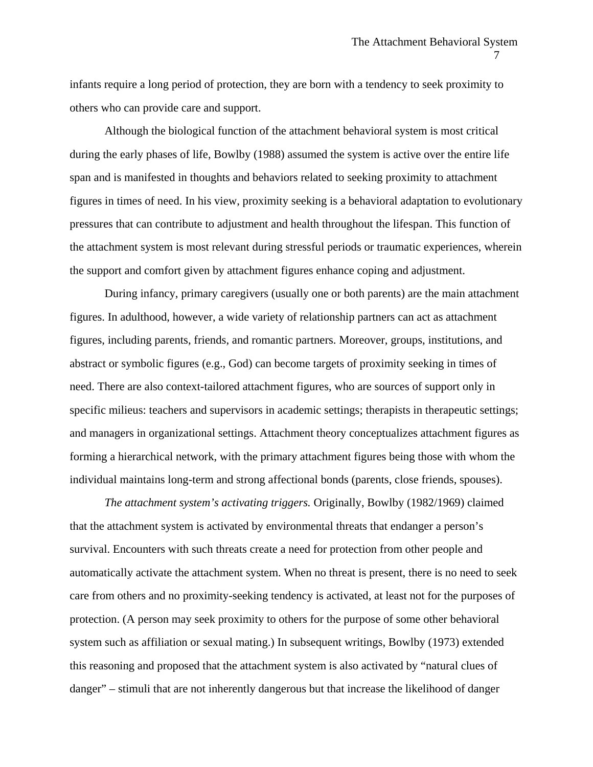infants require a long period of protection, they are born with a tendency to seek proximity to others who can provide care and support.

Although the biological function of the attachment behavioral system is most critical during the early phases of life, Bowlby (1988) assumed the system is active over the entire life span and is manifested in thoughts and behaviors related to seeking proximity to attachment figures in times of need. In his view, proximity seeking is a behavioral adaptation to evolutionary pressures that can contribute to adjustment and health throughout the lifespan. This function of the attachment system is most relevant during stressful periods or traumatic experiences, wherein the support and comfort given by attachment figures enhance coping and adjustment.

During infancy, primary caregivers (usually one or both parents) are the main attachment figures. In adulthood, however, a wide variety of relationship partners can act as attachment figures, including parents, friends, and romantic partners. Moreover, groups, institutions, and abstract or symbolic figures (e.g., God) can become targets of proximity seeking in times of need. There are also context-tailored attachment figures, who are sources of support only in specific milieus: teachers and supervisors in academic settings; therapists in therapeutic settings; and managers in organizational settings. Attachment theory conceptualizes attachment figures as forming a hierarchical network, with the primary attachment figures being those with whom the individual maintains long-term and strong affectional bonds (parents, close friends, spouses).

*The attachment system's activating triggers.* Originally, Bowlby (1982/1969) claimed that the attachment system is activated by environmental threats that endanger a person's survival. Encounters with such threats create a need for protection from other people and automatically activate the attachment system. When no threat is present, there is no need to seek care from others and no proximity-seeking tendency is activated, at least not for the purposes of protection. (A person may seek proximity to others for the purpose of some other behavioral system such as affiliation or sexual mating.) In subsequent writings, Bowlby (1973) extended this reasoning and proposed that the attachment system is also activated by "natural clues of danger" – stimuli that are not inherently dangerous but that increase the likelihood of danger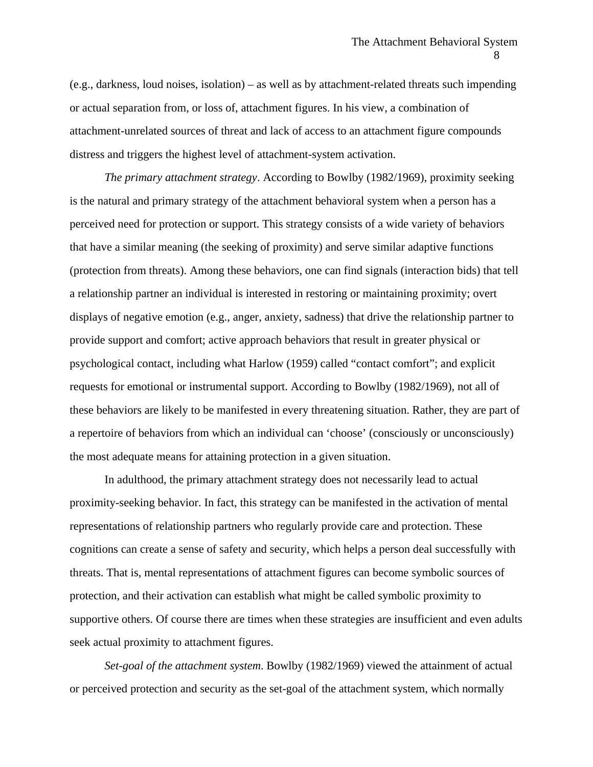(e.g., darkness, loud noises, isolation) – as well as by attachment-related threats such impending or actual separation from, or loss of, attachment figures. In his view, a combination of attachment-unrelated sources of threat and lack of access to an attachment figure compounds distress and triggers the highest level of attachment-system activation.

*The primary attachment strategy*. According to Bowlby (1982/1969), proximity seeking is the natural and primary strategy of the attachment behavioral system when a person has a perceived need for protection or support. This strategy consists of a wide variety of behaviors that have a similar meaning (the seeking of proximity) and serve similar adaptive functions (protection from threats). Among these behaviors, one can find signals (interaction bids) that tell a relationship partner an individual is interested in restoring or maintaining proximity; overt displays of negative emotion (e.g., anger, anxiety, sadness) that drive the relationship partner to provide support and comfort; active approach behaviors that result in greater physical or psychological contact, including what Harlow (1959) called "contact comfort"; and explicit requests for emotional or instrumental support. According to Bowlby (1982/1969), not all of these behaviors are likely to be manifested in every threatening situation. Rather, they are part of a repertoire of behaviors from which an individual can 'choose' (consciously or unconsciously) the most adequate means for attaining protection in a given situation.

In adulthood, the primary attachment strategy does not necessarily lead to actual proximity-seeking behavior. In fact, this strategy can be manifested in the activation of mental representations of relationship partners who regularly provide care and protection. These cognitions can create a sense of safety and security, which helps a person deal successfully with threats. That is, mental representations of attachment figures can become symbolic sources of protection, and their activation can establish what might be called symbolic proximity to supportive others. Of course there are times when these strategies are insufficient and even adults seek actual proximity to attachment figures.

*Set-goal of the attachment system*. Bowlby (1982/1969) viewed the attainment of actual or perceived protection and security as the set-goal of the attachment system, which normally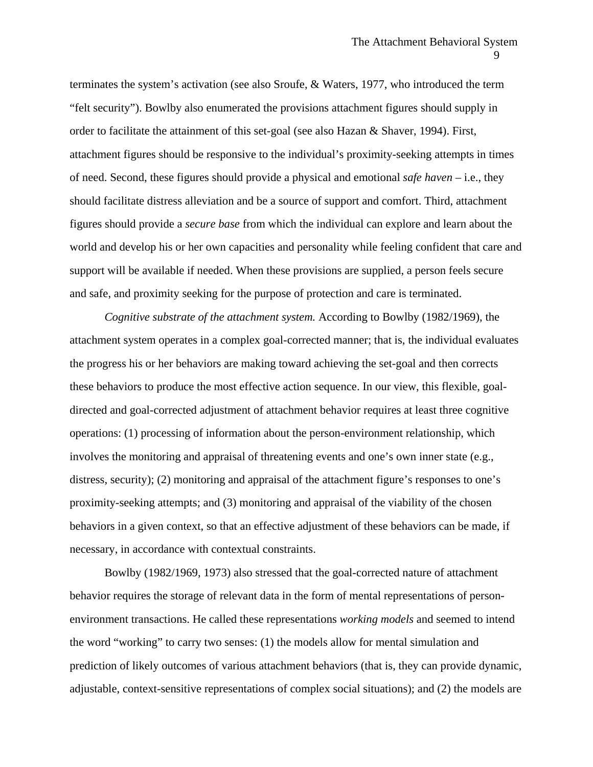terminates the system's activation (see also Sroufe, & Waters, 1977, who introduced the term "felt security"). Bowlby also enumerated the provisions attachment figures should supply in order to facilitate the attainment of this set-goal (see also Hazan & Shaver, 1994). First, attachment figures should be responsive to the individual's proximity-seeking attempts in times of need. Second, these figures should provide a physical and emotional *safe haven* – i.e., they should facilitate distress alleviation and be a source of support and comfort. Third, attachment figures should provide a *secure base* from which the individual can explore and learn about the world and develop his or her own capacities and personality while feeling confident that care and support will be available if needed. When these provisions are supplied, a person feels secure and safe, and proximity seeking for the purpose of protection and care is terminated.

*Cognitive substrate of the attachment system.* According to Bowlby (1982/1969), the attachment system operates in a complex goal-corrected manner; that is, the individual evaluates the progress his or her behaviors are making toward achieving the set-goal and then corrects these behaviors to produce the most effective action sequence. In our view, this flexible, goaldirected and goal-corrected adjustment of attachment behavior requires at least three cognitive operations: (1) processing of information about the person-environment relationship, which involves the monitoring and appraisal of threatening events and one's own inner state (e.g., distress, security); (2) monitoring and appraisal of the attachment figure's responses to one's proximity-seeking attempts; and (3) monitoring and appraisal of the viability of the chosen behaviors in a given context, so that an effective adjustment of these behaviors can be made, if necessary, in accordance with contextual constraints.

Bowlby (1982/1969, 1973) also stressed that the goal-corrected nature of attachment behavior requires the storage of relevant data in the form of mental representations of personenvironment transactions. He called these representations *working models* and seemed to intend the word "working" to carry two senses: (1) the models allow for mental simulation and prediction of likely outcomes of various attachment behaviors (that is, they can provide dynamic, adjustable, context-sensitive representations of complex social situations); and (2) the models are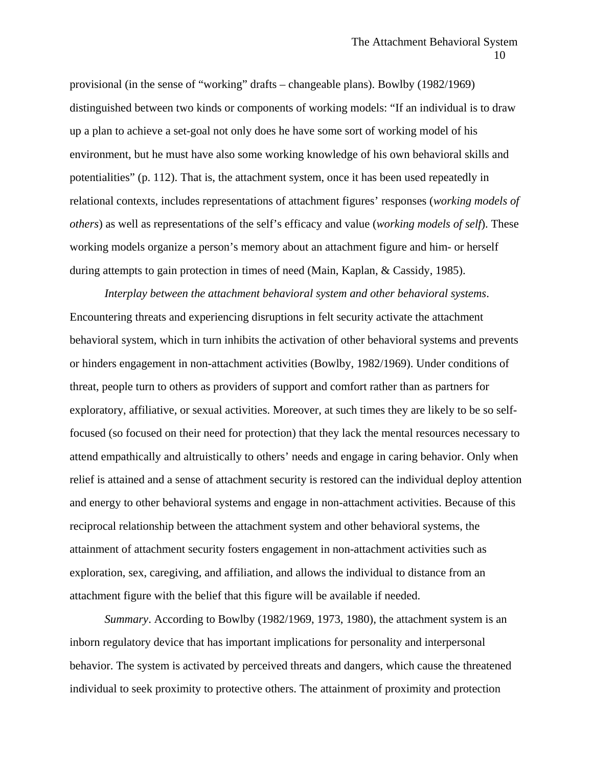provisional (in the sense of "working" drafts – changeable plans). Bowlby (1982/1969) distinguished between two kinds or components of working models: "If an individual is to draw up a plan to achieve a set-goal not only does he have some sort of working model of his environment, but he must have also some working knowledge of his own behavioral skills and potentialities" (p. 112). That is, the attachment system, once it has been used repeatedly in relational contexts, includes representations of attachment figures' responses (*working models of others*) as well as representations of the self's efficacy and value (*working models of self*). These working models organize a person's memory about an attachment figure and him- or herself during attempts to gain protection in times of need (Main, Kaplan, & Cassidy, 1985).

*Interplay between the attachment behavioral system and other behavioral systems*. Encountering threats and experiencing disruptions in felt security activate the attachment behavioral system, which in turn inhibits the activation of other behavioral systems and prevents or hinders engagement in non-attachment activities (Bowlby, 1982/1969). Under conditions of threat, people turn to others as providers of support and comfort rather than as partners for exploratory, affiliative, or sexual activities. Moreover, at such times they are likely to be so selffocused (so focused on their need for protection) that they lack the mental resources necessary to attend empathically and altruistically to others' needs and engage in caring behavior. Only when relief is attained and a sense of attachment security is restored can the individual deploy attention and energy to other behavioral systems and engage in non-attachment activities. Because of this reciprocal relationship between the attachment system and other behavioral systems, the attainment of attachment security fosters engagement in non-attachment activities such as exploration, sex, caregiving, and affiliation, and allows the individual to distance from an attachment figure with the belief that this figure will be available if needed.

*Summary*. According to Bowlby (1982/1969, 1973, 1980), the attachment system is an inborn regulatory device that has important implications for personality and interpersonal behavior. The system is activated by perceived threats and dangers, which cause the threatened individual to seek proximity to protective others. The attainment of proximity and protection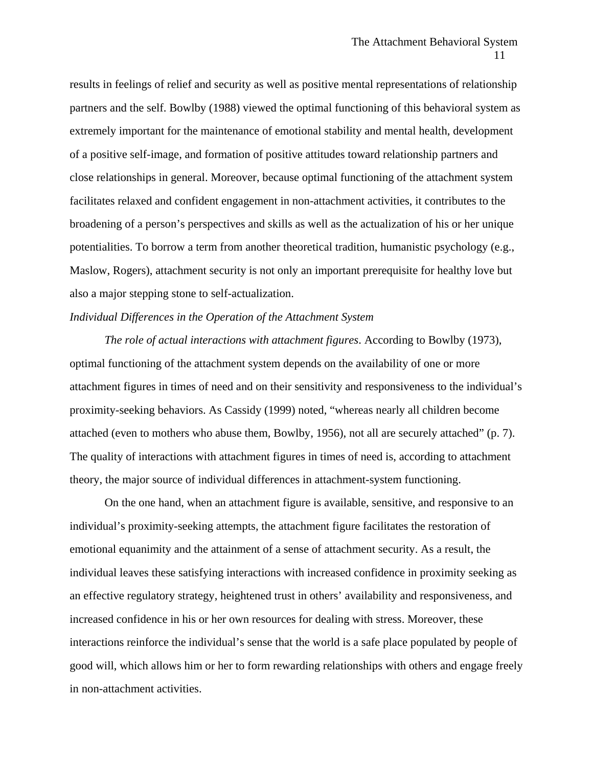results in feelings of relief and security as well as positive mental representations of relationship partners and the self. Bowlby (1988) viewed the optimal functioning of this behavioral system as extremely important for the maintenance of emotional stability and mental health, development of a positive self-image, and formation of positive attitudes toward relationship partners and close relationships in general. Moreover, because optimal functioning of the attachment system facilitates relaxed and confident engagement in non-attachment activities, it contributes to the broadening of a person's perspectives and skills as well as the actualization of his or her unique potentialities. To borrow a term from another theoretical tradition, humanistic psychology (e.g., Maslow, Rogers), attachment security is not only an important prerequisite for healthy love but also a major stepping stone to self-actualization.

# *Individual Differences in the Operation of the Attachment System*

*The role of actual interactions with attachment figures*. According to Bowlby (1973), optimal functioning of the attachment system depends on the availability of one or more attachment figures in times of need and on their sensitivity and responsiveness to the individual's proximity-seeking behaviors. As Cassidy (1999) noted, "whereas nearly all children become attached (even to mothers who abuse them, Bowlby, 1956), not all are securely attached" (p. 7). The quality of interactions with attachment figures in times of need is, according to attachment theory, the major source of individual differences in attachment-system functioning.

On the one hand, when an attachment figure is available, sensitive, and responsive to an individual's proximity-seeking attempts, the attachment figure facilitates the restoration of emotional equanimity and the attainment of a sense of attachment security. As a result, the individual leaves these satisfying interactions with increased confidence in proximity seeking as an effective regulatory strategy, heightened trust in others' availability and responsiveness, and increased confidence in his or her own resources for dealing with stress. Moreover, these interactions reinforce the individual's sense that the world is a safe place populated by people of good will, which allows him or her to form rewarding relationships with others and engage freely in non-attachment activities.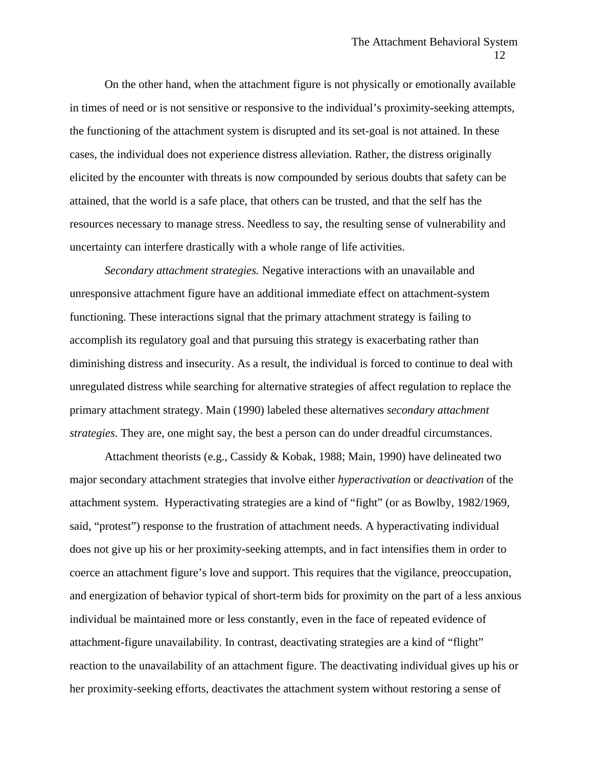On the other hand, when the attachment figure is not physically or emotionally available in times of need or is not sensitive or responsive to the individual's proximity-seeking attempts, the functioning of the attachment system is disrupted and its set-goal is not attained. In these cases, the individual does not experience distress alleviation. Rather, the distress originally elicited by the encounter with threats is now compounded by serious doubts that safety can be attained, that the world is a safe place, that others can be trusted, and that the self has the resources necessary to manage stress. Needless to say, the resulting sense of vulnerability and uncertainty can interfere drastically with a whole range of life activities.

*Secondary attachment strategies.* Negative interactions with an unavailable and unresponsive attachment figure have an additional immediate effect on attachment-system functioning. These interactions signal that the primary attachment strategy is failing to accomplish its regulatory goal and that pursuing this strategy is exacerbating rather than diminishing distress and insecurity. As a result, the individual is forced to continue to deal with unregulated distress while searching for alternative strategies of affect regulation to replace the primary attachment strategy. Main (1990) labeled these alternatives *secondary attachment strategies*. They are, one might say, the best a person can do under dreadful circumstances.

Attachment theorists (e.g., Cassidy & Kobak, 1988; Main, 1990) have delineated two major secondary attachment strategies that involve either *hyperactivation* or *deactivation* of the attachment system. Hyperactivating strategies are a kind of "fight" (or as Bowlby, 1982/1969, said, "protest") response to the frustration of attachment needs. A hyperactivating individual does not give up his or her proximity-seeking attempts, and in fact intensifies them in order to coerce an attachment figure's love and support. This requires that the vigilance, preoccupation, and energization of behavior typical of short-term bids for proximity on the part of a less anxious individual be maintained more or less constantly, even in the face of repeated evidence of attachment-figure unavailability. In contrast, deactivating strategies are a kind of "flight" reaction to the unavailability of an attachment figure. The deactivating individual gives up his or her proximity-seeking efforts, deactivates the attachment system without restoring a sense of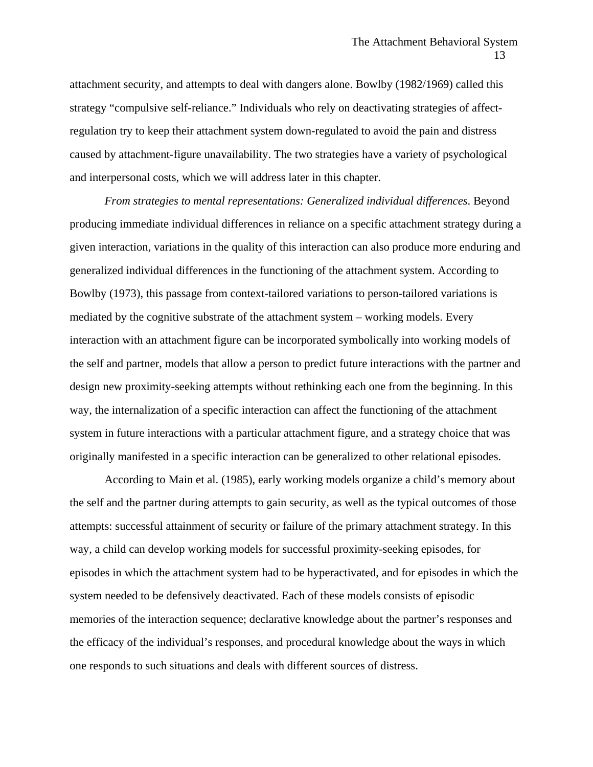attachment security, and attempts to deal with dangers alone. Bowlby (1982/1969) called this strategy "compulsive self-reliance." Individuals who rely on deactivating strategies of affectregulation try to keep their attachment system down-regulated to avoid the pain and distress caused by attachment-figure unavailability. The two strategies have a variety of psychological and interpersonal costs, which we will address later in this chapter.

*From strategies to mental representations: Generalized individual differences*. Beyond producing immediate individual differences in reliance on a specific attachment strategy during a given interaction, variations in the quality of this interaction can also produce more enduring and generalized individual differences in the functioning of the attachment system. According to Bowlby (1973), this passage from context-tailored variations to person-tailored variations is mediated by the cognitive substrate of the attachment system – working models. Every interaction with an attachment figure can be incorporated symbolically into working models of the self and partner, models that allow a person to predict future interactions with the partner and design new proximity-seeking attempts without rethinking each one from the beginning. In this way, the internalization of a specific interaction can affect the functioning of the attachment system in future interactions with a particular attachment figure, and a strategy choice that was originally manifested in a specific interaction can be generalized to other relational episodes.

According to Main et al. (1985), early working models organize a child's memory about the self and the partner during attempts to gain security, as well as the typical outcomes of those attempts: successful attainment of security or failure of the primary attachment strategy. In this way, a child can develop working models for successful proximity-seeking episodes, for episodes in which the attachment system had to be hyperactivated, and for episodes in which the system needed to be defensively deactivated. Each of these models consists of episodic memories of the interaction sequence; declarative knowledge about the partner's responses and the efficacy of the individual's responses, and procedural knowledge about the ways in which one responds to such situations and deals with different sources of distress.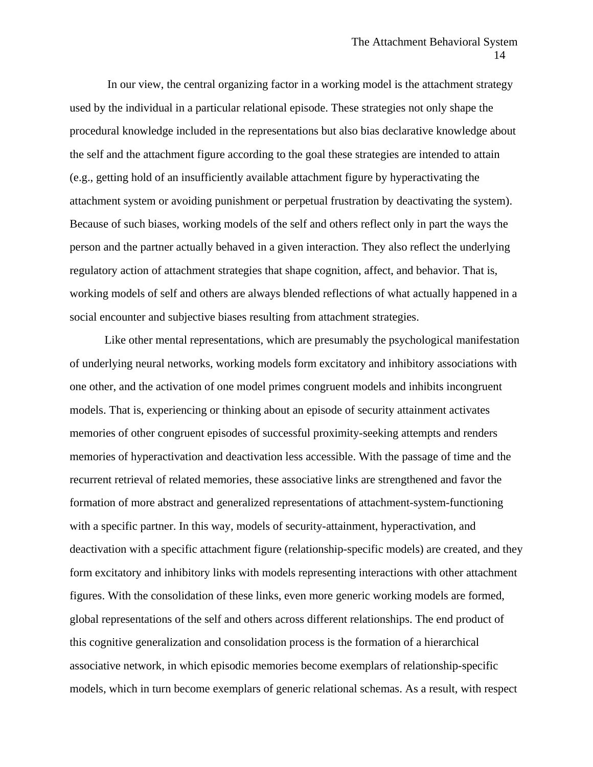In our view, the central organizing factor in a working model is the attachment strategy used by the individual in a particular relational episode. These strategies not only shape the procedural knowledge included in the representations but also bias declarative knowledge about the self and the attachment figure according to the goal these strategies are intended to attain (e.g., getting hold of an insufficiently available attachment figure by hyperactivating the attachment system or avoiding punishment or perpetual frustration by deactivating the system). Because of such biases, working models of the self and others reflect only in part the ways the person and the partner actually behaved in a given interaction. They also reflect the underlying regulatory action of attachment strategies that shape cognition, affect, and behavior. That is, working models of self and others are always blended reflections of what actually happened in a social encounter and subjective biases resulting from attachment strategies.

Like other mental representations, which are presumably the psychological manifestation of underlying neural networks, working models form excitatory and inhibitory associations with one other, and the activation of one model primes congruent models and inhibits incongruent models. That is, experiencing or thinking about an episode of security attainment activates memories of other congruent episodes of successful proximity-seeking attempts and renders memories of hyperactivation and deactivation less accessible. With the passage of time and the recurrent retrieval of related memories, these associative links are strengthened and favor the formation of more abstract and generalized representations of attachment-system-functioning with a specific partner. In this way, models of security-attainment, hyperactivation, and deactivation with a specific attachment figure (relationship-specific models) are created, and they form excitatory and inhibitory links with models representing interactions with other attachment figures. With the consolidation of these links, even more generic working models are formed, global representations of the self and others across different relationships. The end product of this cognitive generalization and consolidation process is the formation of a hierarchical associative network, in which episodic memories become exemplars of relationship-specific models, which in turn become exemplars of generic relational schemas. As a result, with respect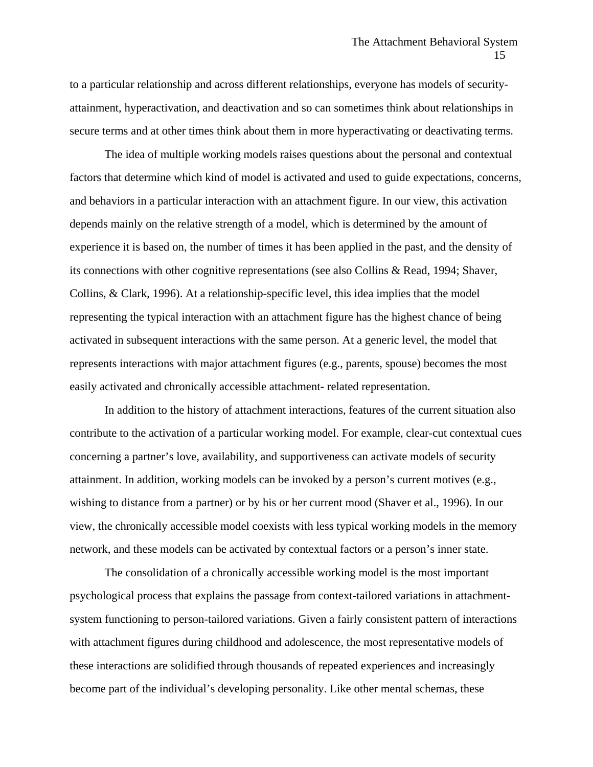to a particular relationship and across different relationships, everyone has models of securityattainment, hyperactivation, and deactivation and so can sometimes think about relationships in secure terms and at other times think about them in more hyperactivating or deactivating terms.

The idea of multiple working models raises questions about the personal and contextual factors that determine which kind of model is activated and used to guide expectations, concerns, and behaviors in a particular interaction with an attachment figure. In our view, this activation depends mainly on the relative strength of a model, which is determined by the amount of experience it is based on, the number of times it has been applied in the past, and the density of its connections with other cognitive representations (see also Collins & Read, 1994; Shaver, Collins, & Clark, 1996). At a relationship-specific level, this idea implies that the model representing the typical interaction with an attachment figure has the highest chance of being activated in subsequent interactions with the same person. At a generic level, the model that represents interactions with major attachment figures (e.g., parents, spouse) becomes the most easily activated and chronically accessible attachment- related representation.

In addition to the history of attachment interactions, features of the current situation also contribute to the activation of a particular working model. For example, clear-cut contextual cues concerning a partner's love, availability, and supportiveness can activate models of security attainment. In addition, working models can be invoked by a person's current motives (e.g., wishing to distance from a partner) or by his or her current mood (Shaver et al., 1996). In our view, the chronically accessible model coexists with less typical working models in the memory network, and these models can be activated by contextual factors or a person's inner state.

The consolidation of a chronically accessible working model is the most important psychological process that explains the passage from context-tailored variations in attachmentsystem functioning to person-tailored variations. Given a fairly consistent pattern of interactions with attachment figures during childhood and adolescence, the most representative models of these interactions are solidified through thousands of repeated experiences and increasingly become part of the individual's developing personality. Like other mental schemas, these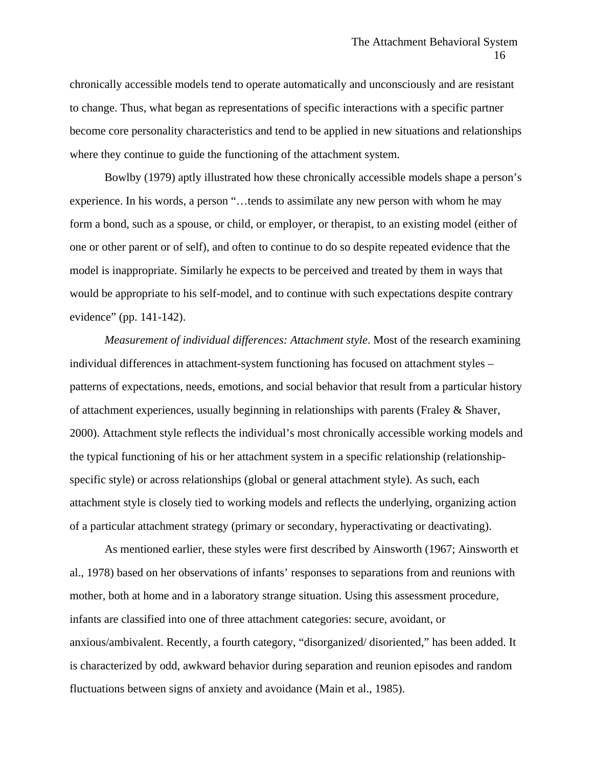chronically accessible models tend to operate automatically and unconsciously and are resistant to change. Thus, what began as representations of specific interactions with a specific partner become core personality characteristics and tend to be applied in new situations and relationships where they continue to guide the functioning of the attachment system.

Bowlby (1979) aptly illustrated how these chronically accessible models shape a person's experience. In his words, a person "…tends to assimilate any new person with whom he may form a bond, such as a spouse, or child, or employer, or therapist, to an existing model (either of one or other parent or of self), and often to continue to do so despite repeated evidence that the model is inappropriate. Similarly he expects to be perceived and treated by them in ways that would be appropriate to his self-model, and to continue with such expectations despite contrary evidence" (pp. 141-142).

*Measurement of individual differences: Attachment style*. Most of the research examining individual differences in attachment-system functioning has focused on attachment styles – patterns of expectations, needs, emotions, and social behavior that result from a particular history of attachment experiences, usually beginning in relationships with parents (Fraley & Shaver, 2000). Attachment style reflects the individual's most chronically accessible working models and the typical functioning of his or her attachment system in a specific relationship (relationshipspecific style) or across relationships (global or general attachment style). As such, each attachment style is closely tied to working models and reflects the underlying, organizing action of a particular attachment strategy (primary or secondary, hyperactivating or deactivating).

As mentioned earlier, these styles were first described by Ainsworth (1967; Ainsworth et al., 1978) based on her observations of infants' responses to separations from and reunions with mother, both at home and in a laboratory strange situation. Using this assessment procedure, infants are classified into one of three attachment categories: secure, avoidant, or anxious/ambivalent. Recently, a fourth category, "disorganized/ disoriented," has been added. It is characterized by odd, awkward behavior during separation and reunion episodes and random fluctuations between signs of anxiety and avoidance (Main et al., 1985).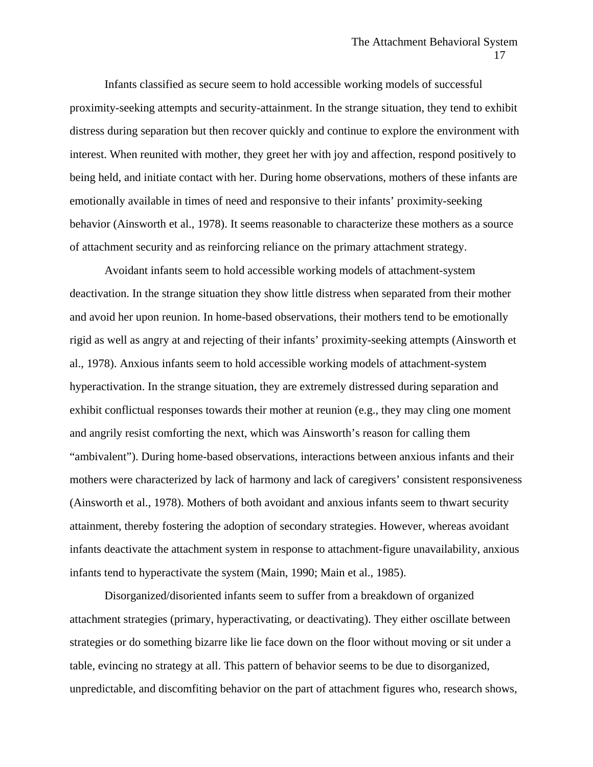Infants classified as secure seem to hold accessible working models of successful proximity-seeking attempts and security-attainment. In the strange situation, they tend to exhibit distress during separation but then recover quickly and continue to explore the environment with interest. When reunited with mother, they greet her with joy and affection, respond positively to being held, and initiate contact with her. During home observations, mothers of these infants are emotionally available in times of need and responsive to their infants' proximity-seeking behavior (Ainsworth et al., 1978). It seems reasonable to characterize these mothers as a source of attachment security and as reinforcing reliance on the primary attachment strategy.

Avoidant infants seem to hold accessible working models of attachment-system deactivation. In the strange situation they show little distress when separated from their mother and avoid her upon reunion. In home-based observations, their mothers tend to be emotionally rigid as well as angry at and rejecting of their infants' proximity-seeking attempts (Ainsworth et al., 1978). Anxious infants seem to hold accessible working models of attachment-system hyperactivation. In the strange situation, they are extremely distressed during separation and exhibit conflictual responses towards their mother at reunion (e.g., they may cling one moment and angrily resist comforting the next, which was Ainsworth's reason for calling them "ambivalent"). During home-based observations, interactions between anxious infants and their mothers were characterized by lack of harmony and lack of caregivers' consistent responsiveness (Ainsworth et al., 1978). Mothers of both avoidant and anxious infants seem to thwart security attainment, thereby fostering the adoption of secondary strategies. However, whereas avoidant infants deactivate the attachment system in response to attachment-figure unavailability, anxious infants tend to hyperactivate the system (Main, 1990; Main et al., 1985).

Disorganized/disoriented infants seem to suffer from a breakdown of organized attachment strategies (primary, hyperactivating, or deactivating). They either oscillate between strategies or do something bizarre like lie face down on the floor without moving or sit under a table, evincing no strategy at all. This pattern of behavior seems to be due to disorganized, unpredictable, and discomfiting behavior on the part of attachment figures who, research shows,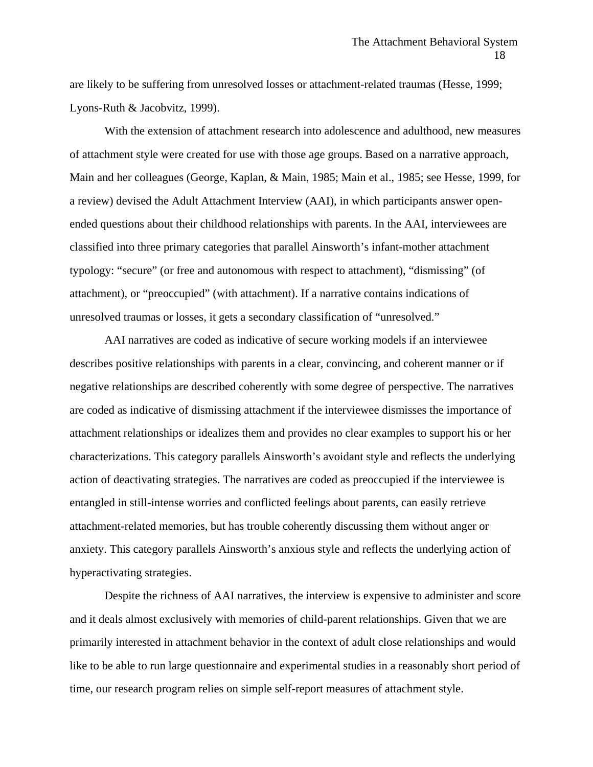are likely to be suffering from unresolved losses or attachment-related traumas (Hesse, 1999; Lyons-Ruth & Jacobvitz, 1999).

With the extension of attachment research into adolescence and adulthood, new measures of attachment style were created for use with those age groups. Based on a narrative approach, Main and her colleagues (George, Kaplan, & Main, 1985; Main et al., 1985; see Hesse, 1999, for a review) devised the Adult Attachment Interview (AAI), in which participants answer openended questions about their childhood relationships with parents. In the AAI, interviewees are classified into three primary categories that parallel Ainsworth's infant-mother attachment typology: "secure" (or free and autonomous with respect to attachment), "dismissing" (of attachment), or "preoccupied" (with attachment). If a narrative contains indications of unresolved traumas or losses, it gets a secondary classification of "unresolved."

AAI narratives are coded as indicative of secure working models if an interviewee describes positive relationships with parents in a clear, convincing, and coherent manner or if negative relationships are described coherently with some degree of perspective. The narratives are coded as indicative of dismissing attachment if the interviewee dismisses the importance of attachment relationships or idealizes them and provides no clear examples to support his or her characterizations. This category parallels Ainsworth's avoidant style and reflects the underlying action of deactivating strategies. The narratives are coded as preoccupied if the interviewee is entangled in still-intense worries and conflicted feelings about parents, can easily retrieve attachment-related memories, but has trouble coherently discussing them without anger or anxiety. This category parallels Ainsworth's anxious style and reflects the underlying action of hyperactivating strategies.

Despite the richness of AAI narratives, the interview is expensive to administer and score and it deals almost exclusively with memories of child-parent relationships. Given that we are primarily interested in attachment behavior in the context of adult close relationships and would like to be able to run large questionnaire and experimental studies in a reasonably short period of time, our research program relies on simple self-report measures of attachment style.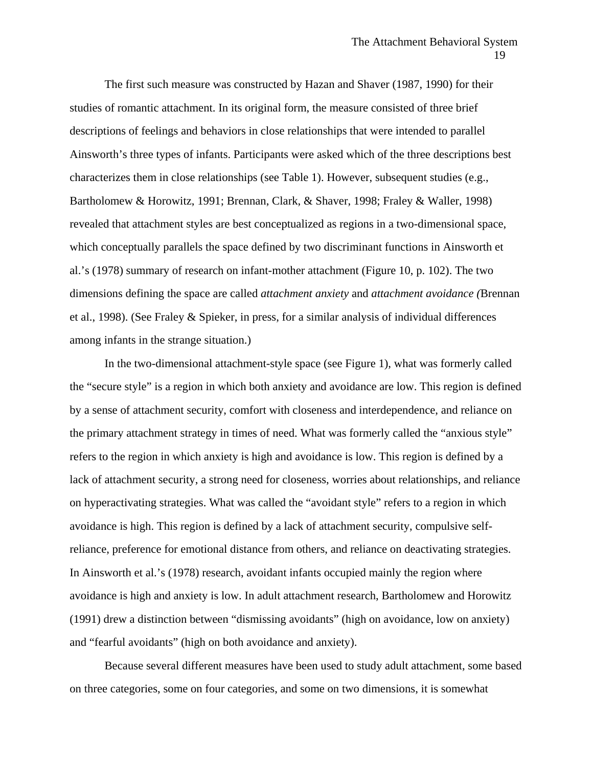The first such measure was constructed by Hazan and Shaver (1987, 1990) for their studies of romantic attachment. In its original form, the measure consisted of three brief descriptions of feelings and behaviors in close relationships that were intended to parallel Ainsworth's three types of infants. Participants were asked which of the three descriptions best characterizes them in close relationships (see Table 1). However, subsequent studies (e.g., Bartholomew & Horowitz, 1991; Brennan, Clark, & Shaver, 1998; Fraley & Waller, 1998) revealed that attachment styles are best conceptualized as regions in a two-dimensional space, which conceptually parallels the space defined by two discriminant functions in Ainsworth et al.'s (1978) summary of research on infant-mother attachment (Figure 10, p. 102). The two dimensions defining the space are called *attachment anxiety* and *attachment avoidance (*Brennan et al., 1998). (See Fraley & Spieker, in press, for a similar analysis of individual differences among infants in the strange situation.)

In the two-dimensional attachment-style space (see Figure 1), what was formerly called the "secure style" is a region in which both anxiety and avoidance are low. This region is defined by a sense of attachment security, comfort with closeness and interdependence, and reliance on the primary attachment strategy in times of need. What was formerly called the "anxious style" refers to the region in which anxiety is high and avoidance is low. This region is defined by a lack of attachment security, a strong need for closeness, worries about relationships, and reliance on hyperactivating strategies. What was called the "avoidant style" refers to a region in which avoidance is high. This region is defined by a lack of attachment security, compulsive selfreliance, preference for emotional distance from others, and reliance on deactivating strategies. In Ainsworth et al.'s (1978) research, avoidant infants occupied mainly the region where avoidance is high and anxiety is low. In adult attachment research, Bartholomew and Horowitz (1991) drew a distinction between "dismissing avoidants" (high on avoidance, low on anxiety) and "fearful avoidants" (high on both avoidance and anxiety).

Because several different measures have been used to study adult attachment, some based on three categories, some on four categories, and some on two dimensions, it is somewhat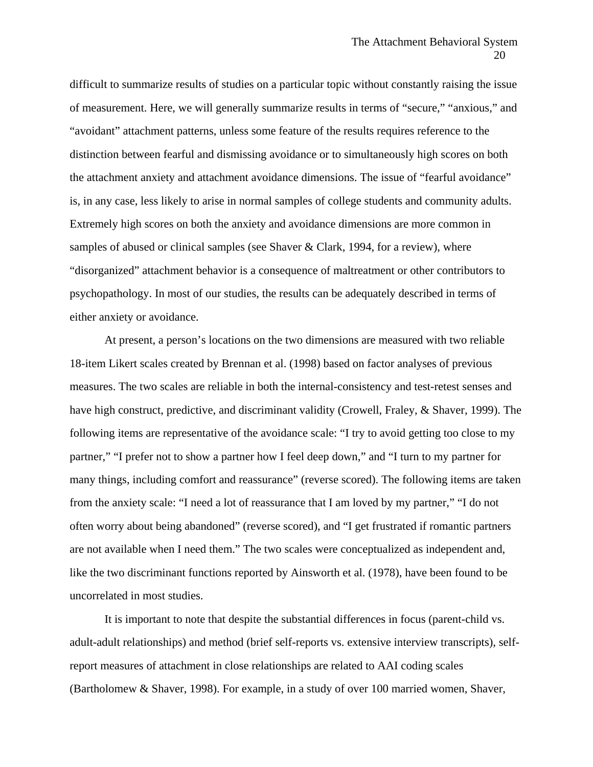difficult to summarize results of studies on a particular topic without constantly raising the issue of measurement. Here, we will generally summarize results in terms of "secure," "anxious," and "avoidant" attachment patterns, unless some feature of the results requires reference to the distinction between fearful and dismissing avoidance or to simultaneously high scores on both the attachment anxiety and attachment avoidance dimensions. The issue of "fearful avoidance" is, in any case, less likely to arise in normal samples of college students and community adults. Extremely high scores on both the anxiety and avoidance dimensions are more common in samples of abused or clinical samples (see Shaver  $\&$  Clark, 1994, for a review), where "disorganized" attachment behavior is a consequence of maltreatment or other contributors to psychopathology. In most of our studies, the results can be adequately described in terms of either anxiety or avoidance.

At present, a person's locations on the two dimensions are measured with two reliable 18-item Likert scales created by Brennan et al. (1998) based on factor analyses of previous measures. The two scales are reliable in both the internal-consistency and test-retest senses and have high construct, predictive, and discriminant validity (Crowell, Fraley, & Shaver, 1999). The following items are representative of the avoidance scale: "I try to avoid getting too close to my partner," "I prefer not to show a partner how I feel deep down," and "I turn to my partner for many things, including comfort and reassurance" (reverse scored). The following items are taken from the anxiety scale: "I need a lot of reassurance that I am loved by my partner," "I do not often worry about being abandoned" (reverse scored), and "I get frustrated if romantic partners are not available when I need them." The two scales were conceptualized as independent and, like the two discriminant functions reported by Ainsworth et al. (1978), have been found to be uncorrelated in most studies.

It is important to note that despite the substantial differences in focus (parent-child vs. adult-adult relationships) and method (brief self-reports vs. extensive interview transcripts), selfreport measures of attachment in close relationships are related to AAI coding scales (Bartholomew & Shaver, 1998). For example, in a study of over 100 married women, Shaver,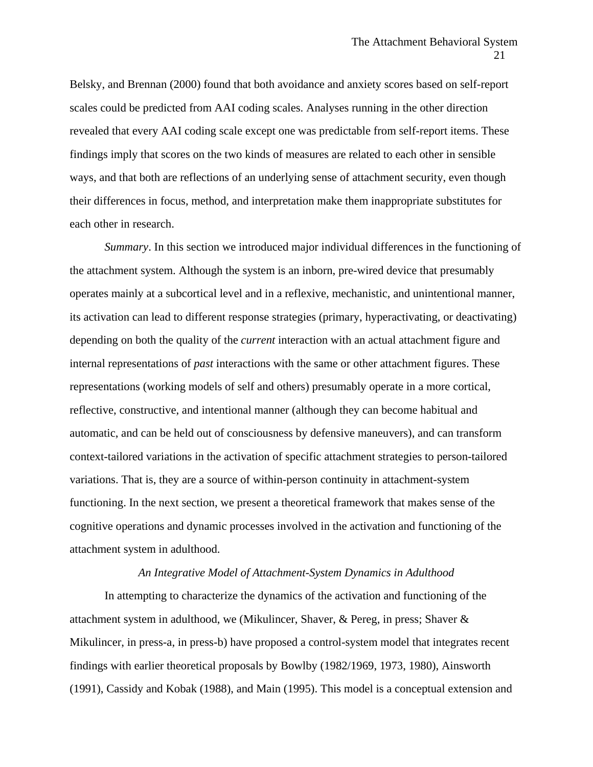Belsky, and Brennan (2000) found that both avoidance and anxiety scores based on self-report scales could be predicted from AAI coding scales. Analyses running in the other direction revealed that every AAI coding scale except one was predictable from self-report items. These findings imply that scores on the two kinds of measures are related to each other in sensible ways, and that both are reflections of an underlying sense of attachment security, even though their differences in focus, method, and interpretation make them inappropriate substitutes for each other in research.

*Summary*. In this section we introduced major individual differences in the functioning of the attachment system. Although the system is an inborn, pre-wired device that presumably operates mainly at a subcortical level and in a reflexive, mechanistic, and unintentional manner, its activation can lead to different response strategies (primary, hyperactivating, or deactivating) depending on both the quality of the *current* interaction with an actual attachment figure and internal representations of *past* interactions with the same or other attachment figures. These representations (working models of self and others) presumably operate in a more cortical, reflective, constructive, and intentional manner (although they can become habitual and automatic, and can be held out of consciousness by defensive maneuvers), and can transform context-tailored variations in the activation of specific attachment strategies to person-tailored variations. That is, they are a source of within-person continuity in attachment-system functioning. In the next section, we present a theoretical framework that makes sense of the cognitive operations and dynamic processes involved in the activation and functioning of the attachment system in adulthood.

#### *An Integrative Model of Attachment-System Dynamics in Adulthood*

In attempting to characterize the dynamics of the activation and functioning of the attachment system in adulthood, we (Mikulincer, Shaver, & Pereg, in press; Shaver & Mikulincer, in press-a, in press-b) have proposed a control-system model that integrates recent findings with earlier theoretical proposals by Bowlby (1982/1969, 1973, 1980), Ainsworth (1991), Cassidy and Kobak (1988), and Main (1995). This model is a conceptual extension and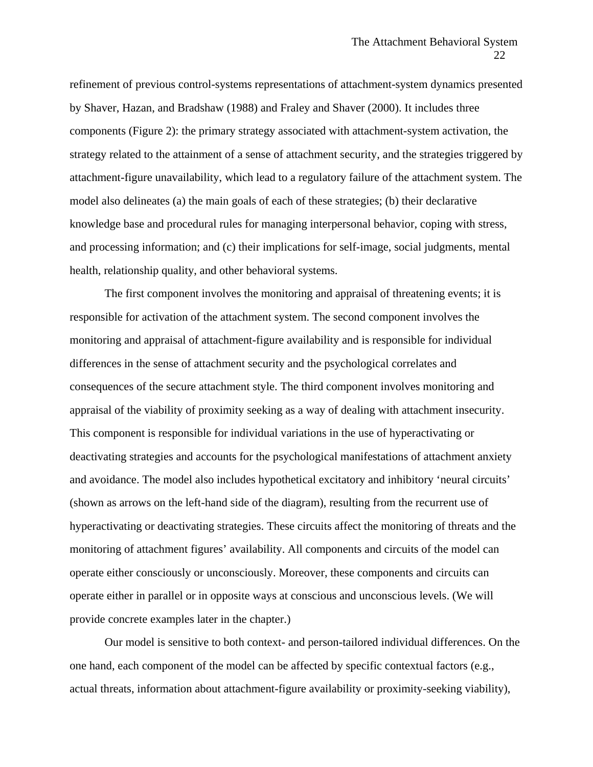refinement of previous control-systems representations of attachment-system dynamics presented by Shaver, Hazan, and Bradshaw (1988) and Fraley and Shaver (2000). It includes three components (Figure 2): the primary strategy associated with attachment-system activation, the strategy related to the attainment of a sense of attachment security, and the strategies triggered by attachment-figure unavailability, which lead to a regulatory failure of the attachment system. The model also delineates (a) the main goals of each of these strategies; (b) their declarative knowledge base and procedural rules for managing interpersonal behavior, coping with stress, and processing information; and (c) their implications for self-image, social judgments, mental health, relationship quality, and other behavioral systems.

The first component involves the monitoring and appraisal of threatening events; it is responsible for activation of the attachment system. The second component involves the monitoring and appraisal of attachment-figure availability and is responsible for individual differences in the sense of attachment security and the psychological correlates and consequences of the secure attachment style. The third component involves monitoring and appraisal of the viability of proximity seeking as a way of dealing with attachment insecurity. This component is responsible for individual variations in the use of hyperactivating or deactivating strategies and accounts for the psychological manifestations of attachment anxiety and avoidance. The model also includes hypothetical excitatory and inhibitory 'neural circuits' (shown as arrows on the left-hand side of the diagram), resulting from the recurrent use of hyperactivating or deactivating strategies. These circuits affect the monitoring of threats and the monitoring of attachment figures' availability. All components and circuits of the model can operate either consciously or unconsciously. Moreover, these components and circuits can operate either in parallel or in opposite ways at conscious and unconscious levels. (We will provide concrete examples later in the chapter.)

Our model is sensitive to both context- and person-tailored individual differences. On the one hand, each component of the model can be affected by specific contextual factors (e.g., actual threats, information about attachment-figure availability or proximity-seeking viability),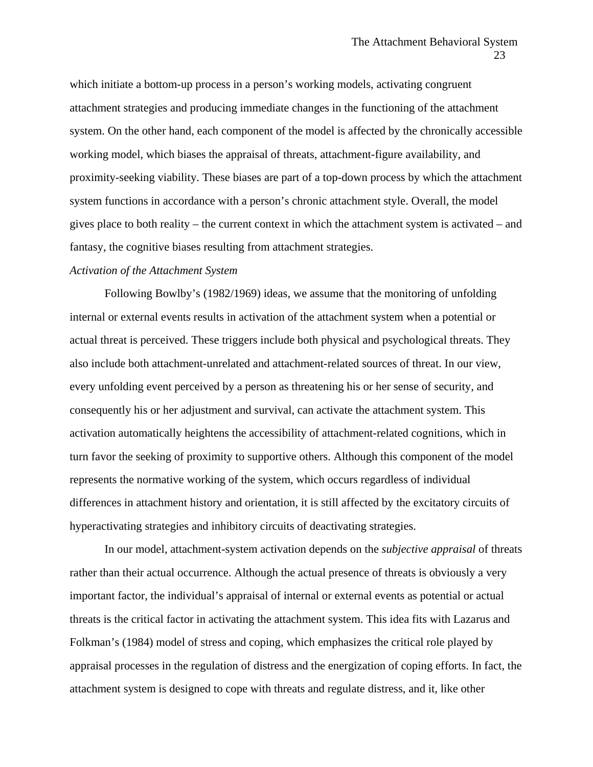which initiate a bottom-up process in a person's working models, activating congruent attachment strategies and producing immediate changes in the functioning of the attachment system. On the other hand, each component of the model is affected by the chronically accessible working model, which biases the appraisal of threats, attachment-figure availability, and proximity-seeking viability. These biases are part of a top-down process by which the attachment system functions in accordance with a person's chronic attachment style. Overall, the model gives place to both reality – the current context in which the attachment system is activated – and fantasy, the cognitive biases resulting from attachment strategies.

### *Activation of the Attachment System*

Following Bowlby's (1982/1969) ideas, we assume that the monitoring of unfolding internal or external events results in activation of the attachment system when a potential or actual threat is perceived. These triggers include both physical and psychological threats. They also include both attachment-unrelated and attachment-related sources of threat. In our view, every unfolding event perceived by a person as threatening his or her sense of security, and consequently his or her adjustment and survival, can activate the attachment system. This activation automatically heightens the accessibility of attachment-related cognitions, which in turn favor the seeking of proximity to supportive others. Although this component of the model represents the normative working of the system, which occurs regardless of individual differences in attachment history and orientation, it is still affected by the excitatory circuits of hyperactivating strategies and inhibitory circuits of deactivating strategies.

In our model, attachment-system activation depends on the *subjective appraisal* of threats rather than their actual occurrence. Although the actual presence of threats is obviously a very important factor, the individual's appraisal of internal or external events as potential or actual threats is the critical factor in activating the attachment system. This idea fits with Lazarus and Folkman's (1984) model of stress and coping, which emphasizes the critical role played by appraisal processes in the regulation of distress and the energization of coping efforts. In fact, the attachment system is designed to cope with threats and regulate distress, and it, like other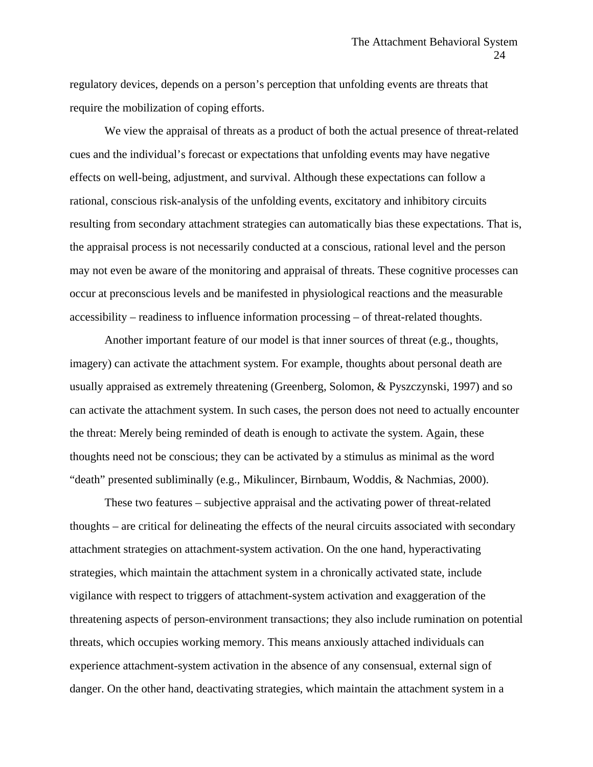regulatory devices, depends on a person's perception that unfolding events are threats that require the mobilization of coping efforts.

We view the appraisal of threats as a product of both the actual presence of threat-related cues and the individual's forecast or expectations that unfolding events may have negative effects on well-being, adjustment, and survival. Although these expectations can follow a rational, conscious risk-analysis of the unfolding events, excitatory and inhibitory circuits resulting from secondary attachment strategies can automatically bias these expectations. That is, the appraisal process is not necessarily conducted at a conscious, rational level and the person may not even be aware of the monitoring and appraisal of threats. These cognitive processes can occur at preconscious levels and be manifested in physiological reactions and the measurable accessibility – readiness to influence information processing – of threat-related thoughts.

Another important feature of our model is that inner sources of threat (e.g., thoughts, imagery) can activate the attachment system. For example, thoughts about personal death are usually appraised as extremely threatening (Greenberg, Solomon, & Pyszczynski, 1997) and so can activate the attachment system. In such cases, the person does not need to actually encounter the threat: Merely being reminded of death is enough to activate the system. Again, these thoughts need not be conscious; they can be activated by a stimulus as minimal as the word "death" presented subliminally (e.g., Mikulincer, Birnbaum, Woddis, & Nachmias, 2000).

These two features – subjective appraisal and the activating power of threat-related thoughts – are critical for delineating the effects of the neural circuits associated with secondary attachment strategies on attachment-system activation. On the one hand, hyperactivating strategies, which maintain the attachment system in a chronically activated state, include vigilance with respect to triggers of attachment-system activation and exaggeration of the threatening aspects of person-environment transactions; they also include rumination on potential threats, which occupies working memory. This means anxiously attached individuals can experience attachment-system activation in the absence of any consensual, external sign of danger. On the other hand, deactivating strategies, which maintain the attachment system in a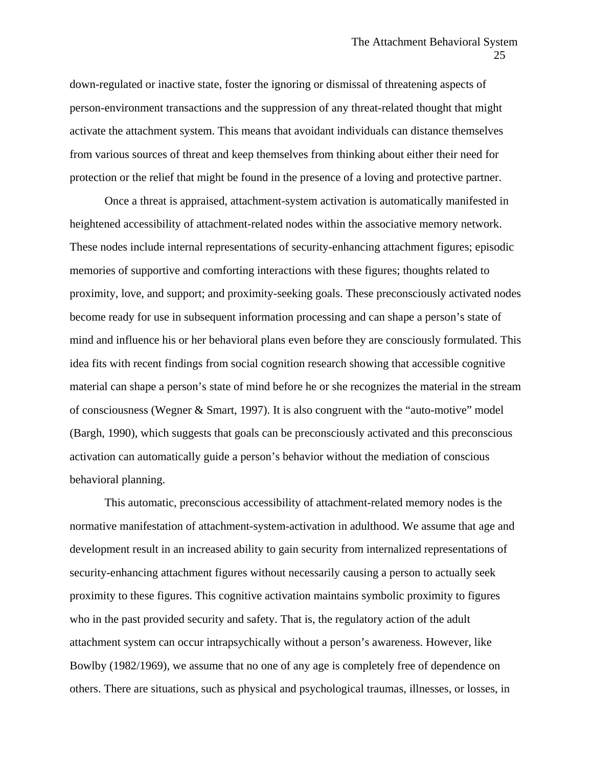down-regulated or inactive state, foster the ignoring or dismissal of threatening aspects of person-environment transactions and the suppression of any threat-related thought that might activate the attachment system. This means that avoidant individuals can distance themselves from various sources of threat and keep themselves from thinking about either their need for protection or the relief that might be found in the presence of a loving and protective partner.

Once a threat is appraised, attachment-system activation is automatically manifested in heightened accessibility of attachment-related nodes within the associative memory network. These nodes include internal representations of security-enhancing attachment figures; episodic memories of supportive and comforting interactions with these figures; thoughts related to proximity, love, and support; and proximity-seeking goals. These preconsciously activated nodes become ready for use in subsequent information processing and can shape a person's state of mind and influence his or her behavioral plans even before they are consciously formulated. This idea fits with recent findings from social cognition research showing that accessible cognitive material can shape a person's state of mind before he or she recognizes the material in the stream of consciousness (Wegner & Smart, 1997). It is also congruent with the "auto-motive" model (Bargh, 1990), which suggests that goals can be preconsciously activated and this preconscious activation can automatically guide a person's behavior without the mediation of conscious behavioral planning.

This automatic, preconscious accessibility of attachment-related memory nodes is the normative manifestation of attachment-system-activation in adulthood. We assume that age and development result in an increased ability to gain security from internalized representations of security-enhancing attachment figures without necessarily causing a person to actually seek proximity to these figures. This cognitive activation maintains symbolic proximity to figures who in the past provided security and safety. That is, the regulatory action of the adult attachment system can occur intrapsychically without a person's awareness. However, like Bowlby (1982/1969), we assume that no one of any age is completely free of dependence on others. There are situations, such as physical and psychological traumas, illnesses, or losses, in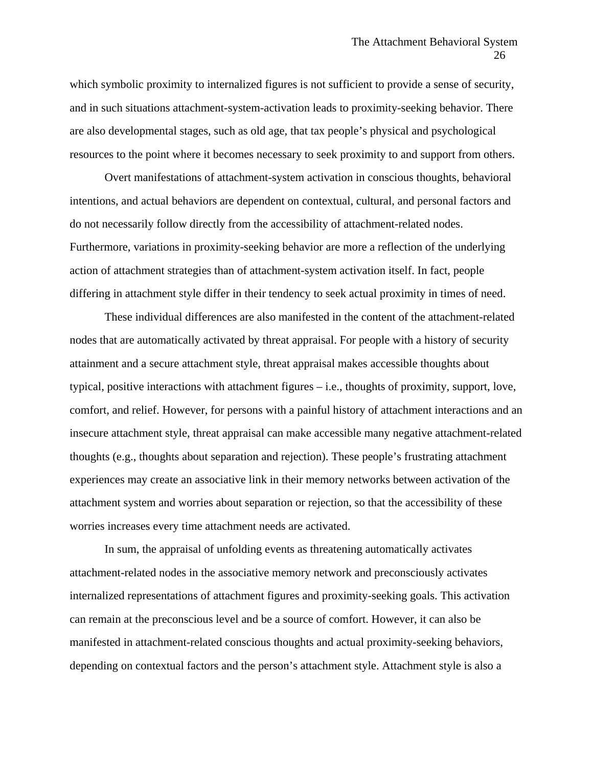which symbolic proximity to internalized figures is not sufficient to provide a sense of security, and in such situations attachment-system-activation leads to proximity-seeking behavior. There are also developmental stages, such as old age, that tax people's physical and psychological resources to the point where it becomes necessary to seek proximity to and support from others.

Overt manifestations of attachment-system activation in conscious thoughts, behavioral intentions, and actual behaviors are dependent on contextual, cultural, and personal factors and do not necessarily follow directly from the accessibility of attachment-related nodes. Furthermore, variations in proximity-seeking behavior are more a reflection of the underlying action of attachment strategies than of attachment-system activation itself. In fact, people differing in attachment style differ in their tendency to seek actual proximity in times of need.

These individual differences are also manifested in the content of the attachment-related nodes that are automatically activated by threat appraisal. For people with a history of security attainment and a secure attachment style, threat appraisal makes accessible thoughts about typical, positive interactions with attachment figures – i.e., thoughts of proximity, support, love, comfort, and relief. However, for persons with a painful history of attachment interactions and an insecure attachment style, threat appraisal can make accessible many negative attachment-related thoughts (e.g., thoughts about separation and rejection). These people's frustrating attachment experiences may create an associative link in their memory networks between activation of the attachment system and worries about separation or rejection, so that the accessibility of these worries increases every time attachment needs are activated.

In sum, the appraisal of unfolding events as threatening automatically activates attachment-related nodes in the associative memory network and preconsciously activates internalized representations of attachment figures and proximity-seeking goals. This activation can remain at the preconscious level and be a source of comfort. However, it can also be manifested in attachment-related conscious thoughts and actual proximity-seeking behaviors, depending on contextual factors and the person's attachment style. Attachment style is also a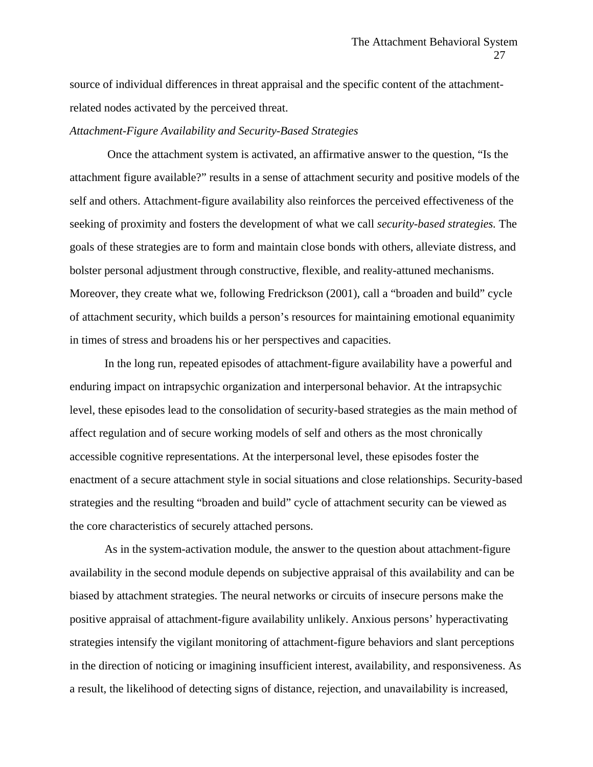source of individual differences in threat appraisal and the specific content of the attachmentrelated nodes activated by the perceived threat.

## *Attachment-Figure Availability and Security-Based Strategies*

 Once the attachment system is activated, an affirmative answer to the question, "Is the attachment figure available?" results in a sense of attachment security and positive models of the self and others. Attachment-figure availability also reinforces the perceived effectiveness of the seeking of proximity and fosters the development of what we call *security-based strategies.* The goals of these strategies are to form and maintain close bonds with others, alleviate distress, and bolster personal adjustment through constructive, flexible, and reality-attuned mechanisms. Moreover, they create what we, following Fredrickson (2001), call a "broaden and build" cycle of attachment security, which builds a person's resources for maintaining emotional equanimity in times of stress and broadens his or her perspectives and capacities.

In the long run, repeated episodes of attachment-figure availability have a powerful and enduring impact on intrapsychic organization and interpersonal behavior. At the intrapsychic level, these episodes lead to the consolidation of security-based strategies as the main method of affect regulation and of secure working models of self and others as the most chronically accessible cognitive representations. At the interpersonal level, these episodes foster the enactment of a secure attachment style in social situations and close relationships. Security-based strategies and the resulting "broaden and build" cycle of attachment security can be viewed as the core characteristics of securely attached persons.

As in the system-activation module, the answer to the question about attachment-figure availability in the second module depends on subjective appraisal of this availability and can be biased by attachment strategies. The neural networks or circuits of insecure persons make the positive appraisal of attachment-figure availability unlikely. Anxious persons' hyperactivating strategies intensify the vigilant monitoring of attachment-figure behaviors and slant perceptions in the direction of noticing or imagining insufficient interest, availability, and responsiveness. As a result, the likelihood of detecting signs of distance, rejection, and unavailability is increased,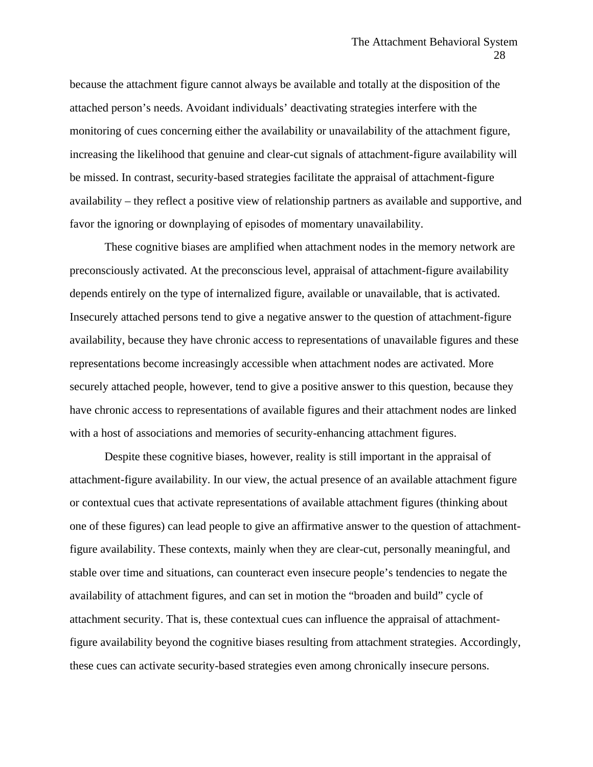because the attachment figure cannot always be available and totally at the disposition of the attached person's needs. Avoidant individuals' deactivating strategies interfere with the monitoring of cues concerning either the availability or unavailability of the attachment figure, increasing the likelihood that genuine and clear-cut signals of attachment-figure availability will be missed. In contrast, security-based strategies facilitate the appraisal of attachment-figure availability – they reflect a positive view of relationship partners as available and supportive, and favor the ignoring or downplaying of episodes of momentary unavailability.

These cognitive biases are amplified when attachment nodes in the memory network are preconsciously activated. At the preconscious level, appraisal of attachment-figure availability depends entirely on the type of internalized figure, available or unavailable, that is activated. Insecurely attached persons tend to give a negative answer to the question of attachment-figure availability, because they have chronic access to representations of unavailable figures and these representations become increasingly accessible when attachment nodes are activated. More securely attached people, however, tend to give a positive answer to this question, because they have chronic access to representations of available figures and their attachment nodes are linked with a host of associations and memories of security-enhancing attachment figures.

Despite these cognitive biases, however, reality is still important in the appraisal of attachment-figure availability. In our view, the actual presence of an available attachment figure or contextual cues that activate representations of available attachment figures (thinking about one of these figures) can lead people to give an affirmative answer to the question of attachmentfigure availability. These contexts, mainly when they are clear-cut, personally meaningful, and stable over time and situations, can counteract even insecure people's tendencies to negate the availability of attachment figures, and can set in motion the "broaden and build" cycle of attachment security. That is, these contextual cues can influence the appraisal of attachmentfigure availability beyond the cognitive biases resulting from attachment strategies. Accordingly, these cues can activate security-based strategies even among chronically insecure persons.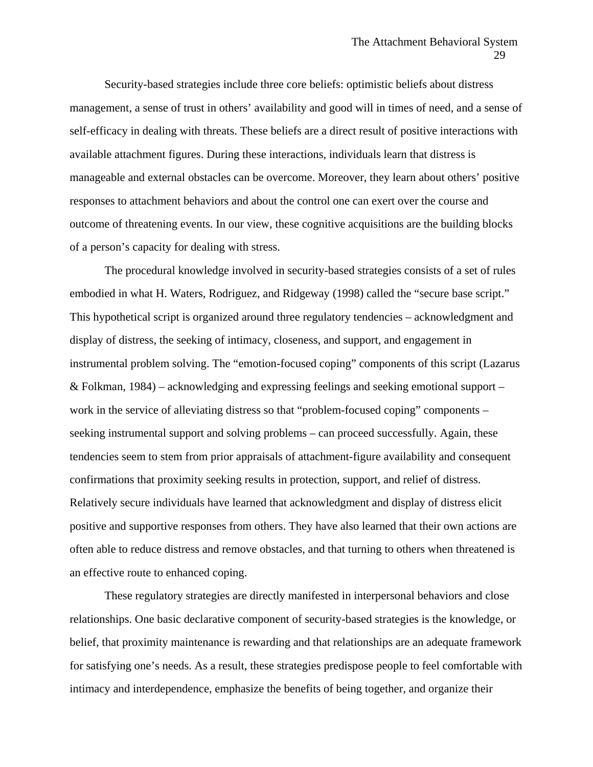Security-based strategies include three core beliefs: optimistic beliefs about distress management, a sense of trust in others' availability and good will in times of need, and a sense of self-efficacy in dealing with threats. These beliefs are a direct result of positive interactions with available attachment figures. During these interactions, individuals learn that distress is manageable and external obstacles can be overcome. Moreover, they learn about others' positive responses to attachment behaviors and about the control one can exert over the course and outcome of threatening events. In our view, these cognitive acquisitions are the building blocks of a person's capacity for dealing with stress.

The procedural knowledge involved in security-based strategies consists of a set of rules embodied in what H. Waters, Rodriguez, and Ridgeway (1998) called the "secure base script." This hypothetical script is organized around three regulatory tendencies – acknowledgment and display of distress, the seeking of intimacy, closeness, and support, and engagement in instrumental problem solving. The "emotion-focused coping" components of this script (Lazarus & Folkman, 1984) – acknowledging and expressing feelings and seeking emotional support – work in the service of alleviating distress so that "problem-focused coping" components – seeking instrumental support and solving problems – can proceed successfully. Again, these tendencies seem to stem from prior appraisals of attachment-figure availability and consequent confirmations that proximity seeking results in protection, support, and relief of distress. Relatively secure individuals have learned that acknowledgment and display of distress elicit positive and supportive responses from others. They have also learned that their own actions are often able to reduce distress and remove obstacles, and that turning to others when threatened is an effective route to enhanced coping.

These regulatory strategies are directly manifested in interpersonal behaviors and close relationships. One basic declarative component of security-based strategies is the knowledge, or belief, that proximity maintenance is rewarding and that relationships are an adequate framework for satisfying one's needs. As a result, these strategies predispose people to feel comfortable with intimacy and interdependence, emphasize the benefits of being together, and organize their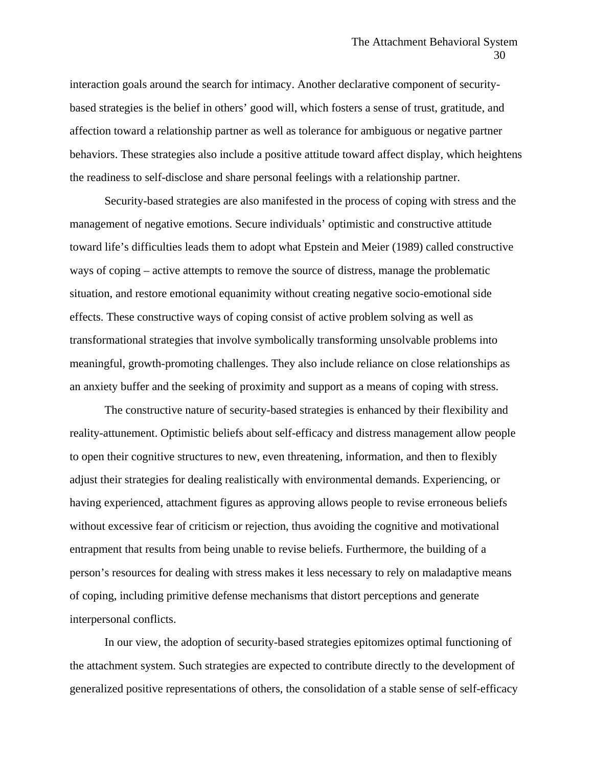interaction goals around the search for intimacy. Another declarative component of securitybased strategies is the belief in others' good will, which fosters a sense of trust, gratitude, and affection toward a relationship partner as well as tolerance for ambiguous or negative partner behaviors. These strategies also include a positive attitude toward affect display, which heightens the readiness to self-disclose and share personal feelings with a relationship partner.

Security-based strategies are also manifested in the process of coping with stress and the management of negative emotions. Secure individuals' optimistic and constructive attitude toward life's difficulties leads them to adopt what Epstein and Meier (1989) called constructive ways of coping – active attempts to remove the source of distress, manage the problematic situation, and restore emotional equanimity without creating negative socio-emotional side effects. These constructive ways of coping consist of active problem solving as well as transformational strategies that involve symbolically transforming unsolvable problems into meaningful, growth-promoting challenges. They also include reliance on close relationships as an anxiety buffer and the seeking of proximity and support as a means of coping with stress.

The constructive nature of security-based strategies is enhanced by their flexibility and reality-attunement. Optimistic beliefs about self-efficacy and distress management allow people to open their cognitive structures to new, even threatening, information, and then to flexibly adjust their strategies for dealing realistically with environmental demands. Experiencing, or having experienced, attachment figures as approving allows people to revise erroneous beliefs without excessive fear of criticism or rejection, thus avoiding the cognitive and motivational entrapment that results from being unable to revise beliefs. Furthermore, the building of a person's resources for dealing with stress makes it less necessary to rely on maladaptive means of coping, including primitive defense mechanisms that distort perceptions and generate interpersonal conflicts.

In our view, the adoption of security-based strategies epitomizes optimal functioning of the attachment system. Such strategies are expected to contribute directly to the development of generalized positive representations of others, the consolidation of a stable sense of self-efficacy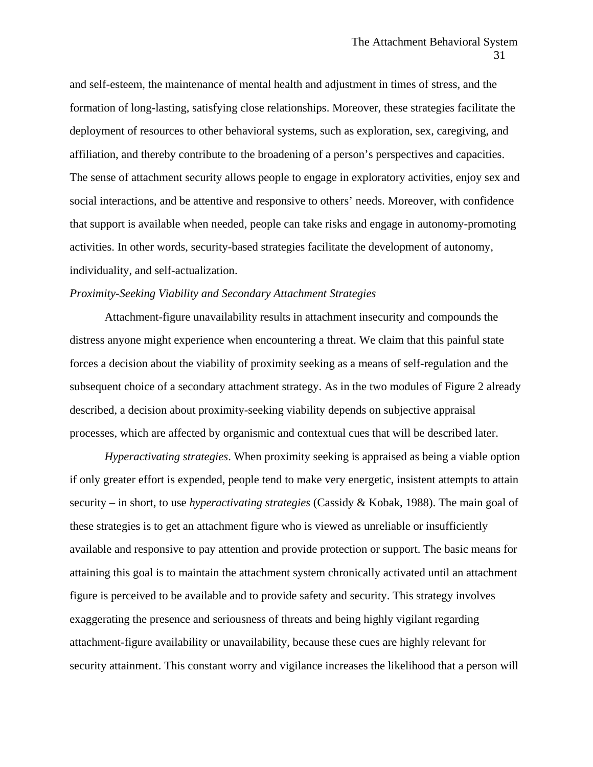and self-esteem, the maintenance of mental health and adjustment in times of stress, and the formation of long-lasting, satisfying close relationships. Moreover, these strategies facilitate the deployment of resources to other behavioral systems, such as exploration, sex, caregiving, and affiliation, and thereby contribute to the broadening of a person's perspectives and capacities. The sense of attachment security allows people to engage in exploratory activities, enjoy sex and social interactions, and be attentive and responsive to others' needs. Moreover, with confidence that support is available when needed, people can take risks and engage in autonomy-promoting activities. In other words, security-based strategies facilitate the development of autonomy, individuality, and self-actualization.

## *Proximity-Seeking Viability and Secondary Attachment Strategies*

Attachment-figure unavailability results in attachment insecurity and compounds the distress anyone might experience when encountering a threat. We claim that this painful state forces a decision about the viability of proximity seeking as a means of self-regulation and the subsequent choice of a secondary attachment strategy. As in the two modules of Figure 2 already described, a decision about proximity-seeking viability depends on subjective appraisal processes, which are affected by organismic and contextual cues that will be described later.

*Hyperactivating strategies*. When proximity seeking is appraised as being a viable option if only greater effort is expended, people tend to make very energetic, insistent attempts to attain security – in short, to use *hyperactivating strategies* (Cassidy & Kobak, 1988). The main goal of these strategies is to get an attachment figure who is viewed as unreliable or insufficiently available and responsive to pay attention and provide protection or support. The basic means for attaining this goal is to maintain the attachment system chronically activated until an attachment figure is perceived to be available and to provide safety and security. This strategy involves exaggerating the presence and seriousness of threats and being highly vigilant regarding attachment-figure availability or unavailability, because these cues are highly relevant for security attainment. This constant worry and vigilance increases the likelihood that a person will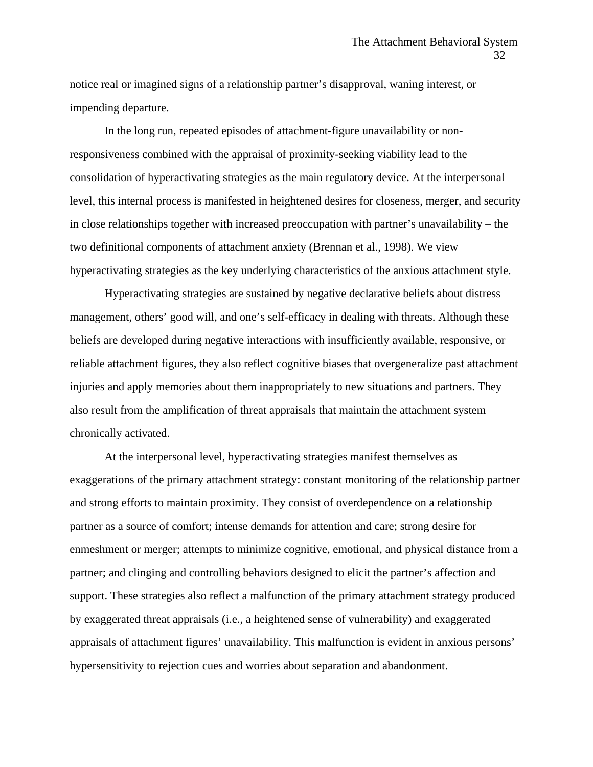notice real or imagined signs of a relationship partner's disapproval, waning interest, or impending departure.

In the long run, repeated episodes of attachment-figure unavailability or nonresponsiveness combined with the appraisal of proximity-seeking viability lead to the consolidation of hyperactivating strategies as the main regulatory device. At the interpersonal level, this internal process is manifested in heightened desires for closeness, merger, and security in close relationships together with increased preoccupation with partner's unavailability – the two definitional components of attachment anxiety (Brennan et al., 1998). We view hyperactivating strategies as the key underlying characteristics of the anxious attachment style.

Hyperactivating strategies are sustained by negative declarative beliefs about distress management, others' good will, and one's self-efficacy in dealing with threats. Although these beliefs are developed during negative interactions with insufficiently available, responsive, or reliable attachment figures, they also reflect cognitive biases that overgeneralize past attachment injuries and apply memories about them inappropriately to new situations and partners. They also result from the amplification of threat appraisals that maintain the attachment system chronically activated.

At the interpersonal level, hyperactivating strategies manifest themselves as exaggerations of the primary attachment strategy: constant monitoring of the relationship partner and strong efforts to maintain proximity. They consist of overdependence on a relationship partner as a source of comfort; intense demands for attention and care; strong desire for enmeshment or merger; attempts to minimize cognitive, emotional, and physical distance from a partner; and clinging and controlling behaviors designed to elicit the partner's affection and support. These strategies also reflect a malfunction of the primary attachment strategy produced by exaggerated threat appraisals (i.e., a heightened sense of vulnerability) and exaggerated appraisals of attachment figures' unavailability. This malfunction is evident in anxious persons' hypersensitivity to rejection cues and worries about separation and abandonment.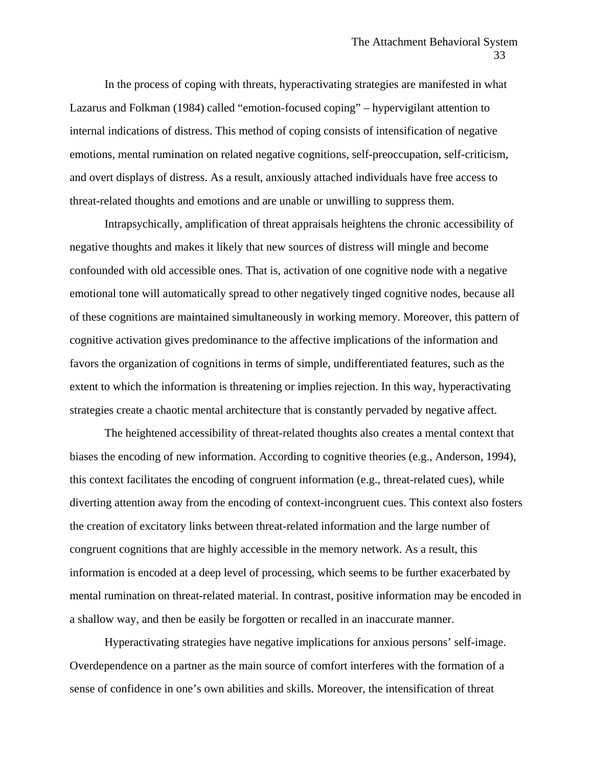In the process of coping with threats, hyperactivating strategies are manifested in what Lazarus and Folkman (1984) called "emotion-focused coping" – hypervigilant attention to internal indications of distress. This method of coping consists of intensification of negative emotions, mental rumination on related negative cognitions, self-preoccupation, self-criticism, and overt displays of distress. As a result, anxiously attached individuals have free access to threat-related thoughts and emotions and are unable or unwilling to suppress them.

Intrapsychically, amplification of threat appraisals heightens the chronic accessibility of negative thoughts and makes it likely that new sources of distress will mingle and become confounded with old accessible ones. That is, activation of one cognitive node with a negative emotional tone will automatically spread to other negatively tinged cognitive nodes, because all of these cognitions are maintained simultaneously in working memory. Moreover, this pattern of cognitive activation gives predominance to the affective implications of the information and favors the organization of cognitions in terms of simple, undifferentiated features, such as the extent to which the information is threatening or implies rejection. In this way, hyperactivating strategies create a chaotic mental architecture that is constantly pervaded by negative affect.

The heightened accessibility of threat-related thoughts also creates a mental context that biases the encoding of new information. According to cognitive theories (e.g., Anderson, 1994), this context facilitates the encoding of congruent information (e.g., threat-related cues), while diverting attention away from the encoding of context-incongruent cues. This context also fosters the creation of excitatory links between threat-related information and the large number of congruent cognitions that are highly accessible in the memory network. As a result, this information is encoded at a deep level of processing, which seems to be further exacerbated by mental rumination on threat-related material. In contrast, positive information may be encoded in a shallow way, and then be easily be forgotten or recalled in an inaccurate manner.

Hyperactivating strategies have negative implications for anxious persons' self-image. Overdependence on a partner as the main source of comfort interferes with the formation of a sense of confidence in one's own abilities and skills. Moreover, the intensification of threat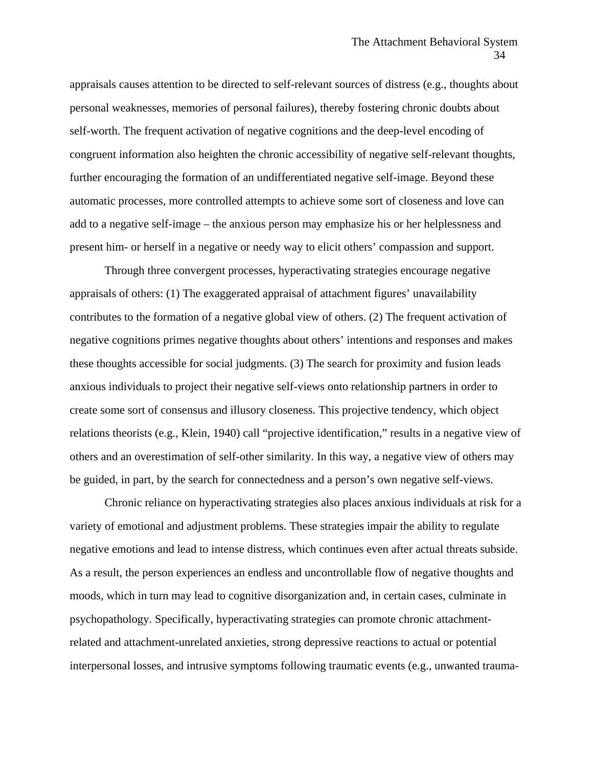appraisals causes attention to be directed to self-relevant sources of distress (e.g., thoughts about personal weaknesses, memories of personal failures), thereby fostering chronic doubts about self-worth. The frequent activation of negative cognitions and the deep-level encoding of congruent information also heighten the chronic accessibility of negative self-relevant thoughts, further encouraging the formation of an undifferentiated negative self-image. Beyond these automatic processes, more controlled attempts to achieve some sort of closeness and love can add to a negative self-image – the anxious person may emphasize his or her helplessness and present him- or herself in a negative or needy way to elicit others' compassion and support.

Through three convergent processes, hyperactivating strategies encourage negative appraisals of others: (1) The exaggerated appraisal of attachment figures' unavailability contributes to the formation of a negative global view of others. (2) The frequent activation of negative cognitions primes negative thoughts about others' intentions and responses and makes these thoughts accessible for social judgments. (3) The search for proximity and fusion leads anxious individuals to project their negative self-views onto relationship partners in order to create some sort of consensus and illusory closeness. This projective tendency, which object relations theorists (e.g., Klein, 1940) call "projective identification," results in a negative view of others and an overestimation of self-other similarity. In this way, a negative view of others may be guided, in part, by the search for connectedness and a person's own negative self-views.

Chronic reliance on hyperactivating strategies also places anxious individuals at risk for a variety of emotional and adjustment problems. These strategies impair the ability to regulate negative emotions and lead to intense distress, which continues even after actual threats subside. As a result, the person experiences an endless and uncontrollable flow of negative thoughts and moods, which in turn may lead to cognitive disorganization and, in certain cases, culminate in psychopathology. Specifically, hyperactivating strategies can promote chronic attachmentrelated and attachment-unrelated anxieties, strong depressive reactions to actual or potential interpersonal losses, and intrusive symptoms following traumatic events (e.g., unwanted trauma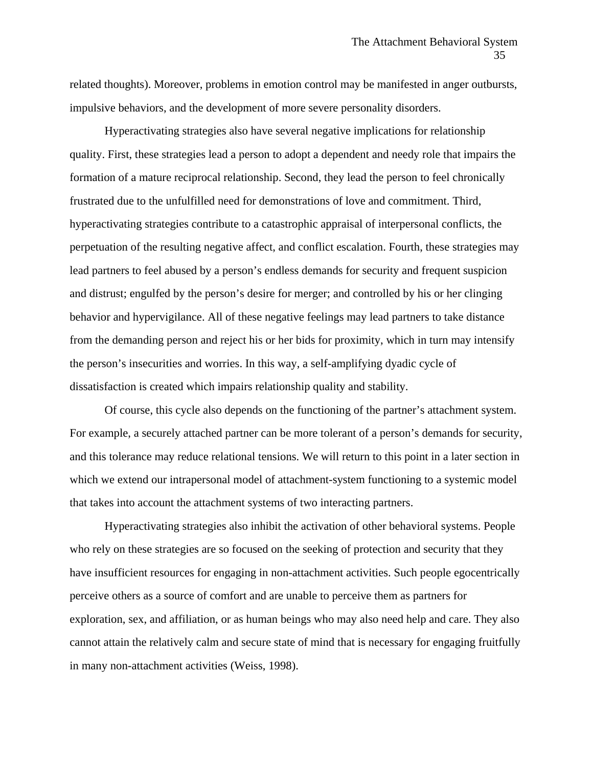related thoughts). Moreover, problems in emotion control may be manifested in anger outbursts, impulsive behaviors, and the development of more severe personality disorders.

Hyperactivating strategies also have several negative implications for relationship quality. First, these strategies lead a person to adopt a dependent and needy role that impairs the formation of a mature reciprocal relationship. Second, they lead the person to feel chronically frustrated due to the unfulfilled need for demonstrations of love and commitment. Third, hyperactivating strategies contribute to a catastrophic appraisal of interpersonal conflicts, the perpetuation of the resulting negative affect, and conflict escalation. Fourth, these strategies may lead partners to feel abused by a person's endless demands for security and frequent suspicion and distrust; engulfed by the person's desire for merger; and controlled by his or her clinging behavior and hypervigilance. All of these negative feelings may lead partners to take distance from the demanding person and reject his or her bids for proximity, which in turn may intensify the person's insecurities and worries. In this way, a self-amplifying dyadic cycle of dissatisfaction is created which impairs relationship quality and stability.

Of course, this cycle also depends on the functioning of the partner's attachment system. For example, a securely attached partner can be more tolerant of a person's demands for security, and this tolerance may reduce relational tensions. We will return to this point in a later section in which we extend our intrapersonal model of attachment-system functioning to a systemic model that takes into account the attachment systems of two interacting partners.

Hyperactivating strategies also inhibit the activation of other behavioral systems. People who rely on these strategies are so focused on the seeking of protection and security that they have insufficient resources for engaging in non-attachment activities. Such people egocentrically perceive others as a source of comfort and are unable to perceive them as partners for exploration, sex, and affiliation, or as human beings who may also need help and care. They also cannot attain the relatively calm and secure state of mind that is necessary for engaging fruitfully in many non-attachment activities (Weiss, 1998).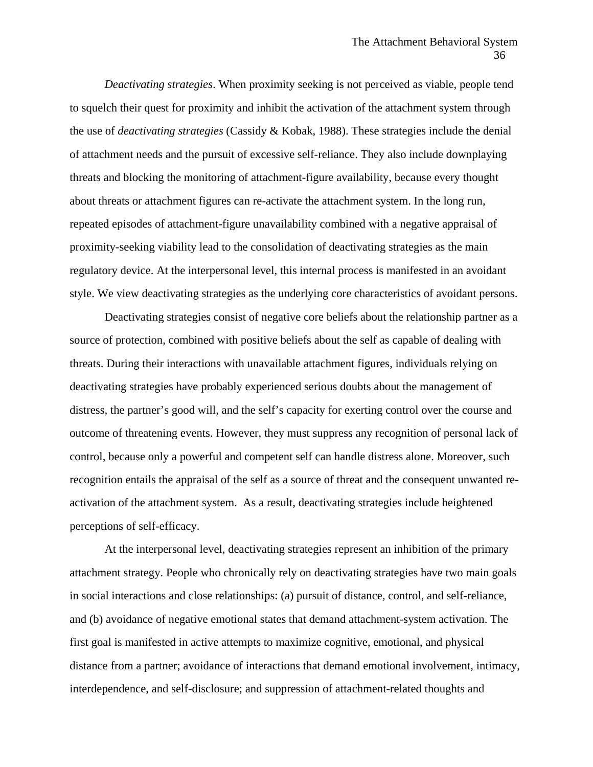*Deactivating strategies*. When proximity seeking is not perceived as viable, people tend to squelch their quest for proximity and inhibit the activation of the attachment system through the use of *deactivating strategies* (Cassidy & Kobak, 1988). These strategies include the denial of attachment needs and the pursuit of excessive self-reliance. They also include downplaying threats and blocking the monitoring of attachment-figure availability, because every thought about threats or attachment figures can re-activate the attachment system. In the long run, repeated episodes of attachment-figure unavailability combined with a negative appraisal of proximity-seeking viability lead to the consolidation of deactivating strategies as the main regulatory device. At the interpersonal level, this internal process is manifested in an avoidant style. We view deactivating strategies as the underlying core characteristics of avoidant persons.

Deactivating strategies consist of negative core beliefs about the relationship partner as a source of protection, combined with positive beliefs about the self as capable of dealing with threats. During their interactions with unavailable attachment figures, individuals relying on deactivating strategies have probably experienced serious doubts about the management of distress, the partner's good will, and the self's capacity for exerting control over the course and outcome of threatening events. However, they must suppress any recognition of personal lack of control, because only a powerful and competent self can handle distress alone. Moreover, such recognition entails the appraisal of the self as a source of threat and the consequent unwanted reactivation of the attachment system. As a result, deactivating strategies include heightened perceptions of self-efficacy.

At the interpersonal level, deactivating strategies represent an inhibition of the primary attachment strategy. People who chronically rely on deactivating strategies have two main goals in social interactions and close relationships: (a) pursuit of distance, control, and self-reliance, and (b) avoidance of negative emotional states that demand attachment-system activation. The first goal is manifested in active attempts to maximize cognitive, emotional, and physical distance from a partner; avoidance of interactions that demand emotional involvement, intimacy, interdependence, and self-disclosure; and suppression of attachment-related thoughts and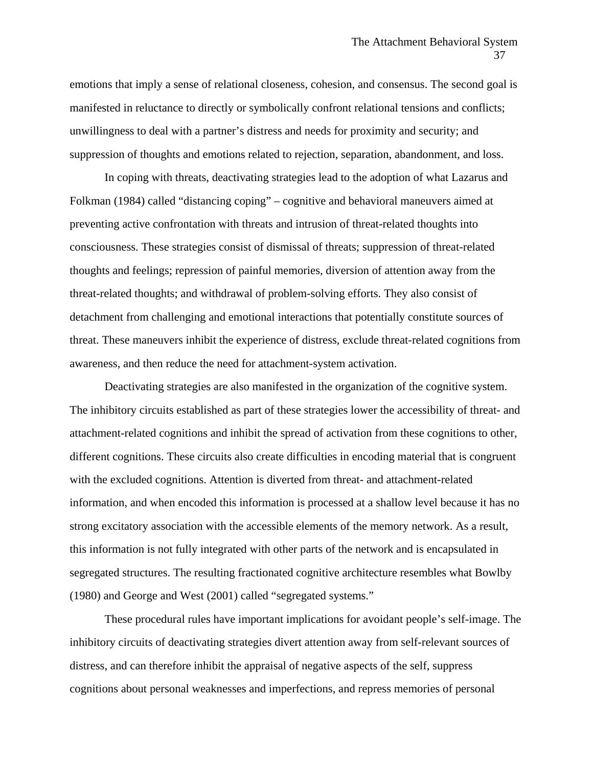emotions that imply a sense of relational closeness, cohesion, and consensus. The second goal is manifested in reluctance to directly or symbolically confront relational tensions and conflicts; unwillingness to deal with a partner's distress and needs for proximity and security; and suppression of thoughts and emotions related to rejection, separation, abandonment, and loss.

In coping with threats, deactivating strategies lead to the adoption of what Lazarus and Folkman (1984) called "distancing coping" – cognitive and behavioral maneuvers aimed at preventing active confrontation with threats and intrusion of threat-related thoughts into consciousness. These strategies consist of dismissal of threats; suppression of threat-related thoughts and feelings; repression of painful memories, diversion of attention away from the threat-related thoughts; and withdrawal of problem-solving efforts. They also consist of detachment from challenging and emotional interactions that potentially constitute sources of threat. These maneuvers inhibit the experience of distress, exclude threat-related cognitions from awareness, and then reduce the need for attachment-system activation.

Deactivating strategies are also manifested in the organization of the cognitive system. The inhibitory circuits established as part of these strategies lower the accessibility of threat- and attachment-related cognitions and inhibit the spread of activation from these cognitions to other, different cognitions. These circuits also create difficulties in encoding material that is congruent with the excluded cognitions. Attention is diverted from threat- and attachment-related information, and when encoded this information is processed at a shallow level because it has no strong excitatory association with the accessible elements of the memory network. As a result, this information is not fully integrated with other parts of the network and is encapsulated in segregated structures. The resulting fractionated cognitive architecture resembles what Bowlby (1980) and George and West (2001) called "segregated systems."

These procedural rules have important implications for avoidant people's self-image. The inhibitory circuits of deactivating strategies divert attention away from self-relevant sources of distress, and can therefore inhibit the appraisal of negative aspects of the self, suppress cognitions about personal weaknesses and imperfections, and repress memories of personal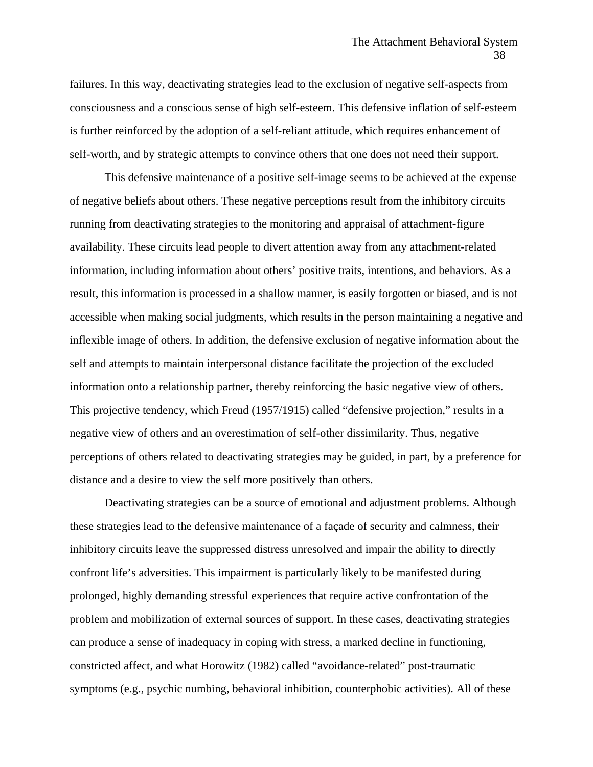failures. In this way, deactivating strategies lead to the exclusion of negative self-aspects from consciousness and a conscious sense of high self-esteem. This defensive inflation of self-esteem is further reinforced by the adoption of a self-reliant attitude, which requires enhancement of self-worth, and by strategic attempts to convince others that one does not need their support.

This defensive maintenance of a positive self-image seems to be achieved at the expense of negative beliefs about others. These negative perceptions result from the inhibitory circuits running from deactivating strategies to the monitoring and appraisal of attachment-figure availability. These circuits lead people to divert attention away from any attachment-related information, including information about others' positive traits, intentions, and behaviors. As a result, this information is processed in a shallow manner, is easily forgotten or biased, and is not accessible when making social judgments, which results in the person maintaining a negative and inflexible image of others. In addition, the defensive exclusion of negative information about the self and attempts to maintain interpersonal distance facilitate the projection of the excluded information onto a relationship partner, thereby reinforcing the basic negative view of others. This projective tendency, which Freud (1957/1915) called "defensive projection," results in a negative view of others and an overestimation of self-other dissimilarity. Thus, negative perceptions of others related to deactivating strategies may be guided, in part, by a preference for distance and a desire to view the self more positively than others.

Deactivating strategies can be a source of emotional and adjustment problems. Although these strategies lead to the defensive maintenance of a façade of security and calmness, their inhibitory circuits leave the suppressed distress unresolved and impair the ability to directly confront life's adversities. This impairment is particularly likely to be manifested during prolonged, highly demanding stressful experiences that require active confrontation of the problem and mobilization of external sources of support. In these cases, deactivating strategies can produce a sense of inadequacy in coping with stress, a marked decline in functioning, constricted affect, and what Horowitz (1982) called "avoidance-related" post-traumatic symptoms (e.g., psychic numbing, behavioral inhibition, counterphobic activities). All of these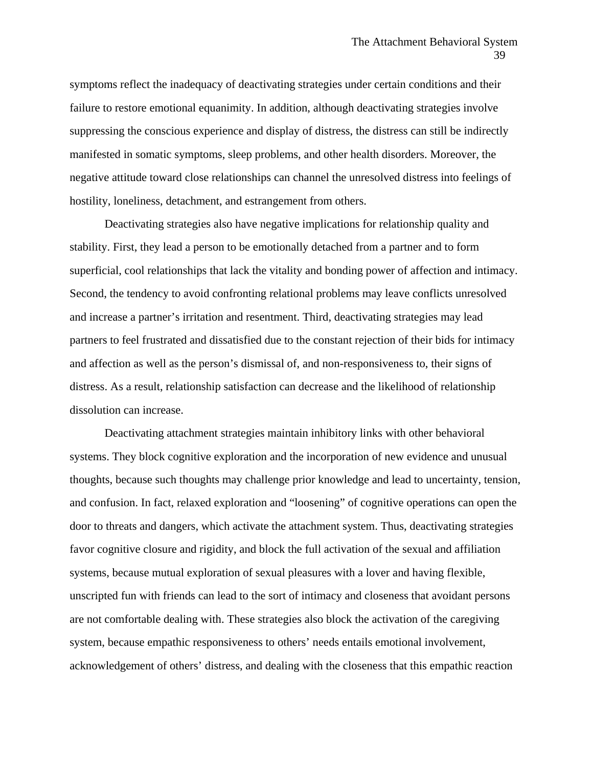symptoms reflect the inadequacy of deactivating strategies under certain conditions and their failure to restore emotional equanimity. In addition, although deactivating strategies involve suppressing the conscious experience and display of distress, the distress can still be indirectly manifested in somatic symptoms, sleep problems, and other health disorders. Moreover, the negative attitude toward close relationships can channel the unresolved distress into feelings of hostility, loneliness, detachment, and estrangement from others.

Deactivating strategies also have negative implications for relationship quality and stability. First, they lead a person to be emotionally detached from a partner and to form superficial, cool relationships that lack the vitality and bonding power of affection and intimacy. Second, the tendency to avoid confronting relational problems may leave conflicts unresolved and increase a partner's irritation and resentment. Third, deactivating strategies may lead partners to feel frustrated and dissatisfied due to the constant rejection of their bids for intimacy and affection as well as the person's dismissal of, and non-responsiveness to, their signs of distress. As a result, relationship satisfaction can decrease and the likelihood of relationship dissolution can increase.

Deactivating attachment strategies maintain inhibitory links with other behavioral systems. They block cognitive exploration and the incorporation of new evidence and unusual thoughts, because such thoughts may challenge prior knowledge and lead to uncertainty, tension, and confusion. In fact, relaxed exploration and "loosening" of cognitive operations can open the door to threats and dangers, which activate the attachment system. Thus, deactivating strategies favor cognitive closure and rigidity, and block the full activation of the sexual and affiliation systems, because mutual exploration of sexual pleasures with a lover and having flexible, unscripted fun with friends can lead to the sort of intimacy and closeness that avoidant persons are not comfortable dealing with. These strategies also block the activation of the caregiving system, because empathic responsiveness to others' needs entails emotional involvement, acknowledgement of others' distress, and dealing with the closeness that this empathic reaction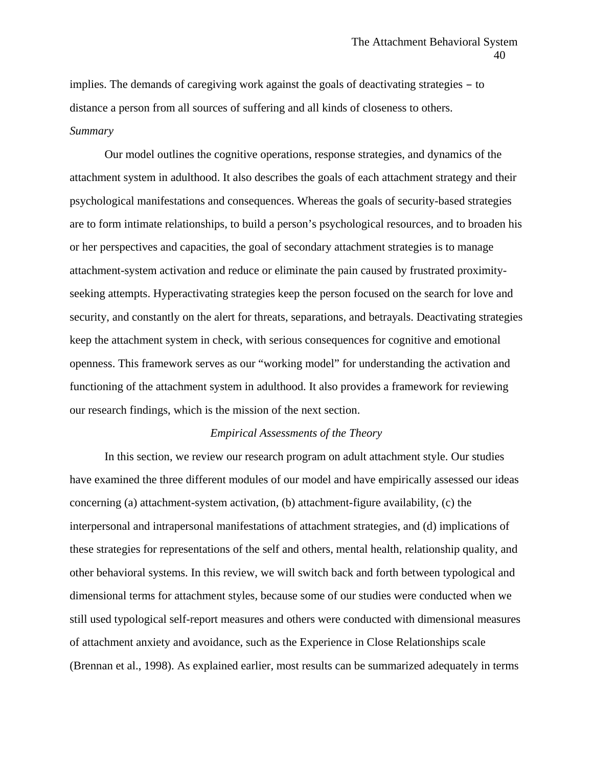implies. The demands of caregiving work against the goals of deactivating strategies – to distance a person from all sources of suffering and all kinds of closeness to others. *Summary* 

Our model outlines the cognitive operations, response strategies, and dynamics of the attachment system in adulthood. It also describes the goals of each attachment strategy and their psychological manifestations and consequences. Whereas the goals of security-based strategies are to form intimate relationships, to build a person's psychological resources, and to broaden his or her perspectives and capacities, the goal of secondary attachment strategies is to manage attachment-system activation and reduce or eliminate the pain caused by frustrated proximityseeking attempts. Hyperactivating strategies keep the person focused on the search for love and security, and constantly on the alert for threats, separations, and betrayals. Deactivating strategies keep the attachment system in check, with serious consequences for cognitive and emotional openness. This framework serves as our "working model" for understanding the activation and functioning of the attachment system in adulthood. It also provides a framework for reviewing our research findings, which is the mission of the next section.

## *Empirical Assessments of the Theory*

In this section, we review our research program on adult attachment style. Our studies have examined the three different modules of our model and have empirically assessed our ideas concerning (a) attachment-system activation, (b) attachment-figure availability, (c) the interpersonal and intrapersonal manifestations of attachment strategies, and (d) implications of these strategies for representations of the self and others, mental health, relationship quality, and other behavioral systems. In this review, we will switch back and forth between typological and dimensional terms for attachment styles, because some of our studies were conducted when we still used typological self-report measures and others were conducted with dimensional measures of attachment anxiety and avoidance, such as the Experience in Close Relationships scale (Brennan et al., 1998). As explained earlier, most results can be summarized adequately in terms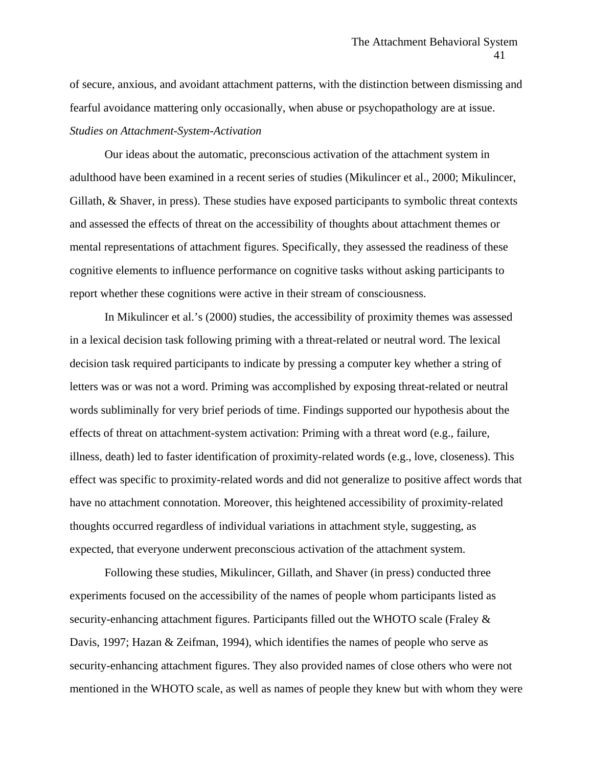of secure, anxious, and avoidant attachment patterns, with the distinction between dismissing and fearful avoidance mattering only occasionally, when abuse or psychopathology are at issue. *Studies on Attachment-System-Activation* 

Our ideas about the automatic, preconscious activation of the attachment system in adulthood have been examined in a recent series of studies (Mikulincer et al., 2000; Mikulincer, Gillath, & Shaver, in press). These studies have exposed participants to symbolic threat contexts and assessed the effects of threat on the accessibility of thoughts about attachment themes or mental representations of attachment figures. Specifically, they assessed the readiness of these cognitive elements to influence performance on cognitive tasks without asking participants to report whether these cognitions were active in their stream of consciousness.

In Mikulincer et al.'s (2000) studies, the accessibility of proximity themes was assessed in a lexical decision task following priming with a threat-related or neutral word. The lexical decision task required participants to indicate by pressing a computer key whether a string of letters was or was not a word. Priming was accomplished by exposing threat-related or neutral words subliminally for very brief periods of time. Findings supported our hypothesis about the effects of threat on attachment-system activation: Priming with a threat word (e.g., failure, illness, death) led to faster identification of proximity-related words (e.g., love, closeness). This effect was specific to proximity-related words and did not generalize to positive affect words that have no attachment connotation. Moreover, this heightened accessibility of proximity-related thoughts occurred regardless of individual variations in attachment style, suggesting, as expected, that everyone underwent preconscious activation of the attachment system.

Following these studies, Mikulincer, Gillath, and Shaver (in press) conducted three experiments focused on the accessibility of the names of people whom participants listed as security-enhancing attachment figures. Participants filled out the WHOTO scale (Fraley & Davis, 1997; Hazan & Zeifman, 1994), which identifies the names of people who serve as security-enhancing attachment figures. They also provided names of close others who were not mentioned in the WHOTO scale, as well as names of people they knew but with whom they were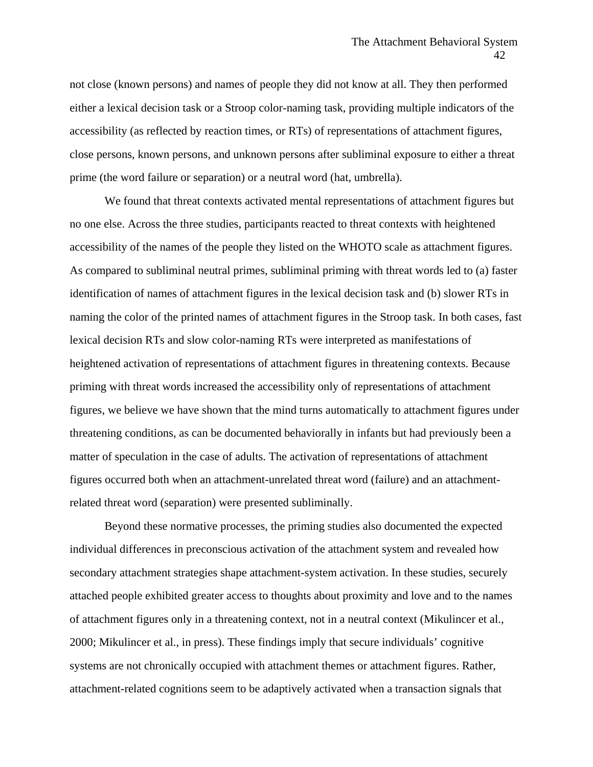not close (known persons) and names of people they did not know at all. They then performed either a lexical decision task or a Stroop color-naming task, providing multiple indicators of the accessibility (as reflected by reaction times, or RTs) of representations of attachment figures, close persons, known persons, and unknown persons after subliminal exposure to either a threat prime (the word failure or separation) or a neutral word (hat, umbrella).

We found that threat contexts activated mental representations of attachment figures but no one else. Across the three studies, participants reacted to threat contexts with heightened accessibility of the names of the people they listed on the WHOTO scale as attachment figures. As compared to subliminal neutral primes, subliminal priming with threat words led to (a) faster identification of names of attachment figures in the lexical decision task and (b) slower RTs in naming the color of the printed names of attachment figures in the Stroop task. In both cases, fast lexical decision RTs and slow color-naming RTs were interpreted as manifestations of heightened activation of representations of attachment figures in threatening contexts. Because priming with threat words increased the accessibility only of representations of attachment figures, we believe we have shown that the mind turns automatically to attachment figures under threatening conditions, as can be documented behaviorally in infants but had previously been a matter of speculation in the case of adults. The activation of representations of attachment figures occurred both when an attachment-unrelated threat word (failure) and an attachmentrelated threat word (separation) were presented subliminally.

Beyond these normative processes, the priming studies also documented the expected individual differences in preconscious activation of the attachment system and revealed how secondary attachment strategies shape attachment-system activation. In these studies, securely attached people exhibited greater access to thoughts about proximity and love and to the names of attachment figures only in a threatening context, not in a neutral context (Mikulincer et al., 2000; Mikulincer et al., in press). These findings imply that secure individuals' cognitive systems are not chronically occupied with attachment themes or attachment figures. Rather, attachment-related cognitions seem to be adaptively activated when a transaction signals that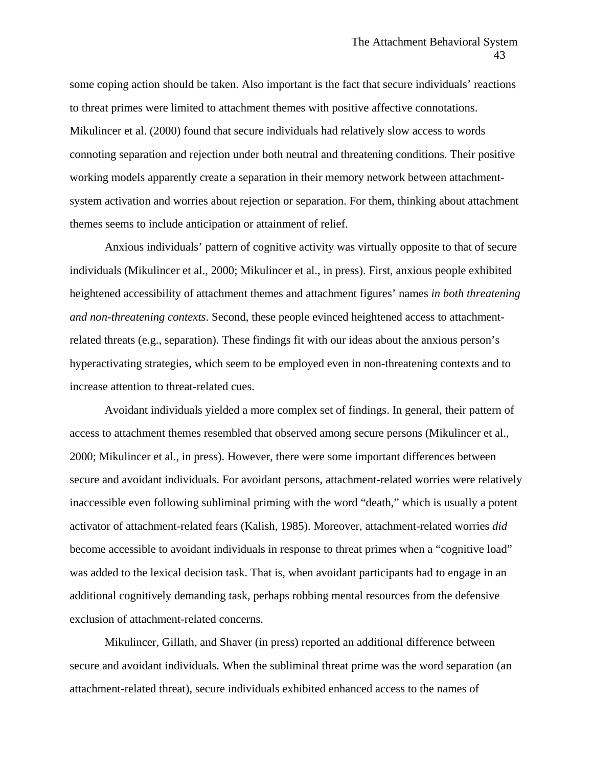some coping action should be taken. Also important is the fact that secure individuals' reactions to threat primes were limited to attachment themes with positive affective connotations. Mikulincer et al. (2000) found that secure individuals had relatively slow access to words connoting separation and rejection under both neutral and threatening conditions. Their positive working models apparently create a separation in their memory network between attachmentsystem activation and worries about rejection or separation. For them, thinking about attachment themes seems to include anticipation or attainment of relief.

Anxious individuals' pattern of cognitive activity was virtually opposite to that of secure individuals (Mikulincer et al., 2000; Mikulincer et al., in press). First, anxious people exhibited heightened accessibility of attachment themes and attachment figures' names *in both threatening and non-threatening contexts*. Second, these people evinced heightened access to attachmentrelated threats (e.g., separation). These findings fit with our ideas about the anxious person's hyperactivating strategies, which seem to be employed even in non-threatening contexts and to increase attention to threat-related cues.

Avoidant individuals yielded a more complex set of findings. In general, their pattern of access to attachment themes resembled that observed among secure persons (Mikulincer et al., 2000; Mikulincer et al., in press). However, there were some important differences between secure and avoidant individuals. For avoidant persons, attachment-related worries were relatively inaccessible even following subliminal priming with the word "death," which is usually a potent activator of attachment-related fears (Kalish, 1985). Moreover, attachment-related worries *did* become accessible to avoidant individuals in response to threat primes when a "cognitive load" was added to the lexical decision task. That is, when avoidant participants had to engage in an additional cognitively demanding task, perhaps robbing mental resources from the defensive exclusion of attachment-related concerns.

Mikulincer, Gillath, and Shaver (in press) reported an additional difference between secure and avoidant individuals. When the subliminal threat prime was the word separation (an attachment-related threat), secure individuals exhibited enhanced access to the names of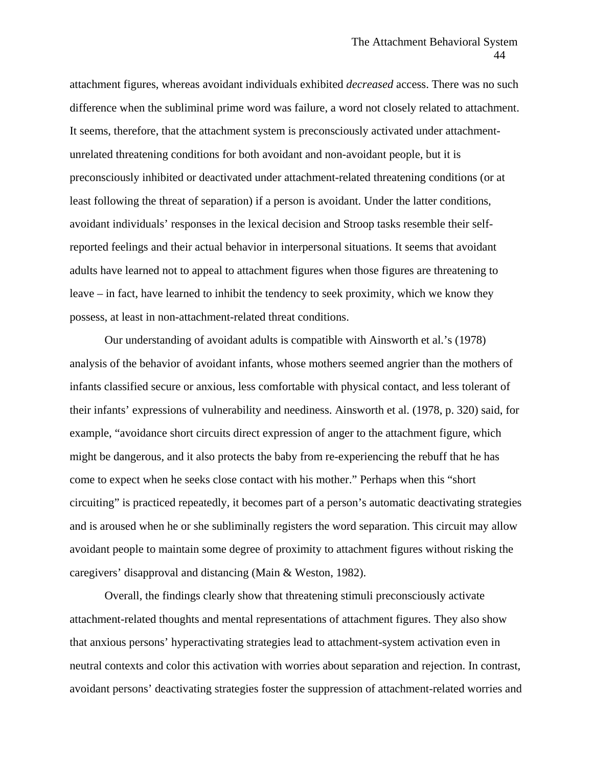attachment figures, whereas avoidant individuals exhibited *decreased* access. There was no such difference when the subliminal prime word was failure, a word not closely related to attachment. It seems, therefore, that the attachment system is preconsciously activated under attachmentunrelated threatening conditions for both avoidant and non-avoidant people, but it is preconsciously inhibited or deactivated under attachment-related threatening conditions (or at least following the threat of separation) if a person is avoidant. Under the latter conditions, avoidant individuals' responses in the lexical decision and Stroop tasks resemble their selfreported feelings and their actual behavior in interpersonal situations. It seems that avoidant adults have learned not to appeal to attachment figures when those figures are threatening to leave – in fact, have learned to inhibit the tendency to seek proximity, which we know they possess, at least in non-attachment-related threat conditions.

Our understanding of avoidant adults is compatible with Ainsworth et al.'s (1978) analysis of the behavior of avoidant infants, whose mothers seemed angrier than the mothers of infants classified secure or anxious, less comfortable with physical contact, and less tolerant of their infants' expressions of vulnerability and neediness. Ainsworth et al. (1978, p. 320) said, for example, "avoidance short circuits direct expression of anger to the attachment figure, which might be dangerous, and it also protects the baby from re-experiencing the rebuff that he has come to expect when he seeks close contact with his mother." Perhaps when this "short circuiting" is practiced repeatedly, it becomes part of a person's automatic deactivating strategies and is aroused when he or she subliminally registers the word separation. This circuit may allow avoidant people to maintain some degree of proximity to attachment figures without risking the caregivers' disapproval and distancing (Main & Weston, 1982).

Overall, the findings clearly show that threatening stimuli preconsciously activate attachment-related thoughts and mental representations of attachment figures. They also show that anxious persons' hyperactivating strategies lead to attachment-system activation even in neutral contexts and color this activation with worries about separation and rejection. In contrast, avoidant persons' deactivating strategies foster the suppression of attachment-related worries and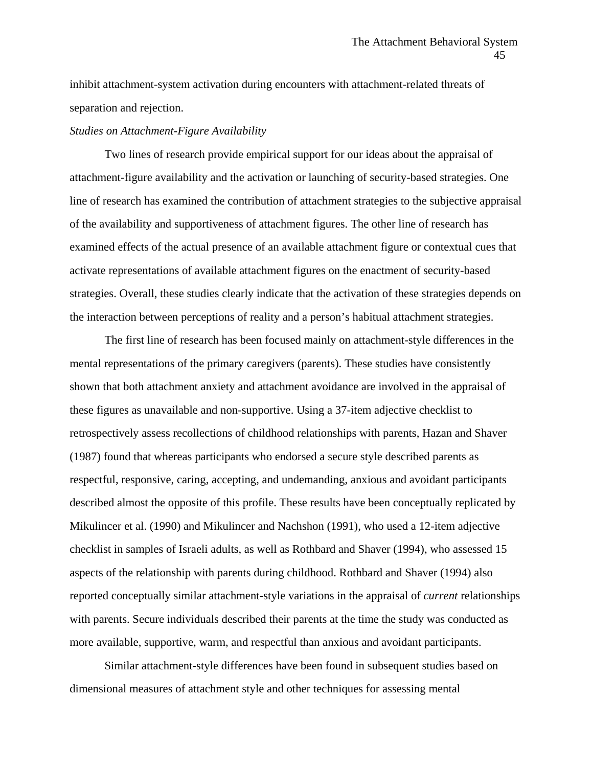inhibit attachment-system activation during encounters with attachment-related threats of separation and rejection.

## *Studies on Attachment-Figure Availability*

Two lines of research provide empirical support for our ideas about the appraisal of attachment-figure availability and the activation or launching of security-based strategies. One line of research has examined the contribution of attachment strategies to the subjective appraisal of the availability and supportiveness of attachment figures. The other line of research has examined effects of the actual presence of an available attachment figure or contextual cues that activate representations of available attachment figures on the enactment of security-based strategies. Overall, these studies clearly indicate that the activation of these strategies depends on the interaction between perceptions of reality and a person's habitual attachment strategies.

The first line of research has been focused mainly on attachment-style differences in the mental representations of the primary caregivers (parents). These studies have consistently shown that both attachment anxiety and attachment avoidance are involved in the appraisal of these figures as unavailable and non-supportive. Using a 37-item adjective checklist to retrospectively assess recollections of childhood relationships with parents, Hazan and Shaver (1987) found that whereas participants who endorsed a secure style described parents as respectful, responsive, caring, accepting, and undemanding, anxious and avoidant participants described almost the opposite of this profile. These results have been conceptually replicated by Mikulincer et al. (1990) and Mikulincer and Nachshon (1991), who used a 12-item adjective checklist in samples of Israeli adults, as well as Rothbard and Shaver (1994), who assessed 15 aspects of the relationship with parents during childhood. Rothbard and Shaver (1994) also reported conceptually similar attachment-style variations in the appraisal of *current* relationships with parents. Secure individuals described their parents at the time the study was conducted as more available, supportive, warm, and respectful than anxious and avoidant participants.

Similar attachment-style differences have been found in subsequent studies based on dimensional measures of attachment style and other techniques for assessing mental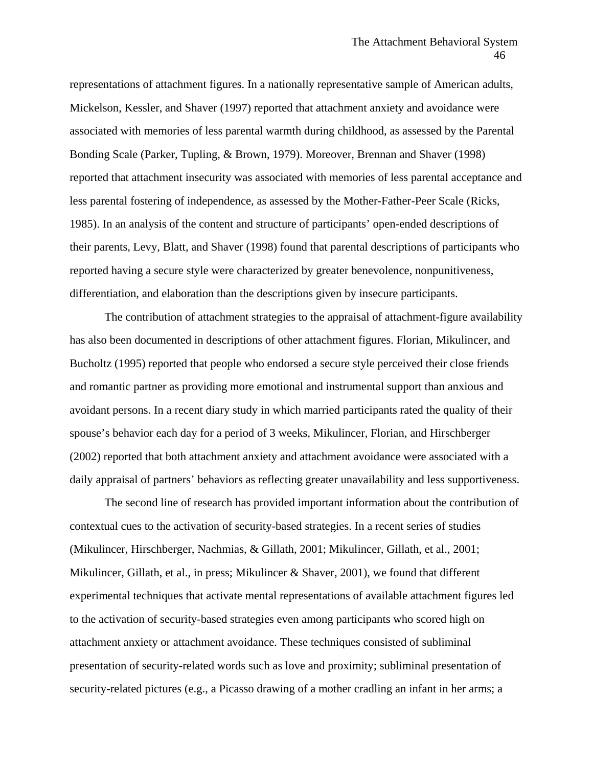representations of attachment figures. In a nationally representative sample of American adults, Mickelson, Kessler, and Shaver (1997) reported that attachment anxiety and avoidance were associated with memories of less parental warmth during childhood, as assessed by the Parental Bonding Scale (Parker, Tupling, & Brown, 1979). Moreover, Brennan and Shaver (1998) reported that attachment insecurity was associated with memories of less parental acceptance and less parental fostering of independence, as assessed by the Mother-Father-Peer Scale (Ricks, 1985). In an analysis of the content and structure of participants' open-ended descriptions of their parents, Levy, Blatt, and Shaver (1998) found that parental descriptions of participants who reported having a secure style were characterized by greater benevolence, nonpunitiveness, differentiation, and elaboration than the descriptions given by insecure participants.

The contribution of attachment strategies to the appraisal of attachment-figure availability has also been documented in descriptions of other attachment figures. Florian, Mikulincer, and Bucholtz (1995) reported that people who endorsed a secure style perceived their close friends and romantic partner as providing more emotional and instrumental support than anxious and avoidant persons. In a recent diary study in which married participants rated the quality of their spouse's behavior each day for a period of 3 weeks, Mikulincer, Florian, and Hirschberger (2002) reported that both attachment anxiety and attachment avoidance were associated with a daily appraisal of partners' behaviors as reflecting greater unavailability and less supportiveness.

The second line of research has provided important information about the contribution of contextual cues to the activation of security-based strategies. In a recent series of studies (Mikulincer, Hirschberger, Nachmias, & Gillath, 2001; Mikulincer, Gillath, et al., 2001; Mikulincer, Gillath, et al., in press; Mikulincer & Shaver, 2001), we found that different experimental techniques that activate mental representations of available attachment figures led to the activation of security-based strategies even among participants who scored high on attachment anxiety or attachment avoidance. These techniques consisted of subliminal presentation of security-related words such as love and proximity; subliminal presentation of security-related pictures (e.g., a Picasso drawing of a mother cradling an infant in her arms; a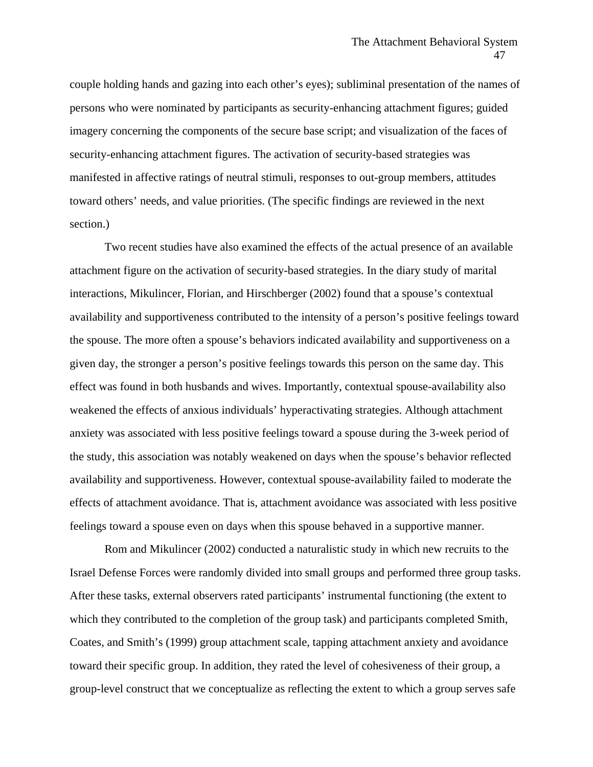couple holding hands and gazing into each other's eyes); subliminal presentation of the names of persons who were nominated by participants as security-enhancing attachment figures; guided imagery concerning the components of the secure base script; and visualization of the faces of security-enhancing attachment figures. The activation of security-based strategies was manifested in affective ratings of neutral stimuli, responses to out-group members, attitudes toward others' needs, and value priorities. (The specific findings are reviewed in the next section.)

Two recent studies have also examined the effects of the actual presence of an available attachment figure on the activation of security-based strategies. In the diary study of marital interactions, Mikulincer, Florian, and Hirschberger (2002) found that a spouse's contextual availability and supportiveness contributed to the intensity of a person's positive feelings toward the spouse. The more often a spouse's behaviors indicated availability and supportiveness on a given day, the stronger a person's positive feelings towards this person on the same day. This effect was found in both husbands and wives. Importantly, contextual spouse-availability also weakened the effects of anxious individuals' hyperactivating strategies. Although attachment anxiety was associated with less positive feelings toward a spouse during the 3-week period of the study, this association was notably weakened on days when the spouse's behavior reflected availability and supportiveness. However, contextual spouse-availability failed to moderate the effects of attachment avoidance. That is, attachment avoidance was associated with less positive feelings toward a spouse even on days when this spouse behaved in a supportive manner.

Rom and Mikulincer (2002) conducted a naturalistic study in which new recruits to the Israel Defense Forces were randomly divided into small groups and performed three group tasks. After these tasks, external observers rated participants' instrumental functioning (the extent to which they contributed to the completion of the group task) and participants completed Smith, Coates, and Smith's (1999) group attachment scale, tapping attachment anxiety and avoidance toward their specific group. In addition, they rated the level of cohesiveness of their group, a group-level construct that we conceptualize as reflecting the extent to which a group serves safe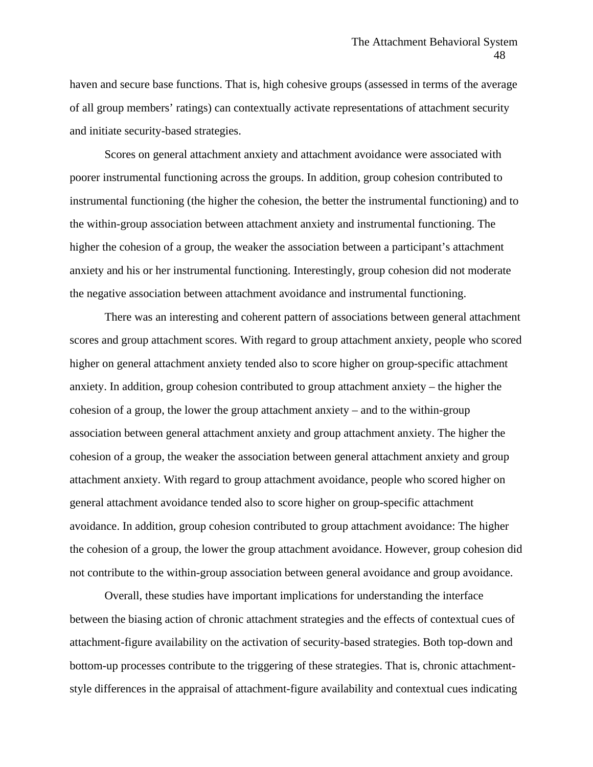haven and secure base functions. That is, high cohesive groups (assessed in terms of the average of all group members' ratings) can contextually activate representations of attachment security and initiate security-based strategies.

Scores on general attachment anxiety and attachment avoidance were associated with poorer instrumental functioning across the groups. In addition, group cohesion contributed to instrumental functioning (the higher the cohesion, the better the instrumental functioning) and to the within-group association between attachment anxiety and instrumental functioning. The higher the cohesion of a group, the weaker the association between a participant's attachment anxiety and his or her instrumental functioning. Interestingly, group cohesion did not moderate the negative association between attachment avoidance and instrumental functioning.

There was an interesting and coherent pattern of associations between general attachment scores and group attachment scores. With regard to group attachment anxiety, people who scored higher on general attachment anxiety tended also to score higher on group-specific attachment anxiety. In addition, group cohesion contributed to group attachment anxiety – the higher the cohesion of a group, the lower the group attachment anxiety – and to the within-group association between general attachment anxiety and group attachment anxiety. The higher the cohesion of a group, the weaker the association between general attachment anxiety and group attachment anxiety. With regard to group attachment avoidance, people who scored higher on general attachment avoidance tended also to score higher on group-specific attachment avoidance. In addition, group cohesion contributed to group attachment avoidance: The higher the cohesion of a group, the lower the group attachment avoidance. However, group cohesion did not contribute to the within-group association between general avoidance and group avoidance.

Overall, these studies have important implications for understanding the interface between the biasing action of chronic attachment strategies and the effects of contextual cues of attachment-figure availability on the activation of security-based strategies. Both top-down and bottom-up processes contribute to the triggering of these strategies. That is, chronic attachmentstyle differences in the appraisal of attachment-figure availability and contextual cues indicating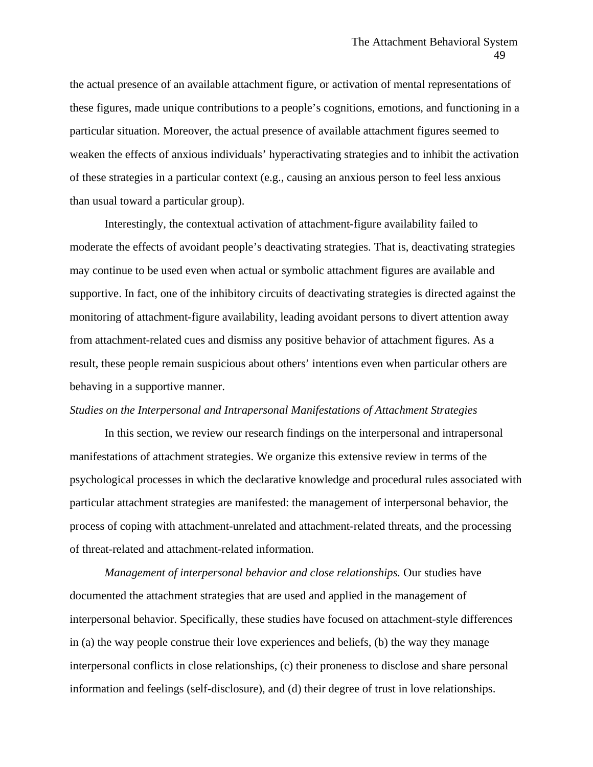the actual presence of an available attachment figure, or activation of mental representations of these figures, made unique contributions to a people's cognitions, emotions, and functioning in a particular situation. Moreover, the actual presence of available attachment figures seemed to weaken the effects of anxious individuals' hyperactivating strategies and to inhibit the activation of these strategies in a particular context (e.g., causing an anxious person to feel less anxious than usual toward a particular group).

Interestingly, the contextual activation of attachment-figure availability failed to moderate the effects of avoidant people's deactivating strategies. That is, deactivating strategies may continue to be used even when actual or symbolic attachment figures are available and supportive. In fact, one of the inhibitory circuits of deactivating strategies is directed against the monitoring of attachment-figure availability, leading avoidant persons to divert attention away from attachment-related cues and dismiss any positive behavior of attachment figures. As a result, these people remain suspicious about others' intentions even when particular others are behaving in a supportive manner.

## *Studies on the Interpersonal and Intrapersonal Manifestations of Attachment Strategies*

In this section, we review our research findings on the interpersonal and intrapersonal manifestations of attachment strategies. We organize this extensive review in terms of the psychological processes in which the declarative knowledge and procedural rules associated with particular attachment strategies are manifested: the management of interpersonal behavior, the process of coping with attachment-unrelated and attachment-related threats, and the processing of threat-related and attachment-related information.

*Management of interpersonal behavior and close relationships.* Our studies have documented the attachment strategies that are used and applied in the management of interpersonal behavior. Specifically, these studies have focused on attachment-style differences in (a) the way people construe their love experiences and beliefs, (b) the way they manage interpersonal conflicts in close relationships, (c) their proneness to disclose and share personal information and feelings (self-disclosure), and (d) their degree of trust in love relationships.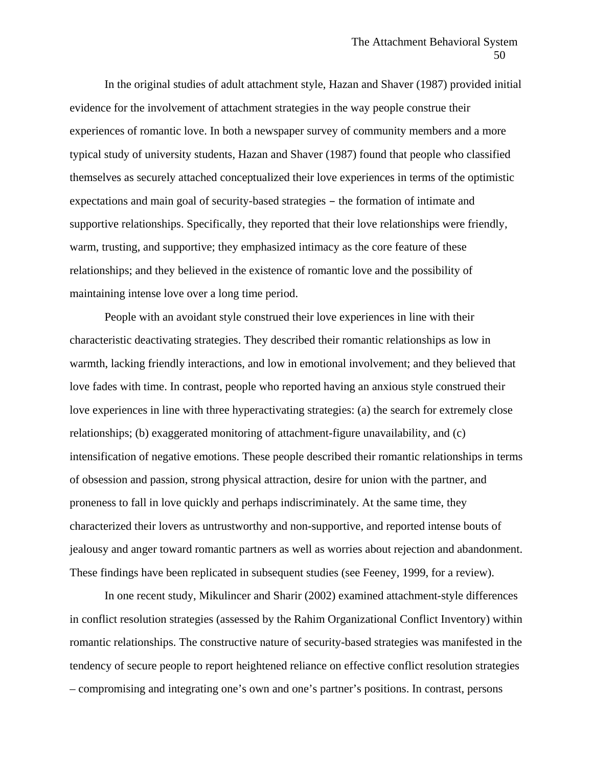In the original studies of adult attachment style, Hazan and Shaver (1987) provided initial evidence for the involvement of attachment strategies in the way people construe their experiences of romantic love. In both a newspaper survey of community members and a more typical study of university students, Hazan and Shaver (1987) found that people who classified themselves as securely attached conceptualized their love experiences in terms of the optimistic expectations and main goal of security-based strategies – the formation of intimate and supportive relationships. Specifically, they reported that their love relationships were friendly, warm, trusting, and supportive; they emphasized intimacy as the core feature of these relationships; and they believed in the existence of romantic love and the possibility of maintaining intense love over a long time period.

People with an avoidant style construed their love experiences in line with their characteristic deactivating strategies. They described their romantic relationships as low in warmth, lacking friendly interactions, and low in emotional involvement; and they believed that love fades with time. In contrast, people who reported having an anxious style construed their love experiences in line with three hyperactivating strategies: (a) the search for extremely close relationships; (b) exaggerated monitoring of attachment-figure unavailability, and (c) intensification of negative emotions. These people described their romantic relationships in terms of obsession and passion, strong physical attraction, desire for union with the partner, and proneness to fall in love quickly and perhaps indiscriminately. At the same time, they characterized their lovers as untrustworthy and non-supportive, and reported intense bouts of jealousy and anger toward romantic partners as well as worries about rejection and abandonment. These findings have been replicated in subsequent studies (see Feeney, 1999, for a review).

In one recent study, Mikulincer and Sharir (2002) examined attachment-style differences in conflict resolution strategies (assessed by the Rahim Organizational Conflict Inventory) within romantic relationships. The constructive nature of security-based strategies was manifested in the tendency of secure people to report heightened reliance on effective conflict resolution strategies – compromising and integrating one's own and one's partner's positions. In contrast, persons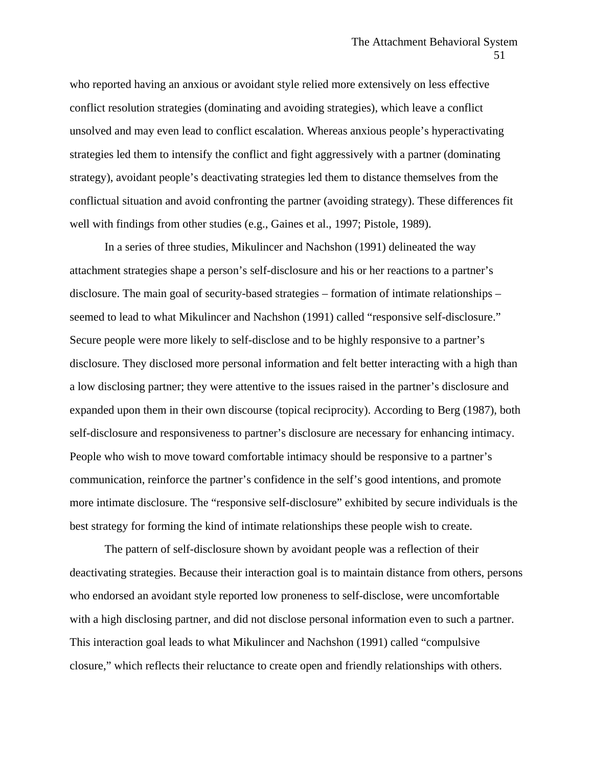who reported having an anxious or avoidant style relied more extensively on less effective conflict resolution strategies (dominating and avoiding strategies), which leave a conflict unsolved and may even lead to conflict escalation. Whereas anxious people's hyperactivating strategies led them to intensify the conflict and fight aggressively with a partner (dominating strategy), avoidant people's deactivating strategies led them to distance themselves from the conflictual situation and avoid confronting the partner (avoiding strategy). These differences fit well with findings from other studies (e.g., Gaines et al., 1997; Pistole, 1989).

In a series of three studies, Mikulincer and Nachshon (1991) delineated the way attachment strategies shape a person's self-disclosure and his or her reactions to a partner's disclosure. The main goal of security-based strategies – formation of intimate relationships – seemed to lead to what Mikulincer and Nachshon (1991) called "responsive self-disclosure." Secure people were more likely to self-disclose and to be highly responsive to a partner's disclosure. They disclosed more personal information and felt better interacting with a high than a low disclosing partner; they were attentive to the issues raised in the partner's disclosure and expanded upon them in their own discourse (topical reciprocity). According to Berg (1987), both self-disclosure and responsiveness to partner's disclosure are necessary for enhancing intimacy. People who wish to move toward comfortable intimacy should be responsive to a partner's communication, reinforce the partner's confidence in the self's good intentions, and promote more intimate disclosure. The "responsive self-disclosure" exhibited by secure individuals is the best strategy for forming the kind of intimate relationships these people wish to create.

The pattern of self-disclosure shown by avoidant people was a reflection of their deactivating strategies. Because their interaction goal is to maintain distance from others, persons who endorsed an avoidant style reported low proneness to self-disclose, were uncomfortable with a high disclosing partner, and did not disclose personal information even to such a partner. This interaction goal leads to what Mikulincer and Nachshon (1991) called "compulsive closure," which reflects their reluctance to create open and friendly relationships with others.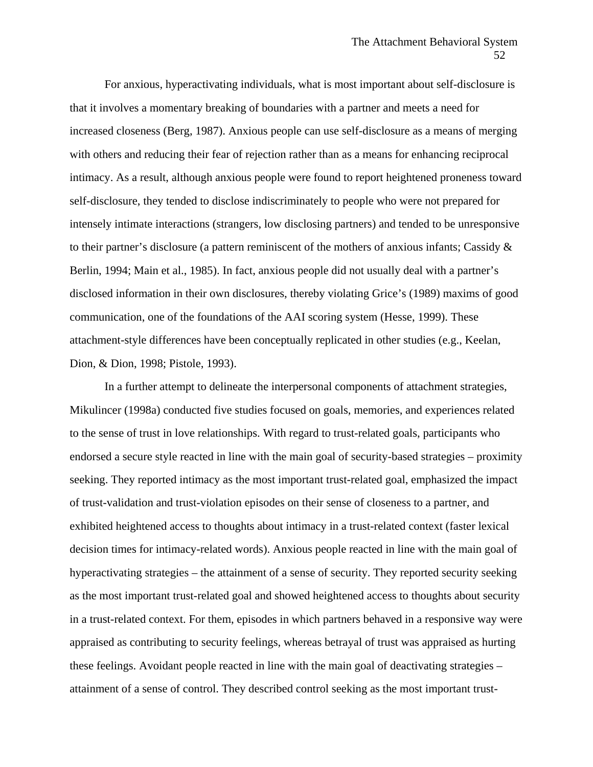For anxious, hyperactivating individuals, what is most important about self-disclosure is that it involves a momentary breaking of boundaries with a partner and meets a need for increased closeness (Berg, 1987). Anxious people can use self-disclosure as a means of merging with others and reducing their fear of rejection rather than as a means for enhancing reciprocal intimacy. As a result, although anxious people were found to report heightened proneness toward self-disclosure, they tended to disclose indiscriminately to people who were not prepared for intensely intimate interactions (strangers, low disclosing partners) and tended to be unresponsive to their partner's disclosure (a pattern reminiscent of the mothers of anxious infants; Cassidy & Berlin, 1994; Main et al., 1985). In fact, anxious people did not usually deal with a partner's disclosed information in their own disclosures, thereby violating Grice's (1989) maxims of good communication, one of the foundations of the AAI scoring system (Hesse, 1999). These attachment-style differences have been conceptually replicated in other studies (e.g., Keelan, Dion, & Dion, 1998; Pistole, 1993).

In a further attempt to delineate the interpersonal components of attachment strategies, Mikulincer (1998a) conducted five studies focused on goals, memories, and experiences related to the sense of trust in love relationships. With regard to trust-related goals, participants who endorsed a secure style reacted in line with the main goal of security-based strategies – proximity seeking. They reported intimacy as the most important trust-related goal, emphasized the impact of trust-validation and trust-violation episodes on their sense of closeness to a partner, and exhibited heightened access to thoughts about intimacy in a trust-related context (faster lexical decision times for intimacy-related words). Anxious people reacted in line with the main goal of hyperactivating strategies – the attainment of a sense of security. They reported security seeking as the most important trust-related goal and showed heightened access to thoughts about security in a trust-related context. For them, episodes in which partners behaved in a responsive way were appraised as contributing to security feelings, whereas betrayal of trust was appraised as hurting these feelings. Avoidant people reacted in line with the main goal of deactivating strategies – attainment of a sense of control. They described control seeking as the most important trust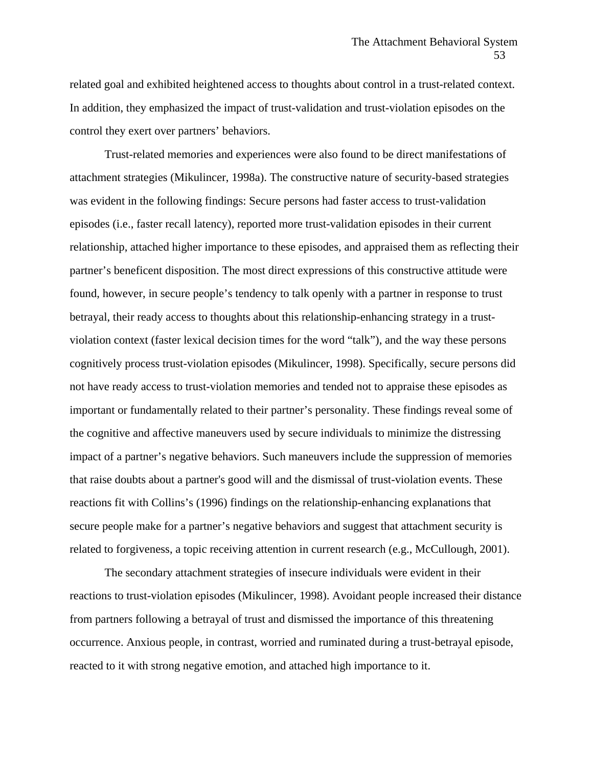related goal and exhibited heightened access to thoughts about control in a trust-related context. In addition, they emphasized the impact of trust-validation and trust-violation episodes on the control they exert over partners' behaviors.

Trust-related memories and experiences were also found to be direct manifestations of attachment strategies (Mikulincer, 1998a). The constructive nature of security-based strategies was evident in the following findings: Secure persons had faster access to trust-validation episodes (i.e., faster recall latency), reported more trust-validation episodes in their current relationship, attached higher importance to these episodes, and appraised them as reflecting their partner's beneficent disposition. The most direct expressions of this constructive attitude were found, however, in secure people's tendency to talk openly with a partner in response to trust betrayal, their ready access to thoughts about this relationship-enhancing strategy in a trustviolation context (faster lexical decision times for the word "talk"), and the way these persons cognitively process trust-violation episodes (Mikulincer, 1998). Specifically, secure persons did not have ready access to trust-violation memories and tended not to appraise these episodes as important or fundamentally related to their partner's personality. These findings reveal some of the cognitive and affective maneuvers used by secure individuals to minimize the distressing impact of a partner's negative behaviors. Such maneuvers include the suppression of memories that raise doubts about a partner's good will and the dismissal of trust-violation events. These reactions fit with Collins's (1996) findings on the relationship-enhancing explanations that secure people make for a partner's negative behaviors and suggest that attachment security is related to forgiveness, a topic receiving attention in current research (e.g., McCullough, 2001).

The secondary attachment strategies of insecure individuals were evident in their reactions to trust-violation episodes (Mikulincer, 1998). Avoidant people increased their distance from partners following a betrayal of trust and dismissed the importance of this threatening occurrence. Anxious people, in contrast, worried and ruminated during a trust-betrayal episode, reacted to it with strong negative emotion, and attached high importance to it.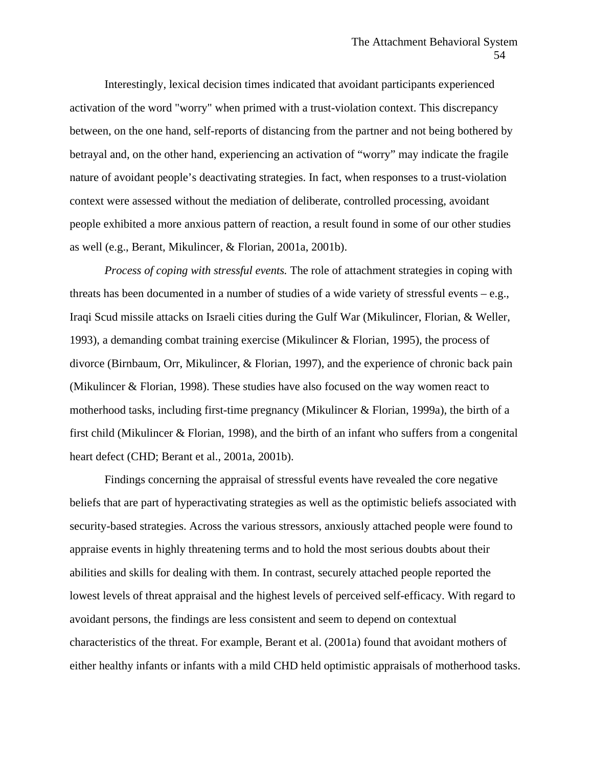Interestingly, lexical decision times indicated that avoidant participants experienced activation of the word "worry" when primed with a trust-violation context. This discrepancy between, on the one hand, self-reports of distancing from the partner and not being bothered by betrayal and, on the other hand, experiencing an activation of "worry" may indicate the fragile nature of avoidant people's deactivating strategies. In fact, when responses to a trust-violation context were assessed without the mediation of deliberate, controlled processing, avoidant people exhibited a more anxious pattern of reaction, a result found in some of our other studies as well (e.g., Berant, Mikulincer, & Florian, 2001a, 2001b).

*Process of coping with stressful events.* The role of attachment strategies in coping with threats has been documented in a number of studies of a wide variety of stressful events  $-e.g.,$ Iraqi Scud missile attacks on Israeli cities during the Gulf War (Mikulincer, Florian, & Weller, 1993), a demanding combat training exercise (Mikulincer & Florian, 1995), the process of divorce (Birnbaum, Orr, Mikulincer, & Florian, 1997), and the experience of chronic back pain (Mikulincer & Florian, 1998). These studies have also focused on the way women react to motherhood tasks, including first-time pregnancy (Mikulincer & Florian, 1999a), the birth of a first child (Mikulincer & Florian, 1998), and the birth of an infant who suffers from a congenital heart defect (CHD; Berant et al., 2001a, 2001b).

Findings concerning the appraisal of stressful events have revealed the core negative beliefs that are part of hyperactivating strategies as well as the optimistic beliefs associated with security-based strategies. Across the various stressors, anxiously attached people were found to appraise events in highly threatening terms and to hold the most serious doubts about their abilities and skills for dealing with them. In contrast, securely attached people reported the lowest levels of threat appraisal and the highest levels of perceived self-efficacy. With regard to avoidant persons, the findings are less consistent and seem to depend on contextual characteristics of the threat. For example, Berant et al. (2001a) found that avoidant mothers of either healthy infants or infants with a mild CHD held optimistic appraisals of motherhood tasks.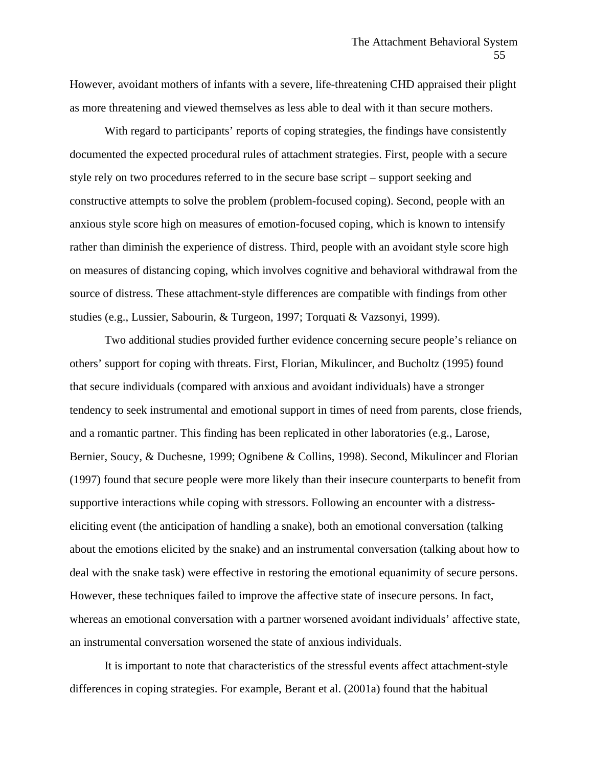However, avoidant mothers of infants with a severe, life-threatening CHD appraised their plight as more threatening and viewed themselves as less able to deal with it than secure mothers.

With regard to participants' reports of coping strategies, the findings have consistently documented the expected procedural rules of attachment strategies. First, people with a secure style rely on two procedures referred to in the secure base script – support seeking and constructive attempts to solve the problem (problem-focused coping). Second, people with an anxious style score high on measures of emotion-focused coping, which is known to intensify rather than diminish the experience of distress. Third, people with an avoidant style score high on measures of distancing coping, which involves cognitive and behavioral withdrawal from the source of distress. These attachment-style differences are compatible with findings from other studies (e.g., Lussier, Sabourin, & Turgeon, 1997; Torquati & Vazsonyi, 1999).

Two additional studies provided further evidence concerning secure people's reliance on others' support for coping with threats. First, Florian, Mikulincer, and Bucholtz (1995) found that secure individuals (compared with anxious and avoidant individuals) have a stronger tendency to seek instrumental and emotional support in times of need from parents, close friends, and a romantic partner. This finding has been replicated in other laboratories (e.g., Larose, Bernier, Soucy, & Duchesne, 1999; Ognibene & Collins, 1998). Second, Mikulincer and Florian (1997) found that secure people were more likely than their insecure counterparts to benefit from supportive interactions while coping with stressors. Following an encounter with a distresseliciting event (the anticipation of handling a snake), both an emotional conversation (talking about the emotions elicited by the snake) and an instrumental conversation (talking about how to deal with the snake task) were effective in restoring the emotional equanimity of secure persons. However, these techniques failed to improve the affective state of insecure persons. In fact, whereas an emotional conversation with a partner worsened avoidant individuals' affective state, an instrumental conversation worsened the state of anxious individuals.

It is important to note that characteristics of the stressful events affect attachment-style differences in coping strategies. For example, Berant et al. (2001a) found that the habitual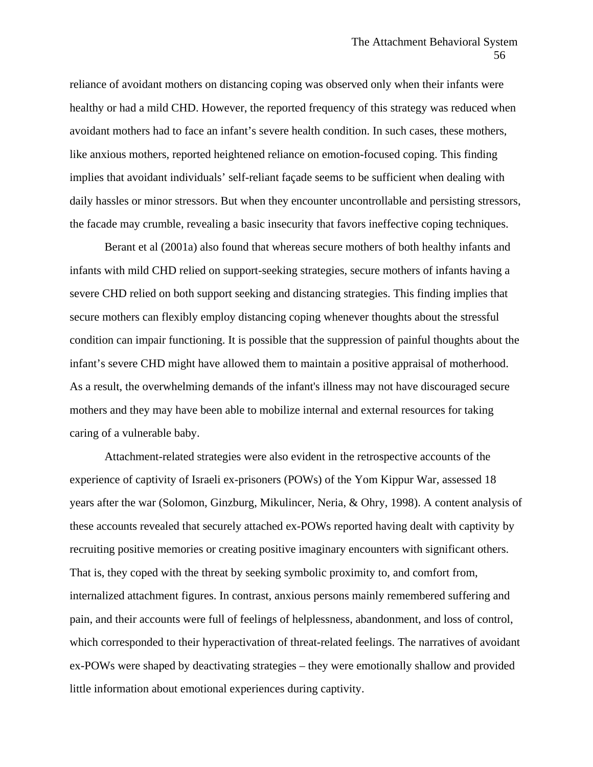reliance of avoidant mothers on distancing coping was observed only when their infants were healthy or had a mild CHD. However, the reported frequency of this strategy was reduced when avoidant mothers had to face an infant's severe health condition. In such cases, these mothers, like anxious mothers, reported heightened reliance on emotion-focused coping. This finding implies that avoidant individuals' self-reliant façade seems to be sufficient when dealing with daily hassles or minor stressors. But when they encounter uncontrollable and persisting stressors, the facade may crumble, revealing a basic insecurity that favors ineffective coping techniques.

Berant et al (2001a) also found that whereas secure mothers of both healthy infants and infants with mild CHD relied on support-seeking strategies, secure mothers of infants having a severe CHD relied on both support seeking and distancing strategies. This finding implies that secure mothers can flexibly employ distancing coping whenever thoughts about the stressful condition can impair functioning. It is possible that the suppression of painful thoughts about the infant's severe CHD might have allowed them to maintain a positive appraisal of motherhood. As a result, the overwhelming demands of the infant's illness may not have discouraged secure mothers and they may have been able to mobilize internal and external resources for taking caring of a vulnerable baby.

Attachment-related strategies were also evident in the retrospective accounts of the experience of captivity of Israeli ex-prisoners (POWs) of the Yom Kippur War, assessed 18 years after the war (Solomon, Ginzburg, Mikulincer, Neria, & Ohry, 1998). A content analysis of these accounts revealed that securely attached ex-POWs reported having dealt with captivity by recruiting positive memories or creating positive imaginary encounters with significant others. That is, they coped with the threat by seeking symbolic proximity to, and comfort from, internalized attachment figures. In contrast, anxious persons mainly remembered suffering and pain, and their accounts were full of feelings of helplessness, abandonment, and loss of control, which corresponded to their hyperactivation of threat-related feelings. The narratives of avoidant ex-POWs were shaped by deactivating strategies – they were emotionally shallow and provided little information about emotional experiences during captivity.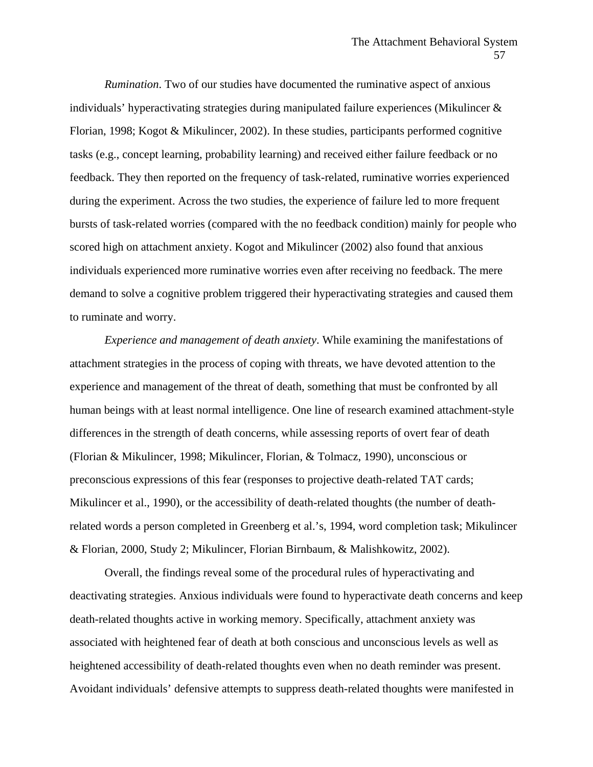*Rumination*. Two of our studies have documented the ruminative aspect of anxious individuals' hyperactivating strategies during manipulated failure experiences (Mikulincer & Florian, 1998; Kogot & Mikulincer, 2002). In these studies, participants performed cognitive tasks (e.g., concept learning, probability learning) and received either failure feedback or no feedback. They then reported on the frequency of task-related, ruminative worries experienced during the experiment. Across the two studies, the experience of failure led to more frequent bursts of task-related worries (compared with the no feedback condition) mainly for people who scored high on attachment anxiety. Kogot and Mikulincer (2002) also found that anxious individuals experienced more ruminative worries even after receiving no feedback. The mere demand to solve a cognitive problem triggered their hyperactivating strategies and caused them to ruminate and worry.

*Experience and management of death anxiety*. While examining the manifestations of attachment strategies in the process of coping with threats, we have devoted attention to the experience and management of the threat of death, something that must be confronted by all human beings with at least normal intelligence. One line of research examined attachment-style differences in the strength of death concerns, while assessing reports of overt fear of death (Florian & Mikulincer, 1998; Mikulincer, Florian, & Tolmacz, 1990), unconscious or preconscious expressions of this fear (responses to projective death-related TAT cards; Mikulincer et al., 1990), or the accessibility of death-related thoughts (the number of deathrelated words a person completed in Greenberg et al.'s, 1994, word completion task; Mikulincer & Florian, 2000, Study 2; Mikulincer, Florian Birnbaum, & Malishkowitz, 2002).

Overall, the findings reveal some of the procedural rules of hyperactivating and deactivating strategies. Anxious individuals were found to hyperactivate death concerns and keep death-related thoughts active in working memory. Specifically, attachment anxiety was associated with heightened fear of death at both conscious and unconscious levels as well as heightened accessibility of death-related thoughts even when no death reminder was present. Avoidant individuals' defensive attempts to suppress death-related thoughts were manifested in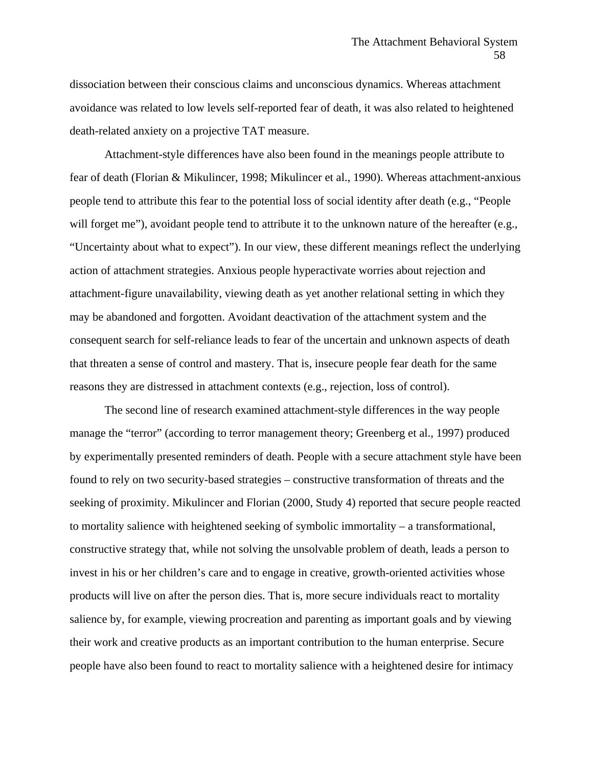dissociation between their conscious claims and unconscious dynamics. Whereas attachment avoidance was related to low levels self-reported fear of death, it was also related to heightened death-related anxiety on a projective TAT measure.

Attachment-style differences have also been found in the meanings people attribute to fear of death (Florian & Mikulincer, 1998; Mikulincer et al., 1990). Whereas attachment-anxious people tend to attribute this fear to the potential loss of social identity after death (e.g., "People will forget me"), avoidant people tend to attribute it to the unknown nature of the hereafter (e.g., "Uncertainty about what to expect"). In our view, these different meanings reflect the underlying action of attachment strategies. Anxious people hyperactivate worries about rejection and attachment-figure unavailability, viewing death as yet another relational setting in which they may be abandoned and forgotten. Avoidant deactivation of the attachment system and the consequent search for self-reliance leads to fear of the uncertain and unknown aspects of death that threaten a sense of control and mastery. That is, insecure people fear death for the same reasons they are distressed in attachment contexts (e.g., rejection, loss of control).

The second line of research examined attachment-style differences in the way people manage the "terror" (according to terror management theory; Greenberg et al., 1997) produced by experimentally presented reminders of death. People with a secure attachment style have been found to rely on two security-based strategies – constructive transformation of threats and the seeking of proximity. Mikulincer and Florian (2000, Study 4) reported that secure people reacted to mortality salience with heightened seeking of symbolic immortality – a transformational, constructive strategy that, while not solving the unsolvable problem of death, leads a person to invest in his or her children's care and to engage in creative, growth-oriented activities whose products will live on after the person dies. That is, more secure individuals react to mortality salience by, for example, viewing procreation and parenting as important goals and by viewing their work and creative products as an important contribution to the human enterprise. Secure people have also been found to react to mortality salience with a heightened desire for intimacy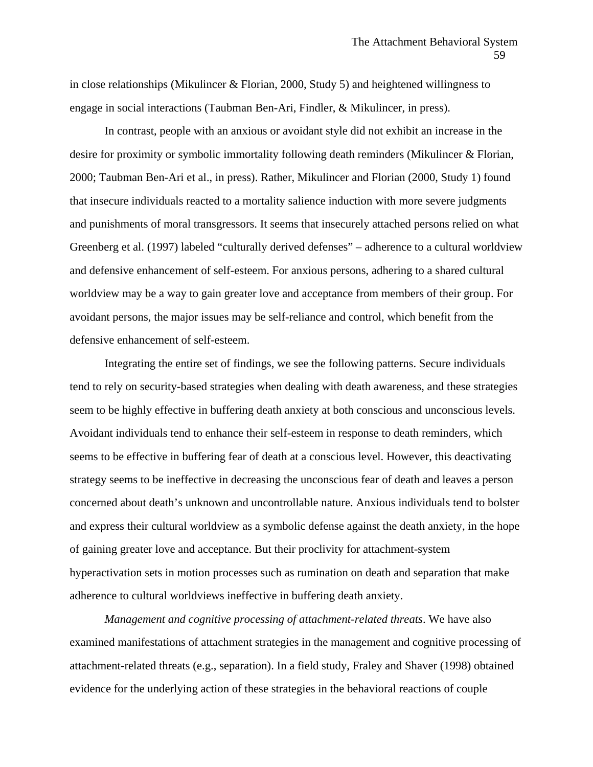in close relationships (Mikulincer & Florian, 2000, Study 5) and heightened willingness to engage in social interactions (Taubman Ben-Ari, Findler, & Mikulincer, in press).

In contrast, people with an anxious or avoidant style did not exhibit an increase in the desire for proximity or symbolic immortality following death reminders (Mikulincer & Florian, 2000; Taubman Ben-Ari et al., in press). Rather, Mikulincer and Florian (2000, Study 1) found that insecure individuals reacted to a mortality salience induction with more severe judgments and punishments of moral transgressors. It seems that insecurely attached persons relied on what Greenberg et al. (1997) labeled "culturally derived defenses" – adherence to a cultural worldview and defensive enhancement of self-esteem. For anxious persons, adhering to a shared cultural worldview may be a way to gain greater love and acceptance from members of their group. For avoidant persons, the major issues may be self-reliance and control, which benefit from the defensive enhancement of self-esteem.

Integrating the entire set of findings, we see the following patterns. Secure individuals tend to rely on security-based strategies when dealing with death awareness, and these strategies seem to be highly effective in buffering death anxiety at both conscious and unconscious levels. Avoidant individuals tend to enhance their self-esteem in response to death reminders, which seems to be effective in buffering fear of death at a conscious level. However, this deactivating strategy seems to be ineffective in decreasing the unconscious fear of death and leaves a person concerned about death's unknown and uncontrollable nature. Anxious individuals tend to bolster and express their cultural worldview as a symbolic defense against the death anxiety, in the hope of gaining greater love and acceptance. But their proclivity for attachment-system hyperactivation sets in motion processes such as rumination on death and separation that make adherence to cultural worldviews ineffective in buffering death anxiety.

*Management and cognitive processing of attachment-related threats*. We have also examined manifestations of attachment strategies in the management and cognitive processing of attachment-related threats (e.g., separation). In a field study, Fraley and Shaver (1998) obtained evidence for the underlying action of these strategies in the behavioral reactions of couple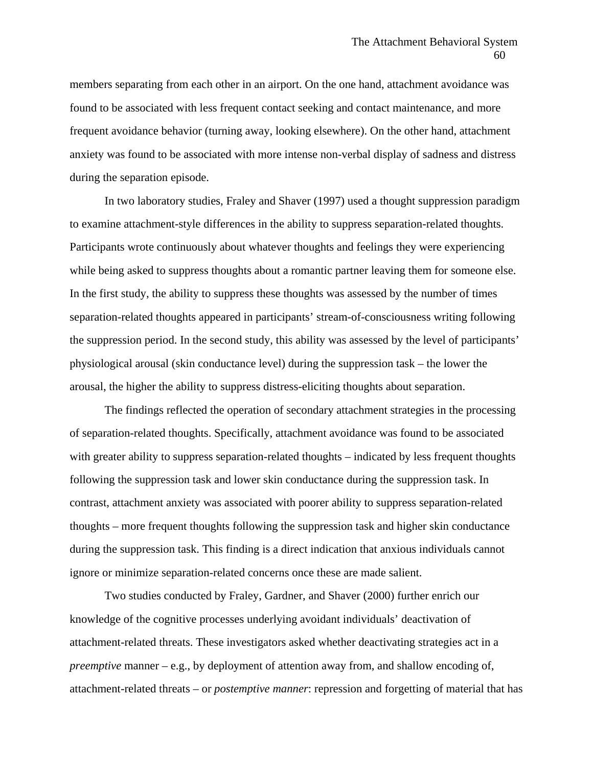members separating from each other in an airport. On the one hand, attachment avoidance was found to be associated with less frequent contact seeking and contact maintenance, and more frequent avoidance behavior (turning away, looking elsewhere). On the other hand, attachment anxiety was found to be associated with more intense non-verbal display of sadness and distress during the separation episode.

In two laboratory studies, Fraley and Shaver (1997) used a thought suppression paradigm to examine attachment-style differences in the ability to suppress separation-related thoughts. Participants wrote continuously about whatever thoughts and feelings they were experiencing while being asked to suppress thoughts about a romantic partner leaving them for someone else. In the first study, the ability to suppress these thoughts was assessed by the number of times separation-related thoughts appeared in participants' stream-of-consciousness writing following the suppression period. In the second study, this ability was assessed by the level of participants' physiological arousal (skin conductance level) during the suppression task – the lower the arousal, the higher the ability to suppress distress-eliciting thoughts about separation.

The findings reflected the operation of secondary attachment strategies in the processing of separation-related thoughts. Specifically, attachment avoidance was found to be associated with greater ability to suppress separation-related thoughts – indicated by less frequent thoughts following the suppression task and lower skin conductance during the suppression task. In contrast, attachment anxiety was associated with poorer ability to suppress separation-related thoughts – more frequent thoughts following the suppression task and higher skin conductance during the suppression task. This finding is a direct indication that anxious individuals cannot ignore or minimize separation-related concerns once these are made salient.

Two studies conducted by Fraley, Gardner, and Shaver (2000) further enrich our knowledge of the cognitive processes underlying avoidant individuals' deactivation of attachment-related threats. These investigators asked whether deactivating strategies act in a *preemptive* manner – e.g., by deployment of attention away from, and shallow encoding of, attachment-related threats – or *postemptive manner*: repression and forgetting of material that has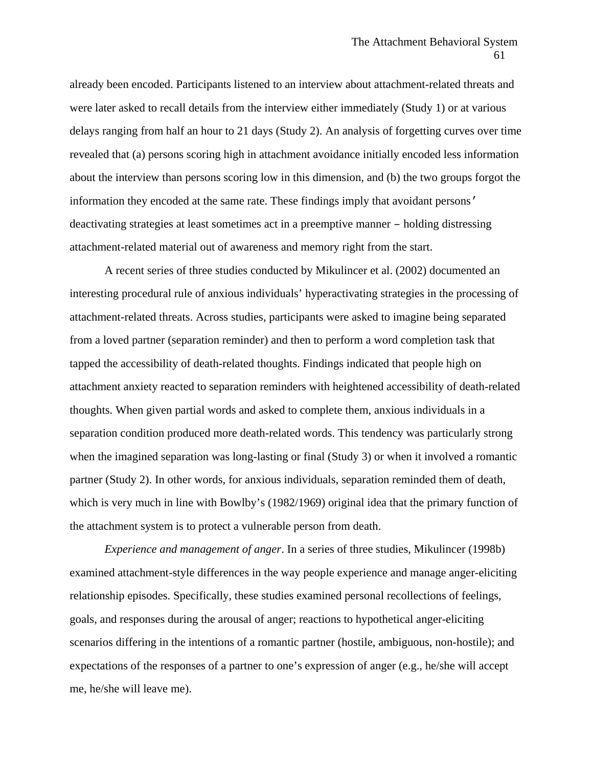already been encoded. Participants listened to an interview about attachment-related threats and were later asked to recall details from the interview either immediately (Study 1) or at various delays ranging from half an hour to 21 days (Study 2). An analysis of forgetting curves over time revealed that (a) persons scoring high in attachment avoidance initially encoded less information about the interview than persons scoring low in this dimension, and (b) the two groups forgot the information they encoded at the same rate. These findings imply that avoidant persons' deactivating strategies at least sometimes act in a preemptive manner – holding distressing attachment-related material out of awareness and memory right from the start.

A recent series of three studies conducted by Mikulincer et al. (2002) documented an interesting procedural rule of anxious individuals' hyperactivating strategies in the processing of attachment-related threats. Across studies, participants were asked to imagine being separated from a loved partner (separation reminder) and then to perform a word completion task that tapped the accessibility of death-related thoughts. Findings indicated that people high on attachment anxiety reacted to separation reminders with heightened accessibility of death-related thoughts. When given partial words and asked to complete them, anxious individuals in a separation condition produced more death-related words. This tendency was particularly strong when the imagined separation was long-lasting or final (Study 3) or when it involved a romantic partner (Study 2). In other words, for anxious individuals, separation reminded them of death, which is very much in line with Bowlby's (1982/1969) original idea that the primary function of the attachment system is to protect a vulnerable person from death.

*Experience and management of anger*. In a series of three studies, Mikulincer (1998b) examined attachment-style differences in the way people experience and manage anger-eliciting relationship episodes. Specifically, these studies examined personal recollections of feelings, goals, and responses during the arousal of anger; reactions to hypothetical anger-eliciting scenarios differing in the intentions of a romantic partner (hostile, ambiguous, non-hostile); and expectations of the responses of a partner to one's expression of anger (e.g., he/she will accept me, he/she will leave me).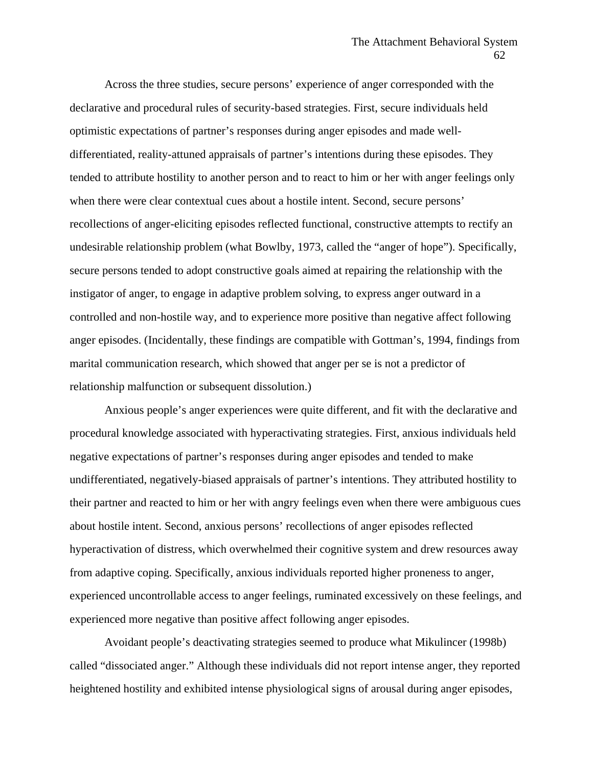Across the three studies, secure persons' experience of anger corresponded with the declarative and procedural rules of security-based strategies. First, secure individuals held optimistic expectations of partner's responses during anger episodes and made welldifferentiated, reality-attuned appraisals of partner's intentions during these episodes. They tended to attribute hostility to another person and to react to him or her with anger feelings only when there were clear contextual cues about a hostile intent. Second, secure persons' recollections of anger-eliciting episodes reflected functional, constructive attempts to rectify an undesirable relationship problem (what Bowlby, 1973, called the "anger of hope"). Specifically, secure persons tended to adopt constructive goals aimed at repairing the relationship with the instigator of anger, to engage in adaptive problem solving, to express anger outward in a controlled and non-hostile way, and to experience more positive than negative affect following anger episodes. (Incidentally, these findings are compatible with Gottman's, 1994, findings from marital communication research, which showed that anger per se is not a predictor of relationship malfunction or subsequent dissolution.)

Anxious people's anger experiences were quite different, and fit with the declarative and procedural knowledge associated with hyperactivating strategies. First, anxious individuals held negative expectations of partner's responses during anger episodes and tended to make undifferentiated, negatively-biased appraisals of partner's intentions. They attributed hostility to their partner and reacted to him or her with angry feelings even when there were ambiguous cues about hostile intent. Second, anxious persons' recollections of anger episodes reflected hyperactivation of distress, which overwhelmed their cognitive system and drew resources away from adaptive coping. Specifically, anxious individuals reported higher proneness to anger, experienced uncontrollable access to anger feelings, ruminated excessively on these feelings, and experienced more negative than positive affect following anger episodes.

Avoidant people's deactivating strategies seemed to produce what Mikulincer (1998b) called "dissociated anger." Although these individuals did not report intense anger, they reported heightened hostility and exhibited intense physiological signs of arousal during anger episodes,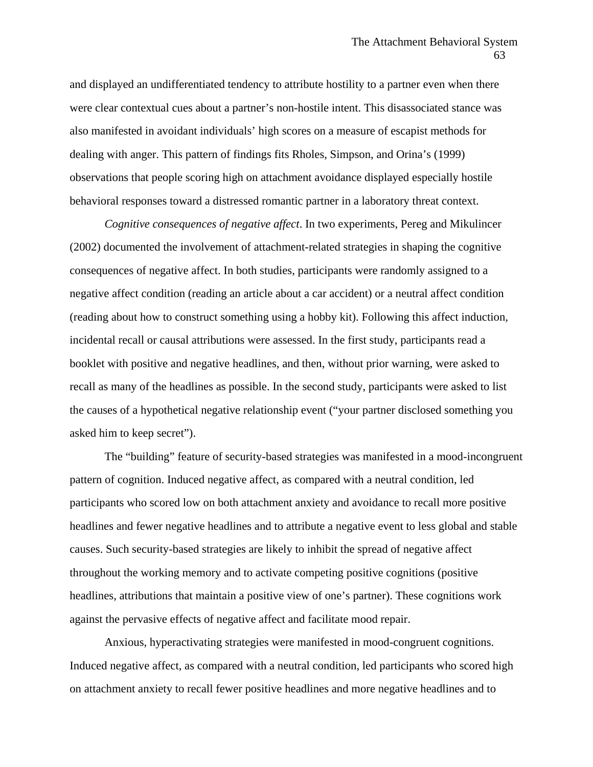and displayed an undifferentiated tendency to attribute hostility to a partner even when there were clear contextual cues about a partner's non-hostile intent. This disassociated stance was also manifested in avoidant individuals' high scores on a measure of escapist methods for dealing with anger. This pattern of findings fits Rholes, Simpson, and Orina's (1999) observations that people scoring high on attachment avoidance displayed especially hostile behavioral responses toward a distressed romantic partner in a laboratory threat context.

*Cognitive consequences of negative affect*. In two experiments, Pereg and Mikulincer (2002) documented the involvement of attachment-related strategies in shaping the cognitive consequences of negative affect. In both studies, participants were randomly assigned to a negative affect condition (reading an article about a car accident) or a neutral affect condition (reading about how to construct something using a hobby kit). Following this affect induction, incidental recall or causal attributions were assessed. In the first study, participants read a booklet with positive and negative headlines, and then, without prior warning, were asked to recall as many of the headlines as possible. In the second study, participants were asked to list the causes of a hypothetical negative relationship event ("your partner disclosed something you asked him to keep secret").

The "building" feature of security-based strategies was manifested in a mood-incongruent pattern of cognition. Induced negative affect, as compared with a neutral condition, led participants who scored low on both attachment anxiety and avoidance to recall more positive headlines and fewer negative headlines and to attribute a negative event to less global and stable causes. Such security-based strategies are likely to inhibit the spread of negative affect throughout the working memory and to activate competing positive cognitions (positive headlines, attributions that maintain a positive view of one's partner). These cognitions work against the pervasive effects of negative affect and facilitate mood repair.

Anxious, hyperactivating strategies were manifested in mood-congruent cognitions. Induced negative affect, as compared with a neutral condition, led participants who scored high on attachment anxiety to recall fewer positive headlines and more negative headlines and to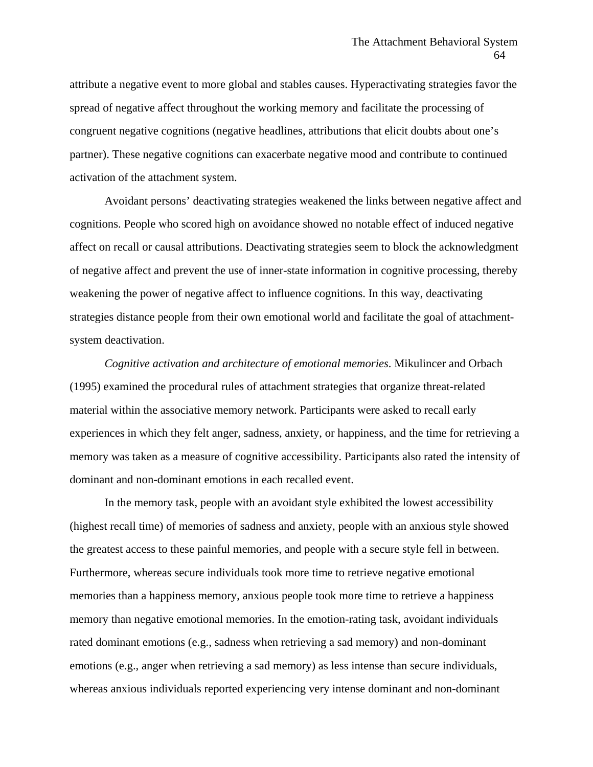attribute a negative event to more global and stables causes. Hyperactivating strategies favor the spread of negative affect throughout the working memory and facilitate the processing of congruent negative cognitions (negative headlines, attributions that elicit doubts about one's partner). These negative cognitions can exacerbate negative mood and contribute to continued activation of the attachment system.

Avoidant persons' deactivating strategies weakened the links between negative affect and cognitions. People who scored high on avoidance showed no notable effect of induced negative affect on recall or causal attributions. Deactivating strategies seem to block the acknowledgment of negative affect and prevent the use of inner-state information in cognitive processing, thereby weakening the power of negative affect to influence cognitions. In this way, deactivating strategies distance people from their own emotional world and facilitate the goal of attachmentsystem deactivation.

*Cognitive activation and architecture of emotional memories*. Mikulincer and Orbach (1995) examined the procedural rules of attachment strategies that organize threat-related material within the associative memory network. Participants were asked to recall early experiences in which they felt anger, sadness, anxiety, or happiness, and the time for retrieving a memory was taken as a measure of cognitive accessibility. Participants also rated the intensity of dominant and non-dominant emotions in each recalled event.

In the memory task, people with an avoidant style exhibited the lowest accessibility (highest recall time) of memories of sadness and anxiety, people with an anxious style showed the greatest access to these painful memories, and people with a secure style fell in between. Furthermore, whereas secure individuals took more time to retrieve negative emotional memories than a happiness memory, anxious people took more time to retrieve a happiness memory than negative emotional memories. In the emotion-rating task, avoidant individuals rated dominant emotions (e.g., sadness when retrieving a sad memory) and non-dominant emotions (e.g., anger when retrieving a sad memory) as less intense than secure individuals, whereas anxious individuals reported experiencing very intense dominant and non-dominant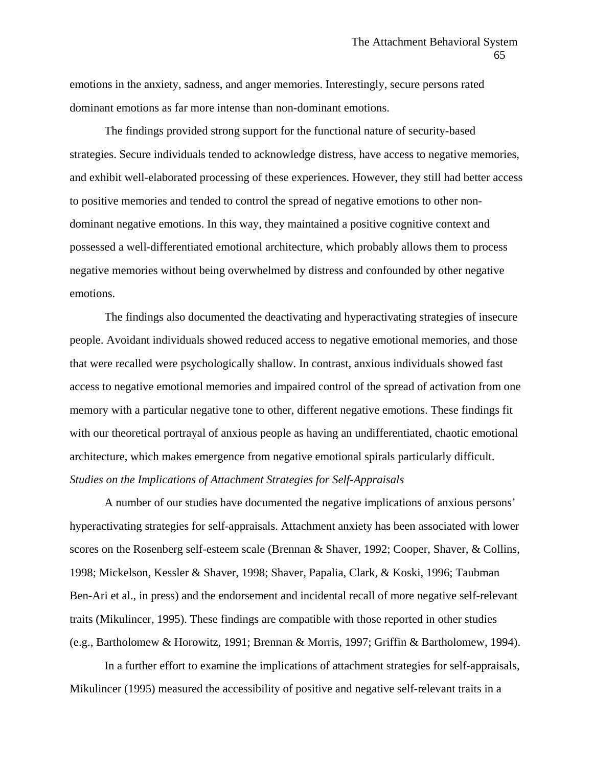emotions in the anxiety, sadness, and anger memories. Interestingly, secure persons rated dominant emotions as far more intense than non-dominant emotions.

The findings provided strong support for the functional nature of security-based strategies. Secure individuals tended to acknowledge distress, have access to negative memories, and exhibit well-elaborated processing of these experiences. However, they still had better access to positive memories and tended to control the spread of negative emotions to other nondominant negative emotions. In this way, they maintained a positive cognitive context and possessed a well-differentiated emotional architecture, which probably allows them to process negative memories without being overwhelmed by distress and confounded by other negative emotions.

The findings also documented the deactivating and hyperactivating strategies of insecure people. Avoidant individuals showed reduced access to negative emotional memories, and those that were recalled were psychologically shallow. In contrast, anxious individuals showed fast access to negative emotional memories and impaired control of the spread of activation from one memory with a particular negative tone to other, different negative emotions. These findings fit with our theoretical portrayal of anxious people as having an undifferentiated, chaotic emotional architecture, which makes emergence from negative emotional spirals particularly difficult. *Studies on the Implications of Attachment Strategies for Self-Appraisals* 

A number of our studies have documented the negative implications of anxious persons' hyperactivating strategies for self-appraisals. Attachment anxiety has been associated with lower scores on the Rosenberg self-esteem scale (Brennan & Shaver, 1992; Cooper, Shaver, & Collins, 1998; Mickelson, Kessler & Shaver, 1998; Shaver, Papalia, Clark, & Koski, 1996; Taubman Ben-Ari et al., in press) and the endorsement and incidental recall of more negative self-relevant traits (Mikulincer, 1995). These findings are compatible with those reported in other studies (e.g., Bartholomew & Horowitz, 1991; Brennan & Morris, 1997; Griffin & Bartholomew, 1994).

In a further effort to examine the implications of attachment strategies for self-appraisals, Mikulincer (1995) measured the accessibility of positive and negative self-relevant traits in a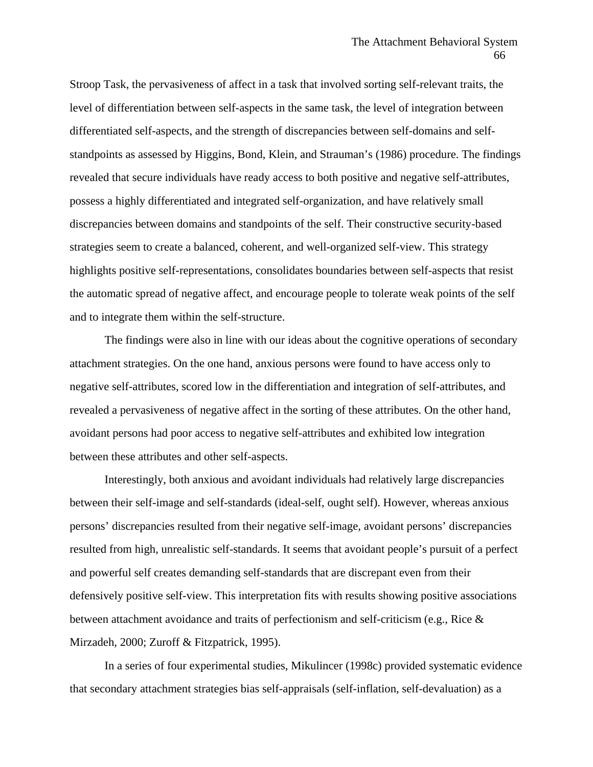Stroop Task, the pervasiveness of affect in a task that involved sorting self-relevant traits, the level of differentiation between self-aspects in the same task, the level of integration between differentiated self-aspects, and the strength of discrepancies between self-domains and selfstandpoints as assessed by Higgins, Bond, Klein, and Strauman's (1986) procedure. The findings revealed that secure individuals have ready access to both positive and negative self-attributes, possess a highly differentiated and integrated self-organization, and have relatively small discrepancies between domains and standpoints of the self. Their constructive security-based strategies seem to create a balanced, coherent, and well-organized self-view. This strategy highlights positive self-representations, consolidates boundaries between self-aspects that resist the automatic spread of negative affect, and encourage people to tolerate weak points of the self and to integrate them within the self-structure.

The findings were also in line with our ideas about the cognitive operations of secondary attachment strategies. On the one hand, anxious persons were found to have access only to negative self-attributes, scored low in the differentiation and integration of self-attributes, and revealed a pervasiveness of negative affect in the sorting of these attributes. On the other hand, avoidant persons had poor access to negative self-attributes and exhibited low integration between these attributes and other self-aspects.

Interestingly, both anxious and avoidant individuals had relatively large discrepancies between their self-image and self-standards (ideal-self, ought self). However, whereas anxious persons' discrepancies resulted from their negative self-image, avoidant persons' discrepancies resulted from high, unrealistic self-standards. It seems that avoidant people's pursuit of a perfect and powerful self creates demanding self-standards that are discrepant even from their defensively positive self-view. This interpretation fits with results showing positive associations between attachment avoidance and traits of perfectionism and self-criticism (e.g., Rice & Mirzadeh, 2000; Zuroff & Fitzpatrick, 1995).

In a series of four experimental studies, Mikulincer (1998c) provided systematic evidence that secondary attachment strategies bias self-appraisals (self-inflation, self-devaluation) as a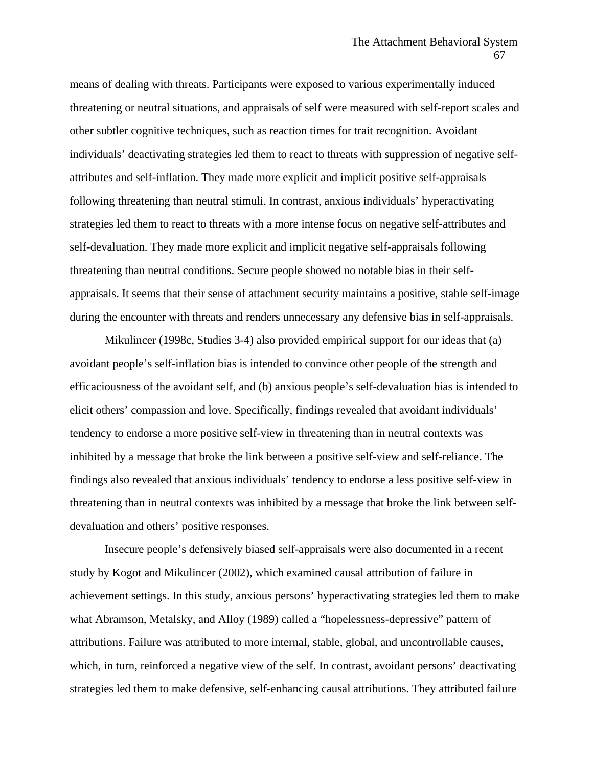means of dealing with threats. Participants were exposed to various experimentally induced threatening or neutral situations, and appraisals of self were measured with self-report scales and other subtler cognitive techniques, such as reaction times for trait recognition. Avoidant individuals' deactivating strategies led them to react to threats with suppression of negative selfattributes and self-inflation. They made more explicit and implicit positive self-appraisals following threatening than neutral stimuli. In contrast, anxious individuals' hyperactivating strategies led them to react to threats with a more intense focus on negative self-attributes and self-devaluation. They made more explicit and implicit negative self-appraisals following threatening than neutral conditions. Secure people showed no notable bias in their selfappraisals. It seems that their sense of attachment security maintains a positive, stable self-image during the encounter with threats and renders unnecessary any defensive bias in self-appraisals.

Mikulincer (1998c, Studies 3-4) also provided empirical support for our ideas that (a) avoidant people's self-inflation bias is intended to convince other people of the strength and efficaciousness of the avoidant self, and (b) anxious people's self-devaluation bias is intended to elicit others' compassion and love. Specifically, findings revealed that avoidant individuals' tendency to endorse a more positive self-view in threatening than in neutral contexts was inhibited by a message that broke the link between a positive self-view and self-reliance. The findings also revealed that anxious individuals' tendency to endorse a less positive self-view in threatening than in neutral contexts was inhibited by a message that broke the link between selfdevaluation and others' positive responses.

Insecure people's defensively biased self-appraisals were also documented in a recent study by Kogot and Mikulincer (2002), which examined causal attribution of failure in achievement settings. In this study, anxious persons' hyperactivating strategies led them to make what Abramson, Metalsky, and Alloy (1989) called a "hopelessness-depressive" pattern of attributions. Failure was attributed to more internal, stable, global, and uncontrollable causes, which, in turn, reinforced a negative view of the self. In contrast, avoidant persons' deactivating strategies led them to make defensive, self-enhancing causal attributions. They attributed failure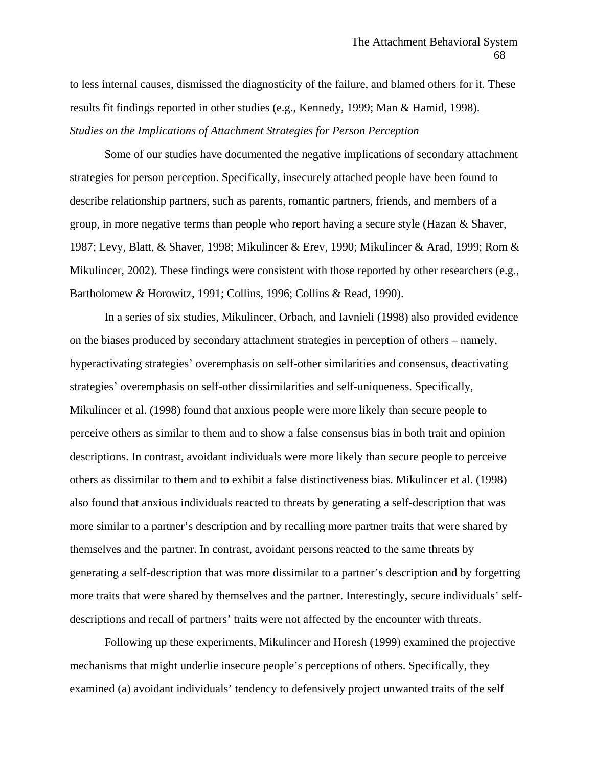to less internal causes, dismissed the diagnosticity of the failure, and blamed others for it. These results fit findings reported in other studies (e.g., Kennedy, 1999; Man & Hamid, 1998). *Studies on the Implications of Attachment Strategies for Person Perception* 

Some of our studies have documented the negative implications of secondary attachment strategies for person perception. Specifically, insecurely attached people have been found to describe relationship partners, such as parents, romantic partners, friends, and members of a group, in more negative terms than people who report having a secure style (Hazan & Shaver, 1987; Levy, Blatt, & Shaver, 1998; Mikulincer & Erev, 1990; Mikulincer & Arad, 1999; Rom & Mikulincer, 2002). These findings were consistent with those reported by other researchers (e.g., Bartholomew & Horowitz, 1991; Collins, 1996; Collins & Read, 1990).

In a series of six studies, Mikulincer, Orbach, and Iavnieli (1998) also provided evidence on the biases produced by secondary attachment strategies in perception of others – namely, hyperactivating strategies' overemphasis on self-other similarities and consensus, deactivating strategies' overemphasis on self-other dissimilarities and self-uniqueness. Specifically, Mikulincer et al. (1998) found that anxious people were more likely than secure people to perceive others as similar to them and to show a false consensus bias in both trait and opinion descriptions. In contrast, avoidant individuals were more likely than secure people to perceive others as dissimilar to them and to exhibit a false distinctiveness bias. Mikulincer et al. (1998) also found that anxious individuals reacted to threats by generating a self-description that was more similar to a partner's description and by recalling more partner traits that were shared by themselves and the partner. In contrast, avoidant persons reacted to the same threats by generating a self-description that was more dissimilar to a partner's description and by forgetting more traits that were shared by themselves and the partner. Interestingly, secure individuals' selfdescriptions and recall of partners' traits were not affected by the encounter with threats.

Following up these experiments, Mikulincer and Horesh (1999) examined the projective mechanisms that might underlie insecure people's perceptions of others. Specifically, they examined (a) avoidant individuals' tendency to defensively project unwanted traits of the self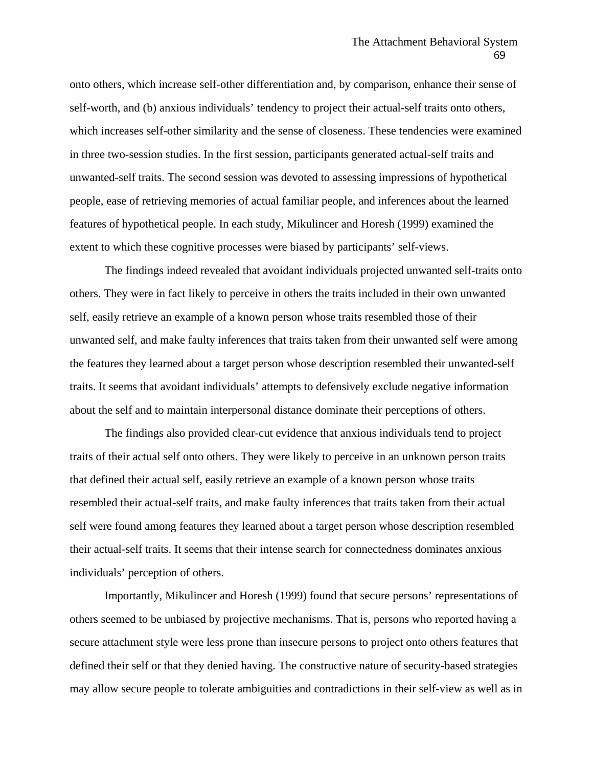onto others, which increase self-other differentiation and, by comparison, enhance their sense of self-worth, and (b) anxious individuals' tendency to project their actual-self traits onto others, which increases self-other similarity and the sense of closeness. These tendencies were examined in three two-session studies. In the first session, participants generated actual-self traits and unwanted-self traits. The second session was devoted to assessing impressions of hypothetical people, ease of retrieving memories of actual familiar people, and inferences about the learned features of hypothetical people. In each study, Mikulincer and Horesh (1999) examined the extent to which these cognitive processes were biased by participants' self-views.

The findings indeed revealed that avoidant individuals projected unwanted self-traits onto others. They were in fact likely to perceive in others the traits included in their own unwanted self, easily retrieve an example of a known person whose traits resembled those of their unwanted self, and make faulty inferences that traits taken from their unwanted self were among the features they learned about a target person whose description resembled their unwanted-self traits. It seems that avoidant individuals' attempts to defensively exclude negative information about the self and to maintain interpersonal distance dominate their perceptions of others.

The findings also provided clear-cut evidence that anxious individuals tend to project traits of their actual self onto others. They were likely to perceive in an unknown person traits that defined their actual self, easily retrieve an example of a known person whose traits resembled their actual-self traits, and make faulty inferences that traits taken from their actual self were found among features they learned about a target person whose description resembled their actual-self traits. It seems that their intense search for connectedness dominates anxious individuals' perception of others.

Importantly, Mikulincer and Horesh (1999) found that secure persons' representations of others seemed to be unbiased by projective mechanisms. That is, persons who reported having a secure attachment style were less prone than insecure persons to project onto others features that defined their self or that they denied having. The constructive nature of security-based strategies may allow secure people to tolerate ambiguities and contradictions in their self-view as well as in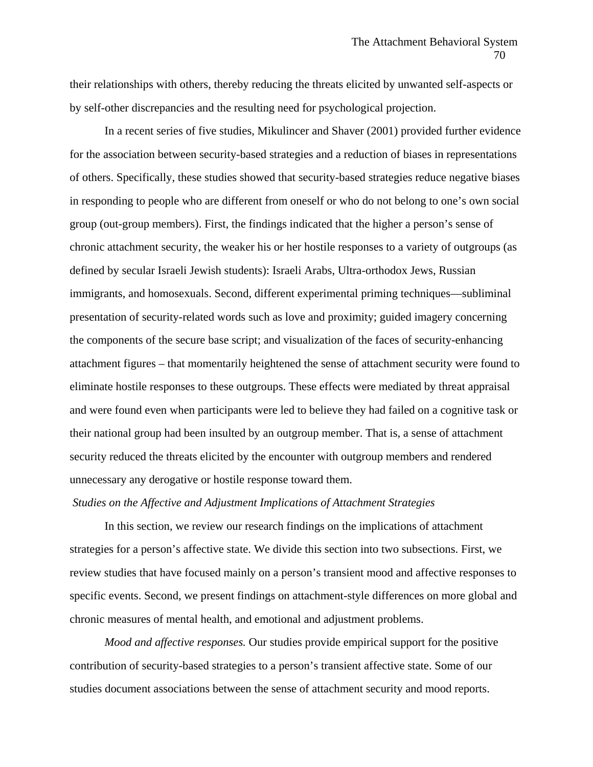their relationships with others, thereby reducing the threats elicited by unwanted self-aspects or by self-other discrepancies and the resulting need for psychological projection.

In a recent series of five studies, Mikulincer and Shaver (2001) provided further evidence for the association between security-based strategies and a reduction of biases in representations of others. Specifically, these studies showed that security-based strategies reduce negative biases in responding to people who are different from oneself or who do not belong to one's own social group (out-group members). First, the findings indicated that the higher a person's sense of chronic attachment security, the weaker his or her hostile responses to a variety of outgroups (as defined by secular Israeli Jewish students): Israeli Arabs, Ultra-orthodox Jews, Russian immigrants, and homosexuals. Second, different experimental priming techniques—subliminal presentation of security-related words such as love and proximity; guided imagery concerning the components of the secure base script; and visualization of the faces of security-enhancing attachment figures – that momentarily heightened the sense of attachment security were found to eliminate hostile responses to these outgroups. These effects were mediated by threat appraisal and were found even when participants were led to believe they had failed on a cognitive task or their national group had been insulted by an outgroup member. That is, a sense of attachment security reduced the threats elicited by the encounter with outgroup members and rendered unnecessary any derogative or hostile response toward them.

## *Studies on the Affective and Adjustment Implications of Attachment Strategies*

In this section, we review our research findings on the implications of attachment strategies for a person's affective state. We divide this section into two subsections. First, we review studies that have focused mainly on a person's transient mood and affective responses to specific events. Second, we present findings on attachment-style differences on more global and chronic measures of mental health, and emotional and adjustment problems.

*Mood and affective responses.* Our studies provide empirical support for the positive contribution of security-based strategies to a person's transient affective state. Some of our studies document associations between the sense of attachment security and mood reports.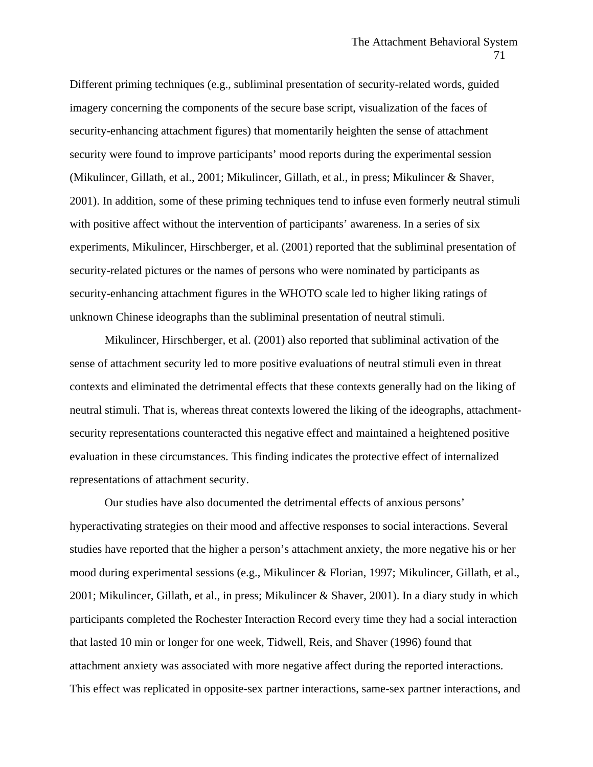Different priming techniques (e.g., subliminal presentation of security-related words, guided imagery concerning the components of the secure base script, visualization of the faces of security-enhancing attachment figures) that momentarily heighten the sense of attachment security were found to improve participants' mood reports during the experimental session (Mikulincer, Gillath, et al., 2001; Mikulincer, Gillath, et al., in press; Mikulincer & Shaver, 2001). In addition, some of these priming techniques tend to infuse even formerly neutral stimuli with positive affect without the intervention of participants' awareness. In a series of six experiments, Mikulincer, Hirschberger, et al. (2001) reported that the subliminal presentation of security-related pictures or the names of persons who were nominated by participants as security-enhancing attachment figures in the WHOTO scale led to higher liking ratings of unknown Chinese ideographs than the subliminal presentation of neutral stimuli.

Mikulincer, Hirschberger, et al. (2001) also reported that subliminal activation of the sense of attachment security led to more positive evaluations of neutral stimuli even in threat contexts and eliminated the detrimental effects that these contexts generally had on the liking of neutral stimuli. That is, whereas threat contexts lowered the liking of the ideographs, attachmentsecurity representations counteracted this negative effect and maintained a heightened positive evaluation in these circumstances. This finding indicates the protective effect of internalized representations of attachment security.

Our studies have also documented the detrimental effects of anxious persons' hyperactivating strategies on their mood and affective responses to social interactions. Several studies have reported that the higher a person's attachment anxiety, the more negative his or her mood during experimental sessions (e.g., Mikulincer & Florian, 1997; Mikulincer, Gillath, et al., 2001; Mikulincer, Gillath, et al., in press; Mikulincer & Shaver, 2001). In a diary study in which participants completed the Rochester Interaction Record every time they had a social interaction that lasted 10 min or longer for one week, Tidwell, Reis, and Shaver (1996) found that attachment anxiety was associated with more negative affect during the reported interactions. This effect was replicated in opposite-sex partner interactions, same-sex partner interactions, and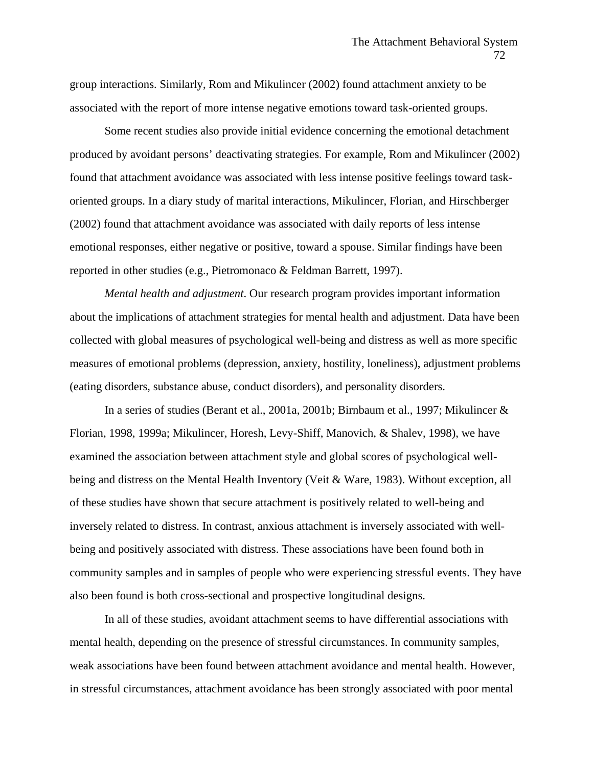group interactions. Similarly, Rom and Mikulincer (2002) found attachment anxiety to be associated with the report of more intense negative emotions toward task-oriented groups.

Some recent studies also provide initial evidence concerning the emotional detachment produced by avoidant persons' deactivating strategies. For example, Rom and Mikulincer (2002) found that attachment avoidance was associated with less intense positive feelings toward taskoriented groups. In a diary study of marital interactions, Mikulincer, Florian, and Hirschberger (2002) found that attachment avoidance was associated with daily reports of less intense emotional responses, either negative or positive, toward a spouse. Similar findings have been reported in other studies (e.g., Pietromonaco & Feldman Barrett, 1997).

*Mental health and adjustment*. Our research program provides important information about the implications of attachment strategies for mental health and adjustment. Data have been collected with global measures of psychological well-being and distress as well as more specific measures of emotional problems (depression, anxiety, hostility, loneliness), adjustment problems (eating disorders, substance abuse, conduct disorders), and personality disorders.

In a series of studies (Berant et al., 2001a, 2001b; Birnbaum et al., 1997; Mikulincer & Florian, 1998, 1999a; Mikulincer, Horesh, Levy-Shiff, Manovich, & Shalev, 1998), we have examined the association between attachment style and global scores of psychological wellbeing and distress on the Mental Health Inventory (Veit & Ware, 1983). Without exception, all of these studies have shown that secure attachment is positively related to well-being and inversely related to distress. In contrast, anxious attachment is inversely associated with wellbeing and positively associated with distress. These associations have been found both in community samples and in samples of people who were experiencing stressful events. They have also been found is both cross-sectional and prospective longitudinal designs.

In all of these studies, avoidant attachment seems to have differential associations with mental health, depending on the presence of stressful circumstances. In community samples, weak associations have been found between attachment avoidance and mental health. However, in stressful circumstances, attachment avoidance has been strongly associated with poor mental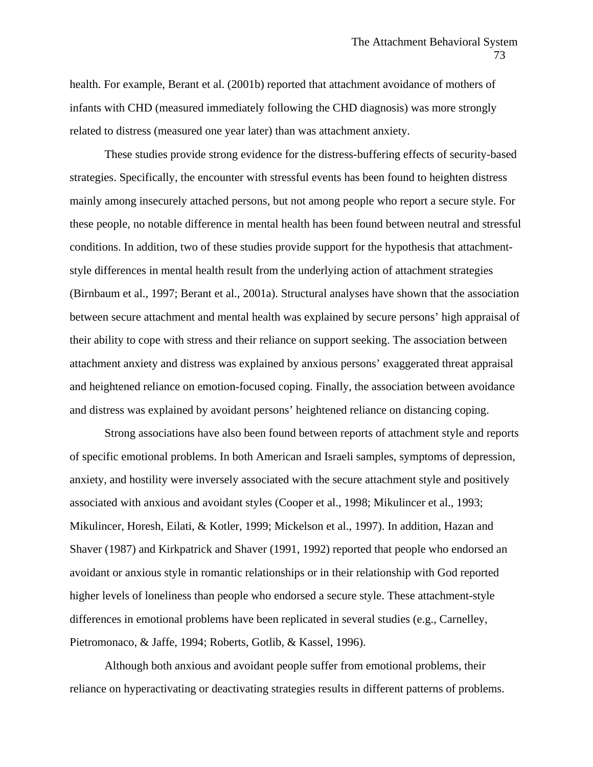health. For example, Berant et al. (2001b) reported that attachment avoidance of mothers of infants with CHD (measured immediately following the CHD diagnosis) was more strongly related to distress (measured one year later) than was attachment anxiety.

These studies provide strong evidence for the distress-buffering effects of security-based strategies. Specifically, the encounter with stressful events has been found to heighten distress mainly among insecurely attached persons, but not among people who report a secure style. For these people, no notable difference in mental health has been found between neutral and stressful conditions. In addition, two of these studies provide support for the hypothesis that attachmentstyle differences in mental health result from the underlying action of attachment strategies (Birnbaum et al., 1997; Berant et al., 2001a). Structural analyses have shown that the association between secure attachment and mental health was explained by secure persons' high appraisal of their ability to cope with stress and their reliance on support seeking. The association between attachment anxiety and distress was explained by anxious persons' exaggerated threat appraisal and heightened reliance on emotion-focused coping. Finally, the association between avoidance and distress was explained by avoidant persons' heightened reliance on distancing coping.

Strong associations have also been found between reports of attachment style and reports of specific emotional problems. In both American and Israeli samples, symptoms of depression, anxiety, and hostility were inversely associated with the secure attachment style and positively associated with anxious and avoidant styles (Cooper et al., 1998; Mikulincer et al., 1993; Mikulincer, Horesh, Eilati, & Kotler, 1999; Mickelson et al., 1997). In addition, Hazan and Shaver (1987) and Kirkpatrick and Shaver (1991, 1992) reported that people who endorsed an avoidant or anxious style in romantic relationships or in their relationship with God reported higher levels of loneliness than people who endorsed a secure style. These attachment-style differences in emotional problems have been replicated in several studies (e.g., Carnelley, Pietromonaco, & Jaffe, 1994; Roberts, Gotlib, & Kassel, 1996).

Although both anxious and avoidant people suffer from emotional problems, their reliance on hyperactivating or deactivating strategies results in different patterns of problems.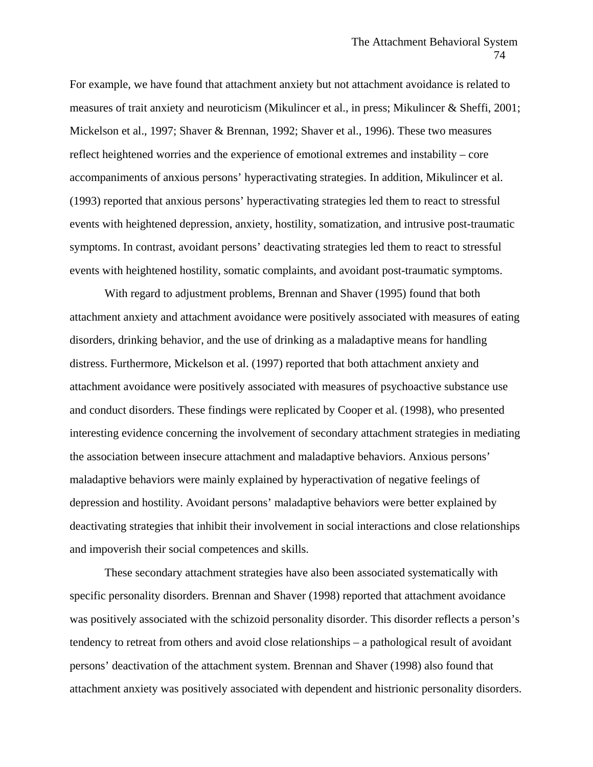For example, we have found that attachment anxiety but not attachment avoidance is related to measures of trait anxiety and neuroticism (Mikulincer et al., in press; Mikulincer & Sheffi, 2001; Mickelson et al., 1997; Shaver & Brennan, 1992; Shaver et al., 1996). These two measures reflect heightened worries and the experience of emotional extremes and instability – core accompaniments of anxious persons' hyperactivating strategies. In addition, Mikulincer et al. (1993) reported that anxious persons' hyperactivating strategies led them to react to stressful events with heightened depression, anxiety, hostility, somatization, and intrusive post-traumatic symptoms. In contrast, avoidant persons' deactivating strategies led them to react to stressful events with heightened hostility, somatic complaints, and avoidant post-traumatic symptoms.

With regard to adjustment problems, Brennan and Shaver (1995) found that both attachment anxiety and attachment avoidance were positively associated with measures of eating disorders, drinking behavior, and the use of drinking as a maladaptive means for handling distress. Furthermore, Mickelson et al. (1997) reported that both attachment anxiety and attachment avoidance were positively associated with measures of psychoactive substance use and conduct disorders. These findings were replicated by Cooper et al. (1998), who presented interesting evidence concerning the involvement of secondary attachment strategies in mediating the association between insecure attachment and maladaptive behaviors. Anxious persons' maladaptive behaviors were mainly explained by hyperactivation of negative feelings of depression and hostility. Avoidant persons' maladaptive behaviors were better explained by deactivating strategies that inhibit their involvement in social interactions and close relationships and impoverish their social competences and skills.

These secondary attachment strategies have also been associated systematically with specific personality disorders. Brennan and Shaver (1998) reported that attachment avoidance was positively associated with the schizoid personality disorder. This disorder reflects a person's tendency to retreat from others and avoid close relationships – a pathological result of avoidant persons' deactivation of the attachment system. Brennan and Shaver (1998) also found that attachment anxiety was positively associated with dependent and histrionic personality disorders.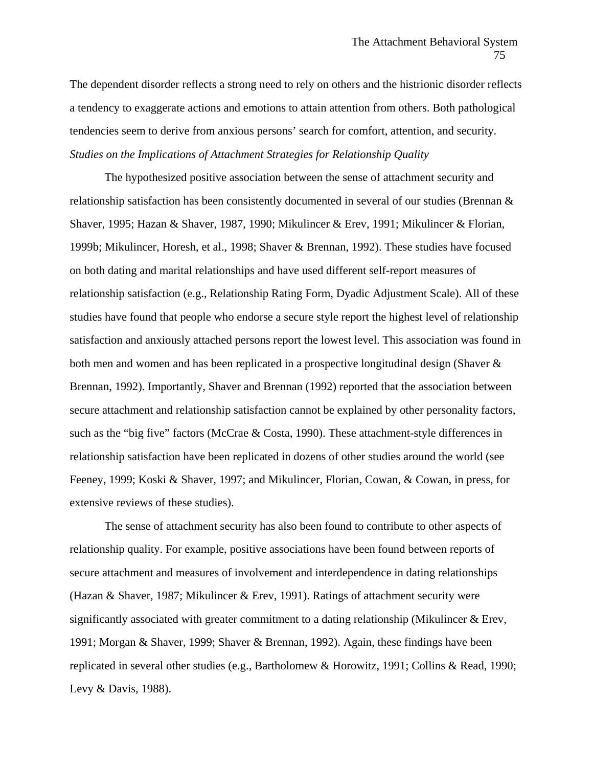The dependent disorder reflects a strong need to rely on others and the histrionic disorder reflects a tendency to exaggerate actions and emotions to attain attention from others. Both pathological tendencies seem to derive from anxious persons' search for comfort, attention, and security. *Studies on the Implications of Attachment Strategies for Relationship Quality* 

The hypothesized positive association between the sense of attachment security and relationship satisfaction has been consistently documented in several of our studies (Brennan & Shaver, 1995; Hazan & Shaver, 1987, 1990; Mikulincer & Erev, 1991; Mikulincer & Florian, 1999b; Mikulincer, Horesh, et al., 1998; Shaver & Brennan, 1992). These studies have focused on both dating and marital relationships and have used different self-report measures of relationship satisfaction (e.g., Relationship Rating Form, Dyadic Adjustment Scale). All of these studies have found that people who endorse a secure style report the highest level of relationship satisfaction and anxiously attached persons report the lowest level. This association was found in both men and women and has been replicated in a prospective longitudinal design (Shaver & Brennan, 1992). Importantly, Shaver and Brennan (1992) reported that the association between secure attachment and relationship satisfaction cannot be explained by other personality factors, such as the "big five" factors (McCrae & Costa, 1990). These attachment-style differences in relationship satisfaction have been replicated in dozens of other studies around the world (see Feeney, 1999; Koski & Shaver, 1997; and Mikulincer, Florian, Cowan, & Cowan, in press, for extensive reviews of these studies).

The sense of attachment security has also been found to contribute to other aspects of relationship quality. For example, positive associations have been found between reports of secure attachment and measures of involvement and interdependence in dating relationships (Hazan & Shaver, 1987; Mikulincer & Erev, 1991). Ratings of attachment security were significantly associated with greater commitment to a dating relationship (Mikulincer & Erev, 1991; Morgan & Shaver, 1999; Shaver & Brennan, 1992). Again, these findings have been replicated in several other studies (e.g., Bartholomew & Horowitz, 1991; Collins & Read, 1990; Levy & Davis, 1988).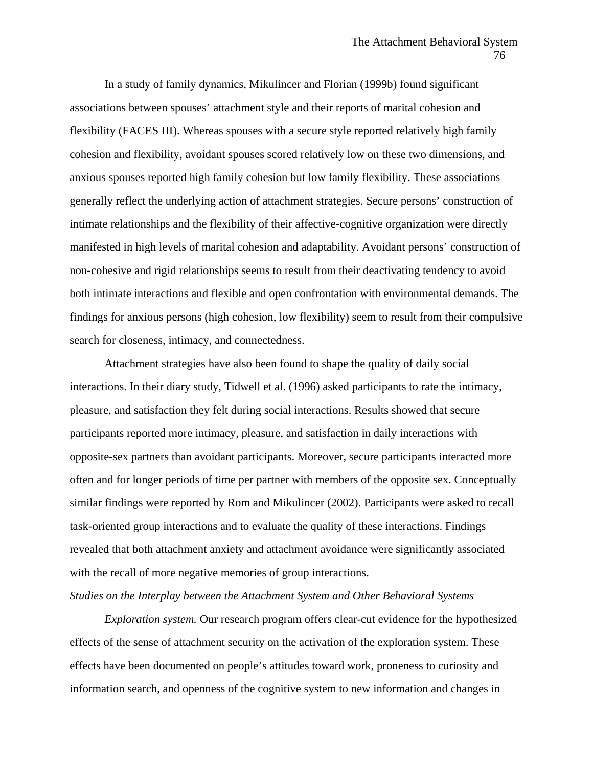In a study of family dynamics, Mikulincer and Florian (1999b) found significant associations between spouses' attachment style and their reports of marital cohesion and flexibility (FACES III). Whereas spouses with a secure style reported relatively high family cohesion and flexibility, avoidant spouses scored relatively low on these two dimensions, and anxious spouses reported high family cohesion but low family flexibility. These associations generally reflect the underlying action of attachment strategies. Secure persons' construction of intimate relationships and the flexibility of their affective-cognitive organization were directly manifested in high levels of marital cohesion and adaptability. Avoidant persons' construction of non-cohesive and rigid relationships seems to result from their deactivating tendency to avoid both intimate interactions and flexible and open confrontation with environmental demands. The findings for anxious persons (high cohesion, low flexibility) seem to result from their compulsive search for closeness, intimacy, and connectedness.

Attachment strategies have also been found to shape the quality of daily social interactions. In their diary study, Tidwell et al. (1996) asked participants to rate the intimacy, pleasure, and satisfaction they felt during social interactions. Results showed that secure participants reported more intimacy, pleasure, and satisfaction in daily interactions with opposite-sex partners than avoidant participants. Moreover, secure participants interacted more often and for longer periods of time per partner with members of the opposite sex. Conceptually similar findings were reported by Rom and Mikulincer (2002). Participants were asked to recall task-oriented group interactions and to evaluate the quality of these interactions. Findings revealed that both attachment anxiety and attachment avoidance were significantly associated with the recall of more negative memories of group interactions.

## *Studies on the Interplay between the Attachment System and Other Behavioral Systems*

*Exploration system.* Our research program offers clear-cut evidence for the hypothesized effects of the sense of attachment security on the activation of the exploration system. These effects have been documented on people's attitudes toward work, proneness to curiosity and information search, and openness of the cognitive system to new information and changes in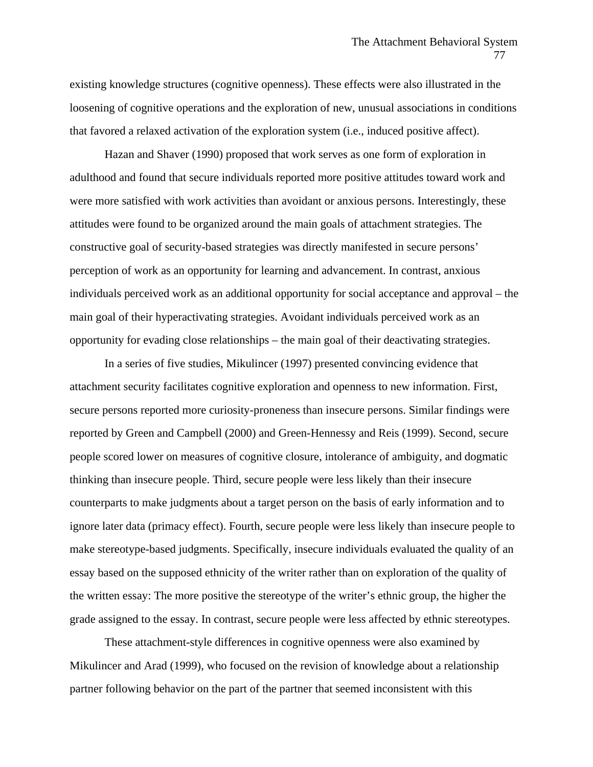existing knowledge structures (cognitive openness). These effects were also illustrated in the loosening of cognitive operations and the exploration of new, unusual associations in conditions that favored a relaxed activation of the exploration system (i.e., induced positive affect).

Hazan and Shaver (1990) proposed that work serves as one form of exploration in adulthood and found that secure individuals reported more positive attitudes toward work and were more satisfied with work activities than avoidant or anxious persons. Interestingly, these attitudes were found to be organized around the main goals of attachment strategies. The constructive goal of security-based strategies was directly manifested in secure persons' perception of work as an opportunity for learning and advancement. In contrast, anxious individuals perceived work as an additional opportunity for social acceptance and approval – the main goal of their hyperactivating strategies. Avoidant individuals perceived work as an opportunity for evading close relationships – the main goal of their deactivating strategies.

In a series of five studies, Mikulincer (1997) presented convincing evidence that attachment security facilitates cognitive exploration and openness to new information. First, secure persons reported more curiosity-proneness than insecure persons. Similar findings were reported by Green and Campbell (2000) and Green-Hennessy and Reis (1999). Second, secure people scored lower on measures of cognitive closure, intolerance of ambiguity, and dogmatic thinking than insecure people. Third, secure people were less likely than their insecure counterparts to make judgments about a target person on the basis of early information and to ignore later data (primacy effect). Fourth, secure people were less likely than insecure people to make stereotype-based judgments. Specifically, insecure individuals evaluated the quality of an essay based on the supposed ethnicity of the writer rather than on exploration of the quality of the written essay: The more positive the stereotype of the writer's ethnic group, the higher the grade assigned to the essay. In contrast, secure people were less affected by ethnic stereotypes.

These attachment-style differences in cognitive openness were also examined by Mikulincer and Arad (1999), who focused on the revision of knowledge about a relationship partner following behavior on the part of the partner that seemed inconsistent with this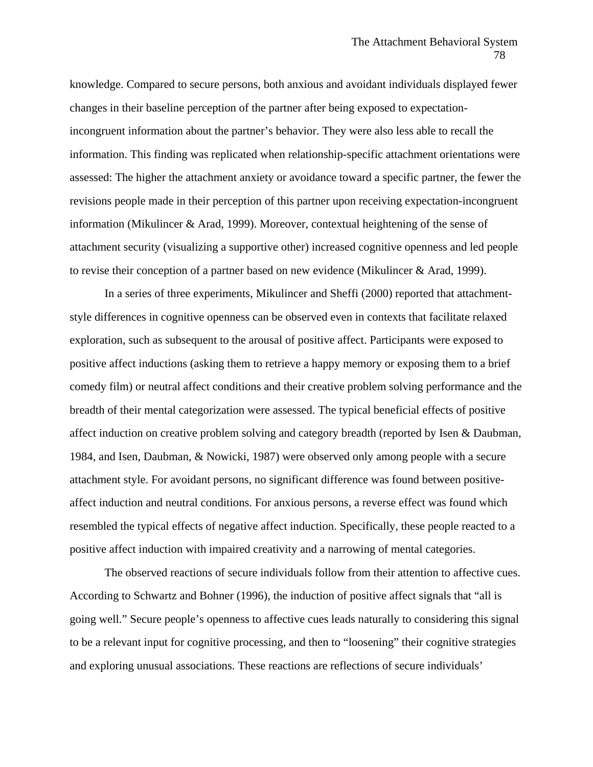knowledge. Compared to secure persons, both anxious and avoidant individuals displayed fewer changes in their baseline perception of the partner after being exposed to expectationincongruent information about the partner's behavior. They were also less able to recall the information. This finding was replicated when relationship-specific attachment orientations were assessed: The higher the attachment anxiety or avoidance toward a specific partner, the fewer the revisions people made in their perception of this partner upon receiving expectation-incongruent information (Mikulincer & Arad, 1999). Moreover, contextual heightening of the sense of attachment security (visualizing a supportive other) increased cognitive openness and led people to revise their conception of a partner based on new evidence (Mikulincer & Arad, 1999).

In a series of three experiments, Mikulincer and Sheffi (2000) reported that attachmentstyle differences in cognitive openness can be observed even in contexts that facilitate relaxed exploration, such as subsequent to the arousal of positive affect. Participants were exposed to positive affect inductions (asking them to retrieve a happy memory or exposing them to a brief comedy film) or neutral affect conditions and their creative problem solving performance and the breadth of their mental categorization were assessed. The typical beneficial effects of positive affect induction on creative problem solving and category breadth (reported by Isen & Daubman, 1984, and Isen, Daubman, & Nowicki, 1987) were observed only among people with a secure attachment style. For avoidant persons, no significant difference was found between positiveaffect induction and neutral conditions. For anxious persons, a reverse effect was found which resembled the typical effects of negative affect induction. Specifically, these people reacted to a positive affect induction with impaired creativity and a narrowing of mental categories.

The observed reactions of secure individuals follow from their attention to affective cues. According to Schwartz and Bohner (1996), the induction of positive affect signals that "all is going well." Secure people's openness to affective cues leads naturally to considering this signal to be a relevant input for cognitive processing, and then to "loosening" their cognitive strategies and exploring unusual associations. These reactions are reflections of secure individuals'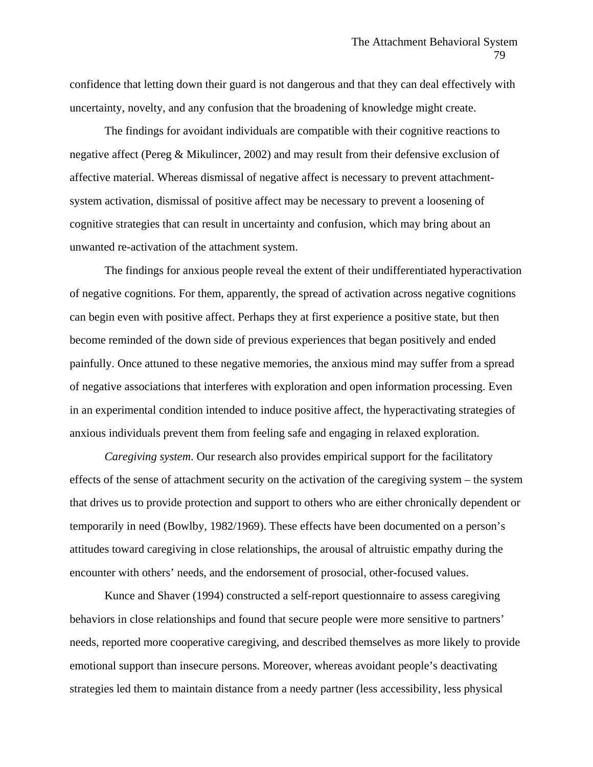confidence that letting down their guard is not dangerous and that they can deal effectively with uncertainty, novelty, and any confusion that the broadening of knowledge might create.

The findings for avoidant individuals are compatible with their cognitive reactions to negative affect (Pereg & Mikulincer, 2002) and may result from their defensive exclusion of affective material. Whereas dismissal of negative affect is necessary to prevent attachmentsystem activation, dismissal of positive affect may be necessary to prevent a loosening of cognitive strategies that can result in uncertainty and confusion, which may bring about an unwanted re-activation of the attachment system.

The findings for anxious people reveal the extent of their undifferentiated hyperactivation of negative cognitions. For them, apparently, the spread of activation across negative cognitions can begin even with positive affect. Perhaps they at first experience a positive state, but then become reminded of the down side of previous experiences that began positively and ended painfully. Once attuned to these negative memories, the anxious mind may suffer from a spread of negative associations that interferes with exploration and open information processing. Even in an experimental condition intended to induce positive affect, the hyperactivating strategies of anxious individuals prevent them from feeling safe and engaging in relaxed exploration.

*Caregiving system*. Our research also provides empirical support for the facilitatory effects of the sense of attachment security on the activation of the caregiving system – the system that drives us to provide protection and support to others who are either chronically dependent or temporarily in need (Bowlby, 1982/1969). These effects have been documented on a person's attitudes toward caregiving in close relationships, the arousal of altruistic empathy during the encounter with others' needs, and the endorsement of prosocial, other-focused values.

Kunce and Shaver (1994) constructed a self-report questionnaire to assess caregiving behaviors in close relationships and found that secure people were more sensitive to partners' needs, reported more cooperative caregiving, and described themselves as more likely to provide emotional support than insecure persons. Moreover, whereas avoidant people's deactivating strategies led them to maintain distance from a needy partner (less accessibility, less physical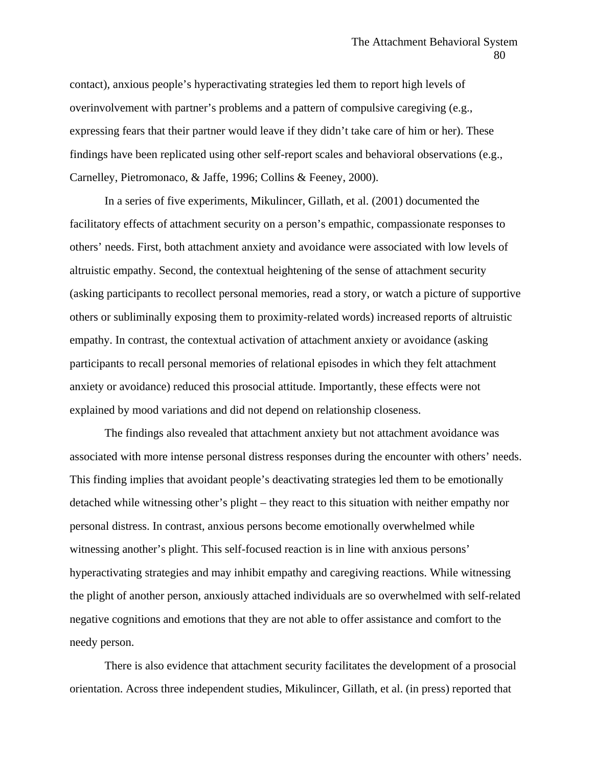contact), anxious people's hyperactivating strategies led them to report high levels of overinvolvement with partner's problems and a pattern of compulsive caregiving (e.g., expressing fears that their partner would leave if they didn't take care of him or her). These findings have been replicated using other self-report scales and behavioral observations (e.g., Carnelley, Pietromonaco, & Jaffe, 1996; Collins & Feeney, 2000).

In a series of five experiments, Mikulincer, Gillath, et al. (2001) documented the facilitatory effects of attachment security on a person's empathic, compassionate responses to others' needs. First, both attachment anxiety and avoidance were associated with low levels of altruistic empathy. Second, the contextual heightening of the sense of attachment security (asking participants to recollect personal memories, read a story, or watch a picture of supportive others or subliminally exposing them to proximity-related words) increased reports of altruistic empathy. In contrast, the contextual activation of attachment anxiety or avoidance (asking participants to recall personal memories of relational episodes in which they felt attachment anxiety or avoidance) reduced this prosocial attitude. Importantly, these effects were not explained by mood variations and did not depend on relationship closeness.

The findings also revealed that attachment anxiety but not attachment avoidance was associated with more intense personal distress responses during the encounter with others' needs. This finding implies that avoidant people's deactivating strategies led them to be emotionally detached while witnessing other's plight – they react to this situation with neither empathy nor personal distress. In contrast, anxious persons become emotionally overwhelmed while witnessing another's plight. This self-focused reaction is in line with anxious persons' hyperactivating strategies and may inhibit empathy and caregiving reactions. While witnessing the plight of another person, anxiously attached individuals are so overwhelmed with self-related negative cognitions and emotions that they are not able to offer assistance and comfort to the needy person.

There is also evidence that attachment security facilitates the development of a prosocial orientation. Across three independent studies, Mikulincer, Gillath, et al. (in press) reported that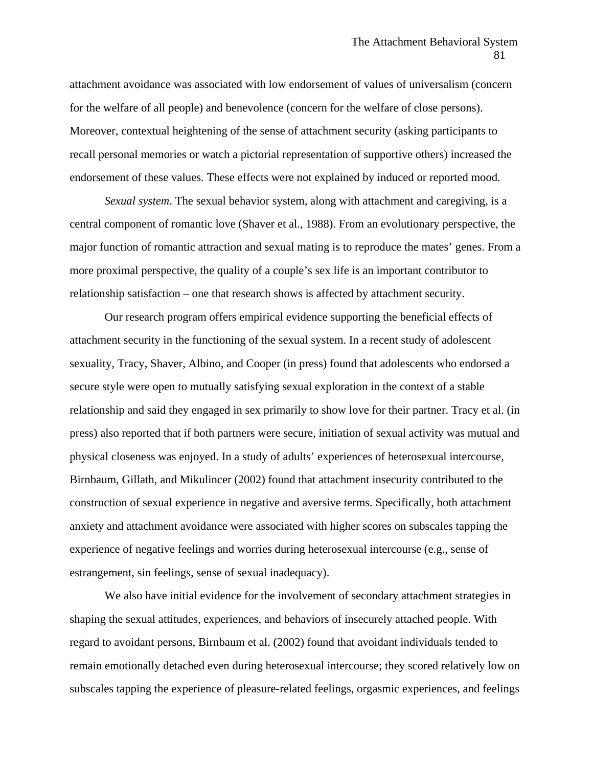attachment avoidance was associated with low endorsement of values of universalism (concern for the welfare of all people) and benevolence (concern for the welfare of close persons). Moreover, contextual heightening of the sense of attachment security (asking participants to recall personal memories or watch a pictorial representation of supportive others) increased the endorsement of these values. These effects were not explained by induced or reported mood.

*Sexual system*. The sexual behavior system, along with attachment and caregiving, is a central component of romantic love (Shaver et al., 1988). From an evolutionary perspective, the major function of romantic attraction and sexual mating is to reproduce the mates' genes. From a more proximal perspective, the quality of a couple's sex life is an important contributor to relationship satisfaction – one that research shows is affected by attachment security.

Our research program offers empirical evidence supporting the beneficial effects of attachment security in the functioning of the sexual system. In a recent study of adolescent sexuality, Tracy, Shaver, Albino, and Cooper (in press) found that adolescents who endorsed a secure style were open to mutually satisfying sexual exploration in the context of a stable relationship and said they engaged in sex primarily to show love for their partner. Tracy et al. (in press) also reported that if both partners were secure, initiation of sexual activity was mutual and physical closeness was enjoyed. In a study of adults' experiences of heterosexual intercourse, Birnbaum, Gillath, and Mikulincer (2002) found that attachment insecurity contributed to the construction of sexual experience in negative and aversive terms. Specifically, both attachment anxiety and attachment avoidance were associated with higher scores on subscales tapping the experience of negative feelings and worries during heterosexual intercourse (e.g., sense of estrangement, sin feelings, sense of sexual inadequacy).

We also have initial evidence for the involvement of secondary attachment strategies in shaping the sexual attitudes, experiences, and behaviors of insecurely attached people. With regard to avoidant persons, Birnbaum et al. (2002) found that avoidant individuals tended to remain emotionally detached even during heterosexual intercourse; they scored relatively low on subscales tapping the experience of pleasure-related feelings, orgasmic experiences, and feelings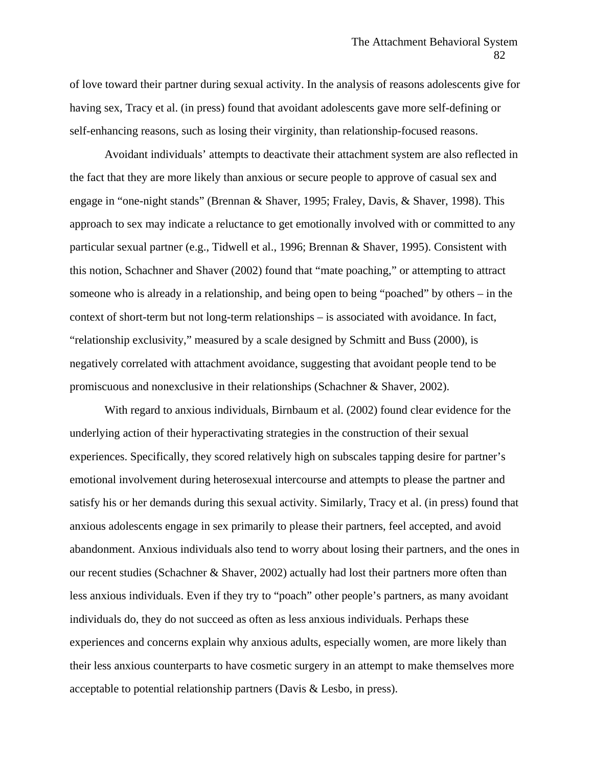of love toward their partner during sexual activity. In the analysis of reasons adolescents give for having sex, Tracy et al. (in press) found that avoidant adolescents gave more self-defining or self-enhancing reasons, such as losing their virginity, than relationship-focused reasons.

Avoidant individuals' attempts to deactivate their attachment system are also reflected in the fact that they are more likely than anxious or secure people to approve of casual sex and engage in "one-night stands" (Brennan & Shaver, 1995; Fraley, Davis, & Shaver, 1998). This approach to sex may indicate a reluctance to get emotionally involved with or committed to any particular sexual partner (e.g., Tidwell et al., 1996; Brennan & Shaver, 1995). Consistent with this notion, Schachner and Shaver (2002) found that "mate poaching," or attempting to attract someone who is already in a relationship, and being open to being "poached" by others – in the context of short-term but not long-term relationships – is associated with avoidance. In fact, "relationship exclusivity," measured by a scale designed by Schmitt and Buss (2000), is negatively correlated with attachment avoidance, suggesting that avoidant people tend to be promiscuous and nonexclusive in their relationships (Schachner & Shaver, 2002).

With regard to anxious individuals, Birnbaum et al. (2002) found clear evidence for the underlying action of their hyperactivating strategies in the construction of their sexual experiences. Specifically, they scored relatively high on subscales tapping desire for partner's emotional involvement during heterosexual intercourse and attempts to please the partner and satisfy his or her demands during this sexual activity. Similarly, Tracy et al. (in press) found that anxious adolescents engage in sex primarily to please their partners, feel accepted, and avoid abandonment. Anxious individuals also tend to worry about losing their partners, and the ones in our recent studies (Schachner & Shaver, 2002) actually had lost their partners more often than less anxious individuals. Even if they try to "poach" other people's partners, as many avoidant individuals do, they do not succeed as often as less anxious individuals. Perhaps these experiences and concerns explain why anxious adults, especially women, are more likely than their less anxious counterparts to have cosmetic surgery in an attempt to make themselves more acceptable to potential relationship partners (Davis & Lesbo, in press).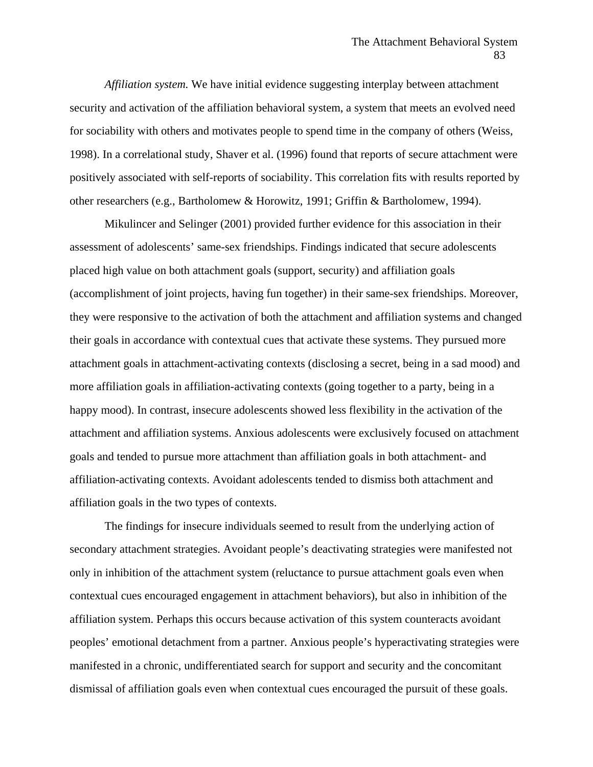*Affiliation system.* We have initial evidence suggesting interplay between attachment security and activation of the affiliation behavioral system, a system that meets an evolved need for sociability with others and motivates people to spend time in the company of others (Weiss, 1998). In a correlational study, Shaver et al. (1996) found that reports of secure attachment were positively associated with self-reports of sociability. This correlation fits with results reported by other researchers (e.g., Bartholomew & Horowitz, 1991; Griffin & Bartholomew, 1994).

Mikulincer and Selinger (2001) provided further evidence for this association in their assessment of adolescents' same-sex friendships. Findings indicated that secure adolescents placed high value on both attachment goals (support, security) and affiliation goals (accomplishment of joint projects, having fun together) in their same-sex friendships. Moreover, they were responsive to the activation of both the attachment and affiliation systems and changed their goals in accordance with contextual cues that activate these systems. They pursued more attachment goals in attachment-activating contexts (disclosing a secret, being in a sad mood) and more affiliation goals in affiliation-activating contexts (going together to a party, being in a happy mood). In contrast, insecure adolescents showed less flexibility in the activation of the attachment and affiliation systems. Anxious adolescents were exclusively focused on attachment goals and tended to pursue more attachment than affiliation goals in both attachment- and affiliation-activating contexts. Avoidant adolescents tended to dismiss both attachment and affiliation goals in the two types of contexts.

The findings for insecure individuals seemed to result from the underlying action of secondary attachment strategies. Avoidant people's deactivating strategies were manifested not only in inhibition of the attachment system (reluctance to pursue attachment goals even when contextual cues encouraged engagement in attachment behaviors), but also in inhibition of the affiliation system. Perhaps this occurs because activation of this system counteracts avoidant peoples' emotional detachment from a partner. Anxious people's hyperactivating strategies were manifested in a chronic, undifferentiated search for support and security and the concomitant dismissal of affiliation goals even when contextual cues encouraged the pursuit of these goals.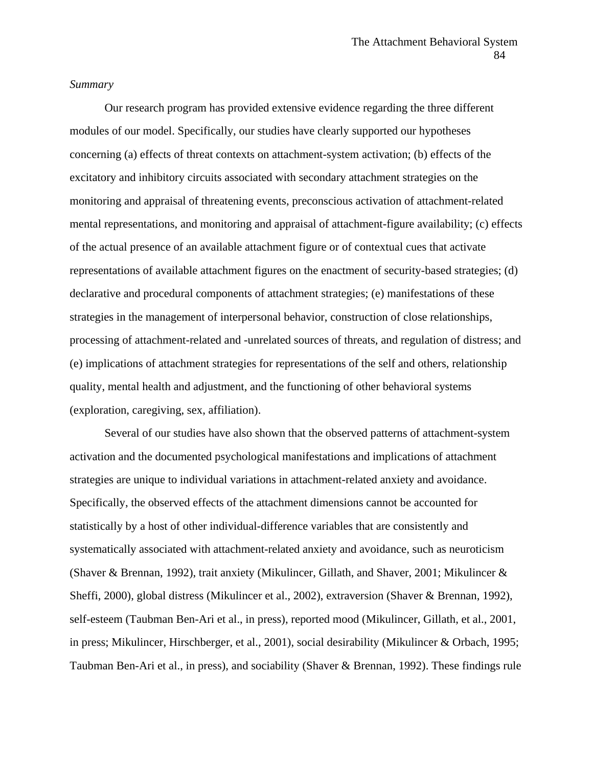## *Summary*

Our research program has provided extensive evidence regarding the three different modules of our model. Specifically, our studies have clearly supported our hypotheses concerning (a) effects of threat contexts on attachment-system activation; (b) effects of the excitatory and inhibitory circuits associated with secondary attachment strategies on the monitoring and appraisal of threatening events, preconscious activation of attachment-related mental representations, and monitoring and appraisal of attachment-figure availability; (c) effects of the actual presence of an available attachment figure or of contextual cues that activate representations of available attachment figures on the enactment of security-based strategies; (d) declarative and procedural components of attachment strategies; (e) manifestations of these strategies in the management of interpersonal behavior, construction of close relationships, processing of attachment-related and -unrelated sources of threats, and regulation of distress; and (e) implications of attachment strategies for representations of the self and others, relationship quality, mental health and adjustment, and the functioning of other behavioral systems (exploration, caregiving, sex, affiliation).

Several of our studies have also shown that the observed patterns of attachment-system activation and the documented psychological manifestations and implications of attachment strategies are unique to individual variations in attachment-related anxiety and avoidance. Specifically, the observed effects of the attachment dimensions cannot be accounted for statistically by a host of other individual-difference variables that are consistently and systematically associated with attachment-related anxiety and avoidance, such as neuroticism (Shaver & Brennan, 1992), trait anxiety (Mikulincer, Gillath, and Shaver, 2001; Mikulincer & Sheffi, 2000), global distress (Mikulincer et al., 2002), extraversion (Shaver & Brennan, 1992), self-esteem (Taubman Ben-Ari et al., in press), reported mood (Mikulincer, Gillath, et al., 2001, in press; Mikulincer, Hirschberger, et al., 2001), social desirability (Mikulincer & Orbach, 1995; Taubman Ben-Ari et al., in press), and sociability (Shaver & Brennan, 1992). These findings rule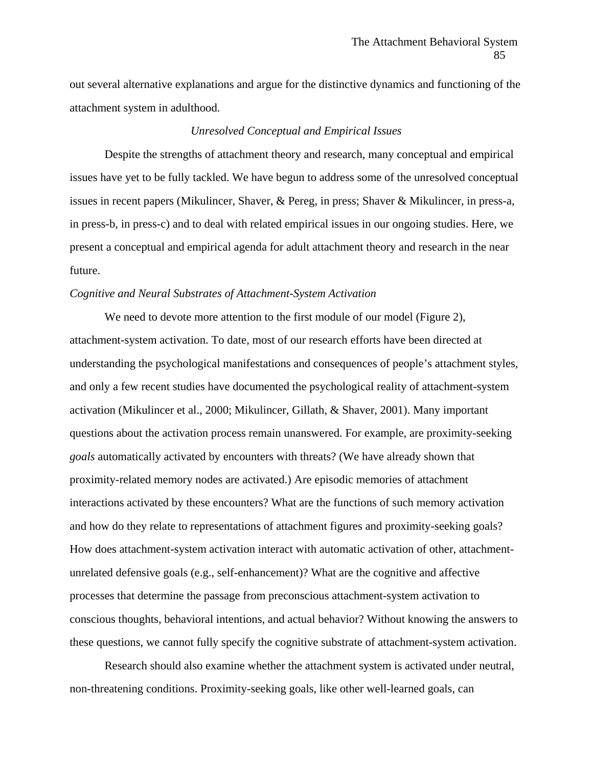out several alternative explanations and argue for the distinctive dynamics and functioning of the attachment system in adulthood.

### *Unresolved Conceptual and Empirical Issues*

Despite the strengths of attachment theory and research, many conceptual and empirical issues have yet to be fully tackled. We have begun to address some of the unresolved conceptual issues in recent papers (Mikulincer, Shaver, & Pereg, in press; Shaver & Mikulincer, in press-a, in press-b, in press-c) and to deal with related empirical issues in our ongoing studies. Here, we present a conceptual and empirical agenda for adult attachment theory and research in the near future.

### *Cognitive and Neural Substrates of Attachment-System Activation*

We need to devote more attention to the first module of our model (Figure 2), attachment-system activation. To date, most of our research efforts have been directed at understanding the psychological manifestations and consequences of people's attachment styles, and only a few recent studies have documented the psychological reality of attachment-system activation (Mikulincer et al., 2000; Mikulincer, Gillath, & Shaver, 2001). Many important questions about the activation process remain unanswered. For example, are proximity-seeking *goals* automatically activated by encounters with threats? (We have already shown that proximity-related memory nodes are activated.) Are episodic memories of attachment interactions activated by these encounters? What are the functions of such memory activation and how do they relate to representations of attachment figures and proximity-seeking goals? How does attachment-system activation interact with automatic activation of other, attachmentunrelated defensive goals (e.g., self-enhancement)? What are the cognitive and affective processes that determine the passage from preconscious attachment-system activation to conscious thoughts, behavioral intentions, and actual behavior? Without knowing the answers to these questions, we cannot fully specify the cognitive substrate of attachment-system activation.

Research should also examine whether the attachment system is activated under neutral, non-threatening conditions. Proximity-seeking goals, like other well-learned goals, can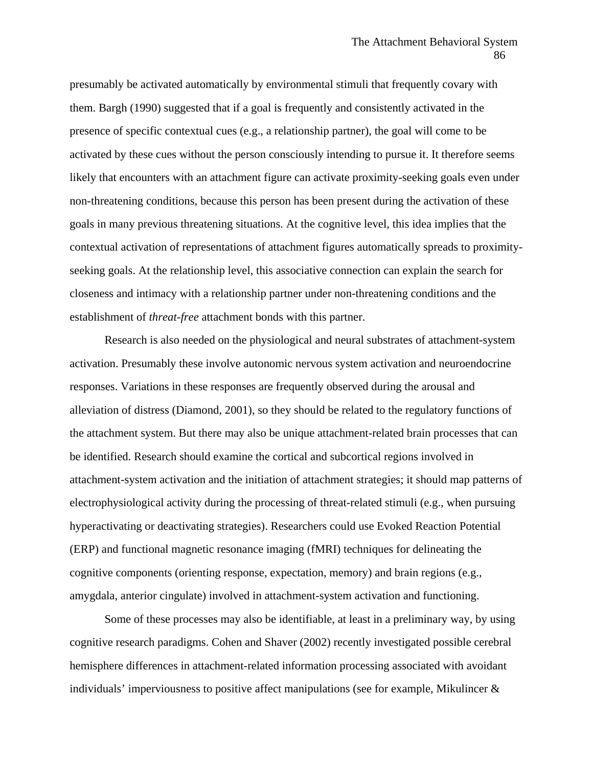presumably be activated automatically by environmental stimuli that frequently covary with them. Bargh (1990) suggested that if a goal is frequently and consistently activated in the presence of specific contextual cues (e.g., a relationship partner), the goal will come to be activated by these cues without the person consciously intending to pursue it. It therefore seems likely that encounters with an attachment figure can activate proximity-seeking goals even under non-threatening conditions, because this person has been present during the activation of these goals in many previous threatening situations. At the cognitive level, this idea implies that the contextual activation of representations of attachment figures automatically spreads to proximityseeking goals. At the relationship level, this associative connection can explain the search for closeness and intimacy with a relationship partner under non-threatening conditions and the establishment of *threat-free* attachment bonds with this partner.

Research is also needed on the physiological and neural substrates of attachment-system activation. Presumably these involve autonomic nervous system activation and neuroendocrine responses. Variations in these responses are frequently observed during the arousal and alleviation of distress (Diamond, 2001), so they should be related to the regulatory functions of the attachment system. But there may also be unique attachment-related brain processes that can be identified. Research should examine the cortical and subcortical regions involved in attachment-system activation and the initiation of attachment strategies; it should map patterns of electrophysiological activity during the processing of threat-related stimuli (e.g., when pursuing hyperactivating or deactivating strategies). Researchers could use Evoked Reaction Potential (ERP) and functional magnetic resonance imaging (fMRI) techniques for delineating the cognitive components (orienting response, expectation, memory) and brain regions (e.g., amygdala, anterior cingulate) involved in attachment-system activation and functioning.

Some of these processes may also be identifiable, at least in a preliminary way, by using cognitive research paradigms. Cohen and Shaver (2002) recently investigated possible cerebral hemisphere differences in attachment-related information processing associated with avoidant individuals' imperviousness to positive affect manipulations (see for example, Mikulincer &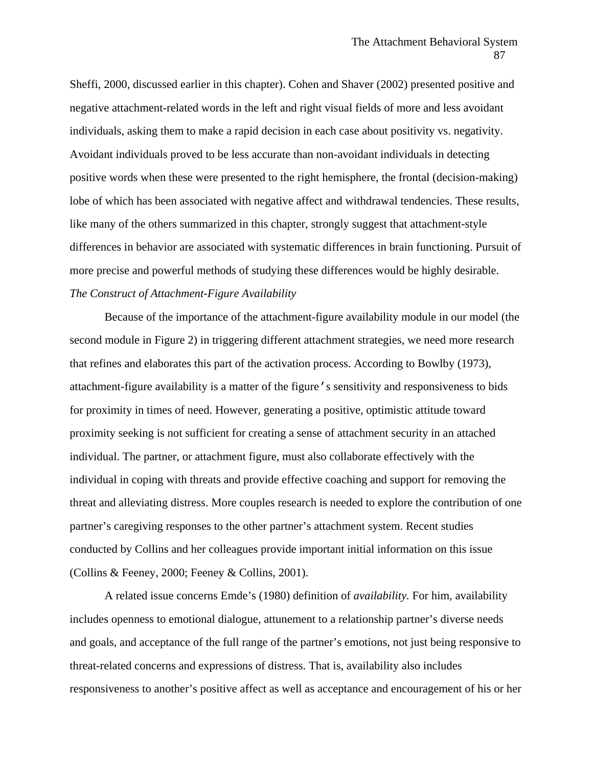Sheffi, 2000, discussed earlier in this chapter). Cohen and Shaver (2002) presented positive and negative attachment-related words in the left and right visual fields of more and less avoidant individuals, asking them to make a rapid decision in each case about positivity vs. negativity. Avoidant individuals proved to be less accurate than non-avoidant individuals in detecting positive words when these were presented to the right hemisphere, the frontal (decision-making) lobe of which has been associated with negative affect and withdrawal tendencies. These results, like many of the others summarized in this chapter, strongly suggest that attachment-style differences in behavior are associated with systematic differences in brain functioning. Pursuit of more precise and powerful methods of studying these differences would be highly desirable. *The Construct of Attachment-Figure Availability* 

Because of the importance of the attachment-figure availability module in our model (the second module in Figure 2) in triggering different attachment strategies, we need more research that refines and elaborates this part of the activation process. According to Bowlby (1973), attachment-figure availability is a matter of the figure's sensitivity and responsiveness to bids for proximity in times of need. However, generating a positive, optimistic attitude toward proximity seeking is not sufficient for creating a sense of attachment security in an attached individual. The partner, or attachment figure, must also collaborate effectively with the individual in coping with threats and provide effective coaching and support for removing the threat and alleviating distress. More couples research is needed to explore the contribution of one partner's caregiving responses to the other partner's attachment system. Recent studies conducted by Collins and her colleagues provide important initial information on this issue (Collins & Feeney, 2000; Feeney & Collins, 2001).

A related issue concerns Emde's (1980) definition of *availability.* For him, availability includes openness to emotional dialogue, attunement to a relationship partner's diverse needs and goals, and acceptance of the full range of the partner's emotions, not just being responsive to threat-related concerns and expressions of distress. That is, availability also includes responsiveness to another's positive affect as well as acceptance and encouragement of his or her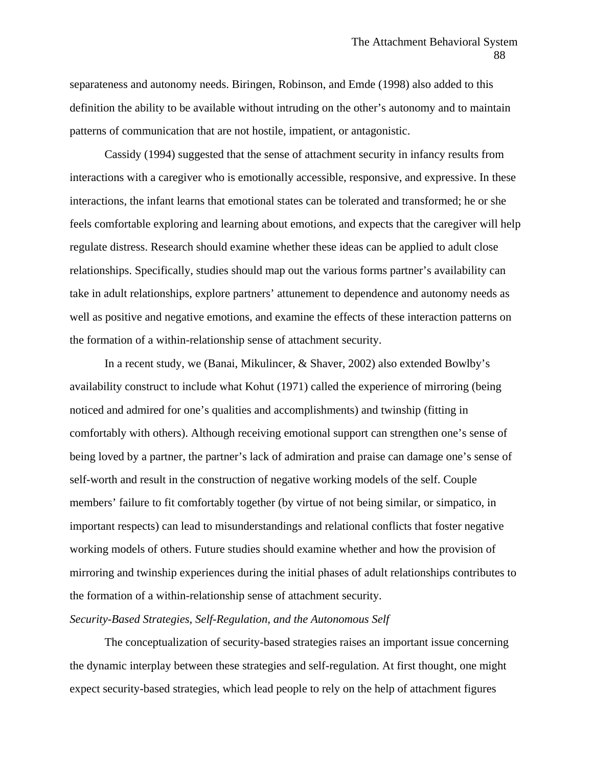separateness and autonomy needs. Biringen, Robinson, and Emde (1998) also added to this definition the ability to be available without intruding on the other's autonomy and to maintain patterns of communication that are not hostile, impatient, or antagonistic.

Cassidy (1994) suggested that the sense of attachment security in infancy results from interactions with a caregiver who is emotionally accessible, responsive, and expressive. In these interactions, the infant learns that emotional states can be tolerated and transformed; he or she feels comfortable exploring and learning about emotions, and expects that the caregiver will help regulate distress. Research should examine whether these ideas can be applied to adult close relationships. Specifically, studies should map out the various forms partner's availability can take in adult relationships, explore partners' attunement to dependence and autonomy needs as well as positive and negative emotions, and examine the effects of these interaction patterns on the formation of a within-relationship sense of attachment security.

In a recent study, we (Banai, Mikulincer, & Shaver, 2002) also extended Bowlby's availability construct to include what Kohut (1971) called the experience of mirroring (being noticed and admired for one's qualities and accomplishments) and twinship (fitting in comfortably with others). Although receiving emotional support can strengthen one's sense of being loved by a partner, the partner's lack of admiration and praise can damage one's sense of self-worth and result in the construction of negative working models of the self. Couple members' failure to fit comfortably together (by virtue of not being similar, or simpatico, in important respects) can lead to misunderstandings and relational conflicts that foster negative working models of others. Future studies should examine whether and how the provision of mirroring and twinship experiences during the initial phases of adult relationships contributes to the formation of a within-relationship sense of attachment security.

# *Security-Based Strategies, Self-Regulation, and the Autonomous Self*

The conceptualization of security-based strategies raises an important issue concerning the dynamic interplay between these strategies and self-regulation. At first thought, one might expect security-based strategies, which lead people to rely on the help of attachment figures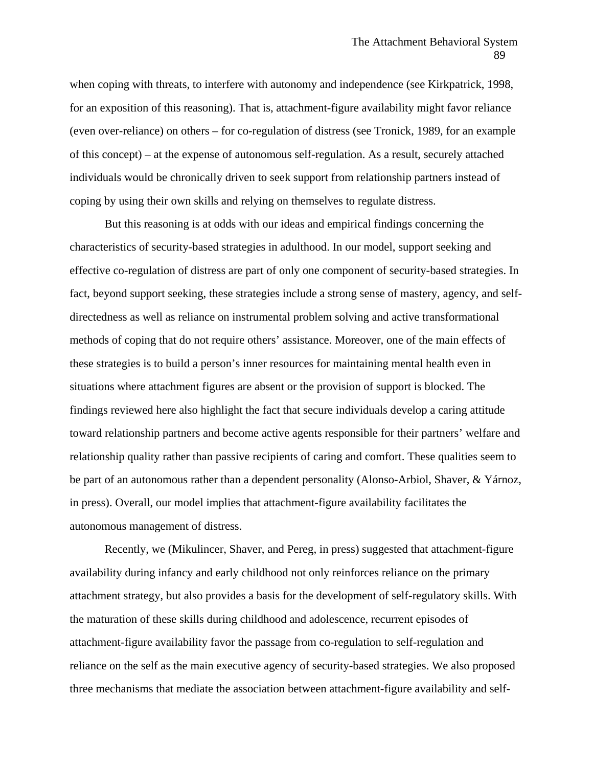when coping with threats, to interfere with autonomy and independence (see Kirkpatrick, 1998, for an exposition of this reasoning). That is, attachment-figure availability might favor reliance (even over-reliance) on others – for co-regulation of distress (see Tronick, 1989, for an example of this concept) – at the expense of autonomous self-regulation. As a result, securely attached individuals would be chronically driven to seek support from relationship partners instead of coping by using their own skills and relying on themselves to regulate distress.

But this reasoning is at odds with our ideas and empirical findings concerning the characteristics of security-based strategies in adulthood. In our model, support seeking and effective co-regulation of distress are part of only one component of security-based strategies. In fact, beyond support seeking, these strategies include a strong sense of mastery, agency, and selfdirectedness as well as reliance on instrumental problem solving and active transformational methods of coping that do not require others' assistance. Moreover, one of the main effects of these strategies is to build a person's inner resources for maintaining mental health even in situations where attachment figures are absent or the provision of support is blocked. The findings reviewed here also highlight the fact that secure individuals develop a caring attitude toward relationship partners and become active agents responsible for their partners' welfare and relationship quality rather than passive recipients of caring and comfort. These qualities seem to be part of an autonomous rather than a dependent personality (Alonso-Arbiol, Shaver, & Yárnoz, in press). Overall, our model implies that attachment-figure availability facilitates the autonomous management of distress.

Recently, we (Mikulincer, Shaver, and Pereg, in press) suggested that attachment-figure availability during infancy and early childhood not only reinforces reliance on the primary attachment strategy, but also provides a basis for the development of self-regulatory skills. With the maturation of these skills during childhood and adolescence, recurrent episodes of attachment-figure availability favor the passage from co-regulation to self-regulation and reliance on the self as the main executive agency of security-based strategies. We also proposed three mechanisms that mediate the association between attachment-figure availability and self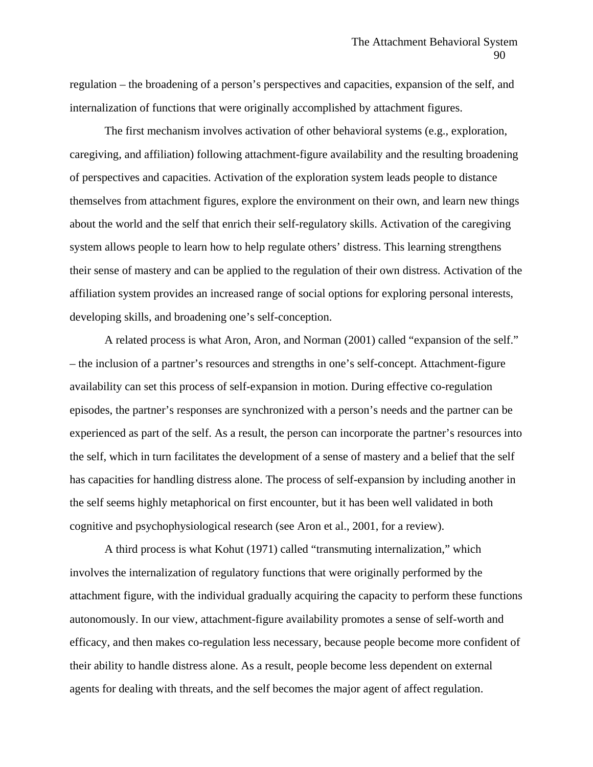regulation – the broadening of a person's perspectives and capacities, expansion of the self, and internalization of functions that were originally accomplished by attachment figures.

The first mechanism involves activation of other behavioral systems (e.g., exploration, caregiving, and affiliation) following attachment-figure availability and the resulting broadening of perspectives and capacities. Activation of the exploration system leads people to distance themselves from attachment figures, explore the environment on their own, and learn new things about the world and the self that enrich their self-regulatory skills. Activation of the caregiving system allows people to learn how to help regulate others' distress. This learning strengthens their sense of mastery and can be applied to the regulation of their own distress. Activation of the affiliation system provides an increased range of social options for exploring personal interests, developing skills, and broadening one's self-conception.

A related process is what Aron, Aron, and Norman (2001) called "expansion of the self." – the inclusion of a partner's resources and strengths in one's self-concept. Attachment-figure availability can set this process of self-expansion in motion. During effective co-regulation episodes, the partner's responses are synchronized with a person's needs and the partner can be experienced as part of the self. As a result, the person can incorporate the partner's resources into the self, which in turn facilitates the development of a sense of mastery and a belief that the self has capacities for handling distress alone. The process of self-expansion by including another in the self seems highly metaphorical on first encounter, but it has been well validated in both cognitive and psychophysiological research (see Aron et al., 2001, for a review).

A third process is what Kohut (1971) called "transmuting internalization," which involves the internalization of regulatory functions that were originally performed by the attachment figure, with the individual gradually acquiring the capacity to perform these functions autonomously. In our view, attachment-figure availability promotes a sense of self-worth and efficacy, and then makes co-regulation less necessary, because people become more confident of their ability to handle distress alone. As a result, people become less dependent on external agents for dealing with threats, and the self becomes the major agent of affect regulation.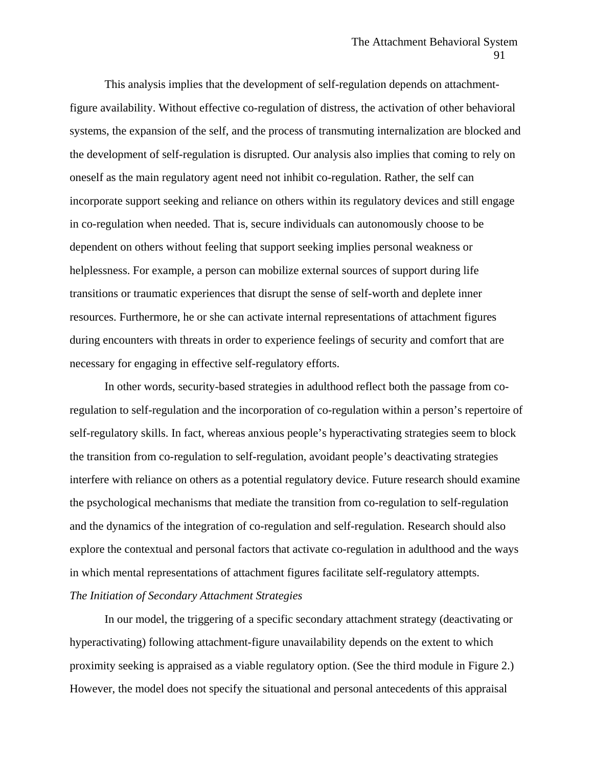This analysis implies that the development of self-regulation depends on attachmentfigure availability. Without effective co-regulation of distress, the activation of other behavioral systems, the expansion of the self, and the process of transmuting internalization are blocked and the development of self-regulation is disrupted. Our analysis also implies that coming to rely on oneself as the main regulatory agent need not inhibit co-regulation. Rather, the self can incorporate support seeking and reliance on others within its regulatory devices and still engage in co-regulation when needed. That is, secure individuals can autonomously choose to be dependent on others without feeling that support seeking implies personal weakness or helplessness. For example, a person can mobilize external sources of support during life transitions or traumatic experiences that disrupt the sense of self-worth and deplete inner resources. Furthermore, he or she can activate internal representations of attachment figures during encounters with threats in order to experience feelings of security and comfort that are necessary for engaging in effective self-regulatory efforts.

In other words, security-based strategies in adulthood reflect both the passage from coregulation to self-regulation and the incorporation of co-regulation within a person's repertoire of self-regulatory skills. In fact, whereas anxious people's hyperactivating strategies seem to block the transition from co-regulation to self-regulation, avoidant people's deactivating strategies interfere with reliance on others as a potential regulatory device. Future research should examine the psychological mechanisms that mediate the transition from co-regulation to self-regulation and the dynamics of the integration of co-regulation and self-regulation. Research should also explore the contextual and personal factors that activate co-regulation in adulthood and the ways in which mental representations of attachment figures facilitate self-regulatory attempts. *The Initiation of Secondary Attachment Strategies* 

In our model, the triggering of a specific secondary attachment strategy (deactivating or hyperactivating) following attachment-figure unavailability depends on the extent to which proximity seeking is appraised as a viable regulatory option. (See the third module in Figure 2.) However, the model does not specify the situational and personal antecedents of this appraisal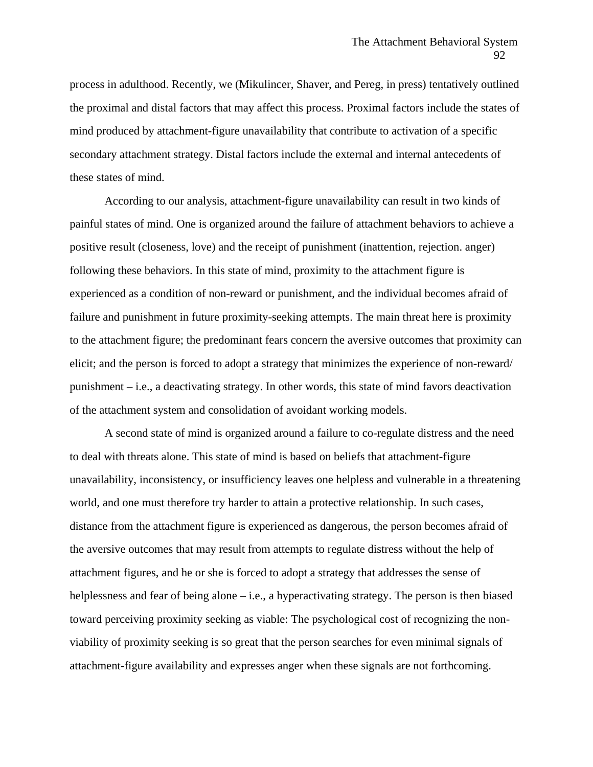process in adulthood. Recently, we (Mikulincer, Shaver, and Pereg, in press) tentatively outlined the proximal and distal factors that may affect this process. Proximal factors include the states of mind produced by attachment-figure unavailability that contribute to activation of a specific secondary attachment strategy. Distal factors include the external and internal antecedents of these states of mind.

According to our analysis, attachment-figure unavailability can result in two kinds of painful states of mind. One is organized around the failure of attachment behaviors to achieve a positive result (closeness, love) and the receipt of punishment (inattention, rejection. anger) following these behaviors. In this state of mind, proximity to the attachment figure is experienced as a condition of non-reward or punishment, and the individual becomes afraid of failure and punishment in future proximity-seeking attempts. The main threat here is proximity to the attachment figure; the predominant fears concern the aversive outcomes that proximity can elicit; and the person is forced to adopt a strategy that minimizes the experience of non-reward/ punishment – i.e., a deactivating strategy. In other words, this state of mind favors deactivation of the attachment system and consolidation of avoidant working models.

A second state of mind is organized around a failure to co-regulate distress and the need to deal with threats alone. This state of mind is based on beliefs that attachment-figure unavailability, inconsistency, or insufficiency leaves one helpless and vulnerable in a threatening world, and one must therefore try harder to attain a protective relationship. In such cases, distance from the attachment figure is experienced as dangerous, the person becomes afraid of the aversive outcomes that may result from attempts to regulate distress without the help of attachment figures, and he or she is forced to adopt a strategy that addresses the sense of helplessness and fear of being alone – i.e., a hyperactivating strategy. The person is then biased toward perceiving proximity seeking as viable: The psychological cost of recognizing the nonviability of proximity seeking is so great that the person searches for even minimal signals of attachment-figure availability and expresses anger when these signals are not forthcoming.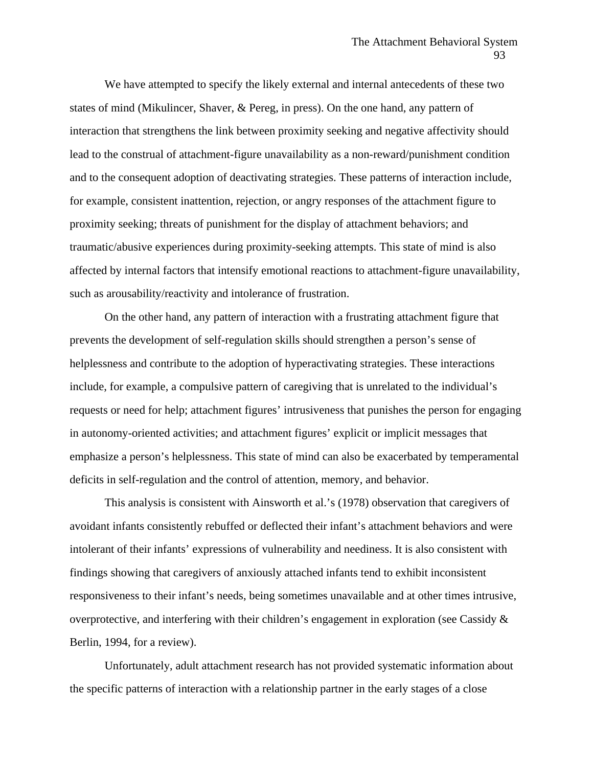We have attempted to specify the likely external and internal antecedents of these two states of mind (Mikulincer, Shaver, & Pereg, in press). On the one hand, any pattern of interaction that strengthens the link between proximity seeking and negative affectivity should lead to the construal of attachment-figure unavailability as a non-reward/punishment condition and to the consequent adoption of deactivating strategies. These patterns of interaction include, for example, consistent inattention, rejection, or angry responses of the attachment figure to proximity seeking; threats of punishment for the display of attachment behaviors; and traumatic/abusive experiences during proximity-seeking attempts. This state of mind is also affected by internal factors that intensify emotional reactions to attachment-figure unavailability, such as arousability/reactivity and intolerance of frustration.

On the other hand, any pattern of interaction with a frustrating attachment figure that prevents the development of self-regulation skills should strengthen a person's sense of helplessness and contribute to the adoption of hyperactivating strategies. These interactions include, for example, a compulsive pattern of caregiving that is unrelated to the individual's requests or need for help; attachment figures' intrusiveness that punishes the person for engaging in autonomy-oriented activities; and attachment figures' explicit or implicit messages that emphasize a person's helplessness. This state of mind can also be exacerbated by temperamental deficits in self-regulation and the control of attention, memory, and behavior.

This analysis is consistent with Ainsworth et al.'s (1978) observation that caregivers of avoidant infants consistently rebuffed or deflected their infant's attachment behaviors and were intolerant of their infants' expressions of vulnerability and neediness. It is also consistent with findings showing that caregivers of anxiously attached infants tend to exhibit inconsistent responsiveness to their infant's needs, being sometimes unavailable and at other times intrusive, overprotective, and interfering with their children's engagement in exploration (see Cassidy & Berlin, 1994, for a review).

Unfortunately, adult attachment research has not provided systematic information about the specific patterns of interaction with a relationship partner in the early stages of a close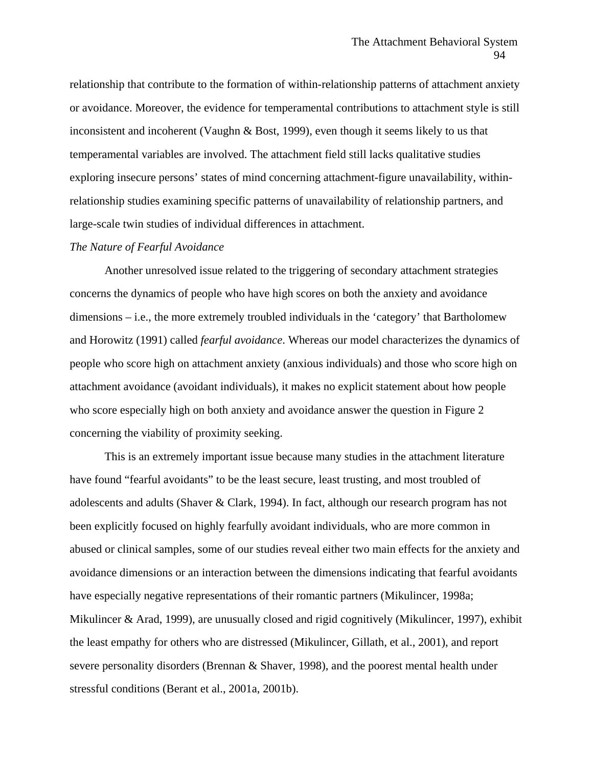relationship that contribute to the formation of within-relationship patterns of attachment anxiety or avoidance. Moreover, the evidence for temperamental contributions to attachment style is still inconsistent and incoherent (Vaughn & Bost, 1999), even though it seems likely to us that temperamental variables are involved. The attachment field still lacks qualitative studies exploring insecure persons' states of mind concerning attachment-figure unavailability, withinrelationship studies examining specific patterns of unavailability of relationship partners, and large-scale twin studies of individual differences in attachment.

### *The Nature of Fearful Avoidance*

Another unresolved issue related to the triggering of secondary attachment strategies concerns the dynamics of people who have high scores on both the anxiety and avoidance dimensions – i.e., the more extremely troubled individuals in the 'category' that Bartholomew and Horowitz (1991) called *fearful avoidance*. Whereas our model characterizes the dynamics of people who score high on attachment anxiety (anxious individuals) and those who score high on attachment avoidance (avoidant individuals), it makes no explicit statement about how people who score especially high on both anxiety and avoidance answer the question in Figure 2 concerning the viability of proximity seeking.

This is an extremely important issue because many studies in the attachment literature have found "fearful avoidants" to be the least secure, least trusting, and most troubled of adolescents and adults (Shaver & Clark, 1994). In fact, although our research program has not been explicitly focused on highly fearfully avoidant individuals, who are more common in abused or clinical samples, some of our studies reveal either two main effects for the anxiety and avoidance dimensions or an interaction between the dimensions indicating that fearful avoidants have especially negative representations of their romantic partners (Mikulincer, 1998a; Mikulincer & Arad, 1999), are unusually closed and rigid cognitively (Mikulincer, 1997), exhibit the least empathy for others who are distressed (Mikulincer, Gillath, et al., 2001), and report severe personality disorders (Brennan & Shaver, 1998), and the poorest mental health under stressful conditions (Berant et al., 2001a, 2001b).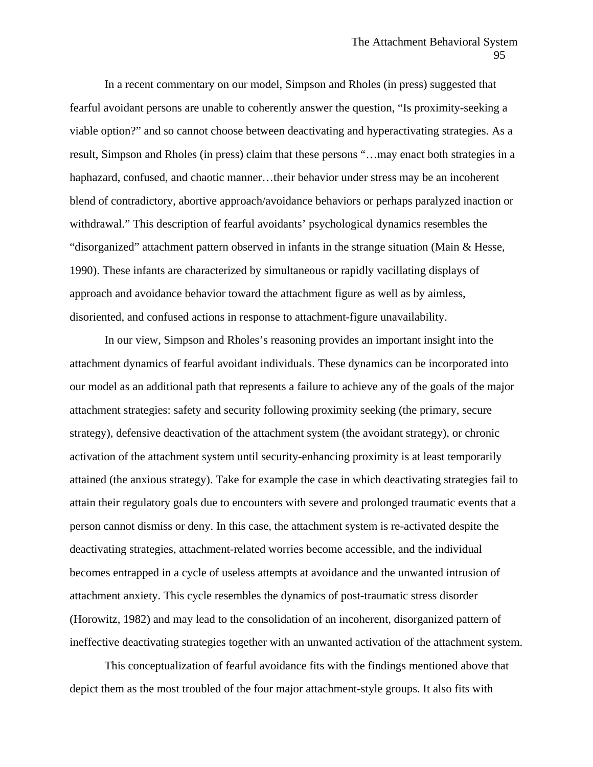In a recent commentary on our model, Simpson and Rholes (in press) suggested that fearful avoidant persons are unable to coherently answer the question, "Is proximity-seeking a viable option?" and so cannot choose between deactivating and hyperactivating strategies. As a result, Simpson and Rholes (in press) claim that these persons "…may enact both strategies in a haphazard, confused, and chaotic manner...their behavior under stress may be an incoherent blend of contradictory, abortive approach/avoidance behaviors or perhaps paralyzed inaction or withdrawal." This description of fearful avoidants' psychological dynamics resembles the "disorganized" attachment pattern observed in infants in the strange situation (Main & Hesse, 1990). These infants are characterized by simultaneous or rapidly vacillating displays of approach and avoidance behavior toward the attachment figure as well as by aimless, disoriented, and confused actions in response to attachment-figure unavailability.

In our view, Simpson and Rholes's reasoning provides an important insight into the attachment dynamics of fearful avoidant individuals. These dynamics can be incorporated into our model as an additional path that represents a failure to achieve any of the goals of the major attachment strategies: safety and security following proximity seeking (the primary, secure strategy), defensive deactivation of the attachment system (the avoidant strategy), or chronic activation of the attachment system until security-enhancing proximity is at least temporarily attained (the anxious strategy). Take for example the case in which deactivating strategies fail to attain their regulatory goals due to encounters with severe and prolonged traumatic events that a person cannot dismiss or deny. In this case, the attachment system is re-activated despite the deactivating strategies, attachment-related worries become accessible, and the individual becomes entrapped in a cycle of useless attempts at avoidance and the unwanted intrusion of attachment anxiety. This cycle resembles the dynamics of post-traumatic stress disorder (Horowitz, 1982) and may lead to the consolidation of an incoherent, disorganized pattern of ineffective deactivating strategies together with an unwanted activation of the attachment system.

This conceptualization of fearful avoidance fits with the findings mentioned above that depict them as the most troubled of the four major attachment-style groups. It also fits with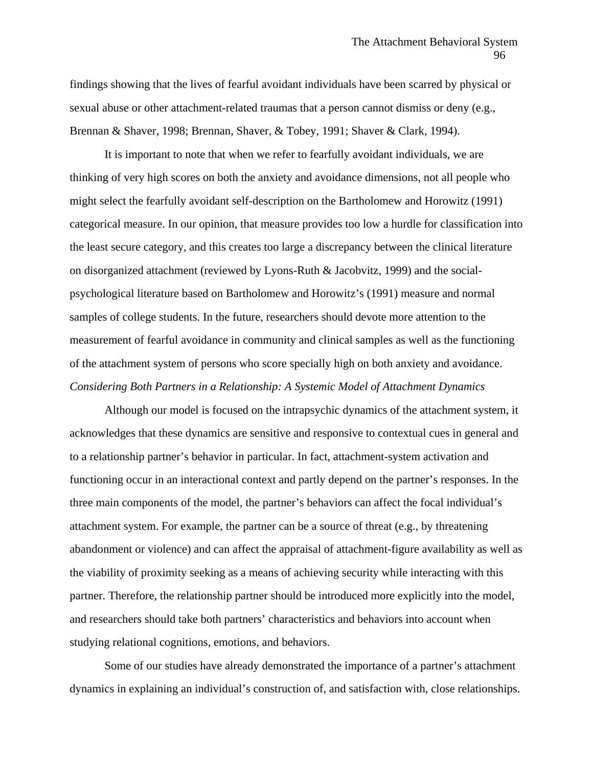findings showing that the lives of fearful avoidant individuals have been scarred by physical or sexual abuse or other attachment-related traumas that a person cannot dismiss or deny (e.g., Brennan & Shaver, 1998; Brennan, Shaver, & Tobey, 1991; Shaver & Clark, 1994).

It is important to note that when we refer to fearfully avoidant individuals, we are thinking of very high scores on both the anxiety and avoidance dimensions, not all people who might select the fearfully avoidant self-description on the Bartholomew and Horowitz (1991) categorical measure. In our opinion, that measure provides too low a hurdle for classification into the least secure category, and this creates too large a discrepancy between the clinical literature on disorganized attachment (reviewed by Lyons-Ruth & Jacobvitz, 1999) and the socialpsychological literature based on Bartholomew and Horowitz's (1991) measure and normal samples of college students. In the future, researchers should devote more attention to the measurement of fearful avoidance in community and clinical samples as well as the functioning of the attachment system of persons who score specially high on both anxiety and avoidance. *Considering Both Partners in a Relationship: A Systemic Model of Attachment Dynamics* 

Although our model is focused on the intrapsychic dynamics of the attachment system, it acknowledges that these dynamics are sensitive and responsive to contextual cues in general and to a relationship partner's behavior in particular. In fact, attachment-system activation and functioning occur in an interactional context and partly depend on the partner's responses. In the three main components of the model, the partner's behaviors can affect the focal individual's attachment system. For example, the partner can be a source of threat (e.g., by threatening abandonment or violence) and can affect the appraisal of attachment-figure availability as well as the viability of proximity seeking as a means of achieving security while interacting with this partner. Therefore, the relationship partner should be introduced more explicitly into the model, and researchers should take both partners' characteristics and behaviors into account when studying relational cognitions, emotions, and behaviors.

Some of our studies have already demonstrated the importance of a partner's attachment dynamics in explaining an individual's construction of, and satisfaction with, close relationships.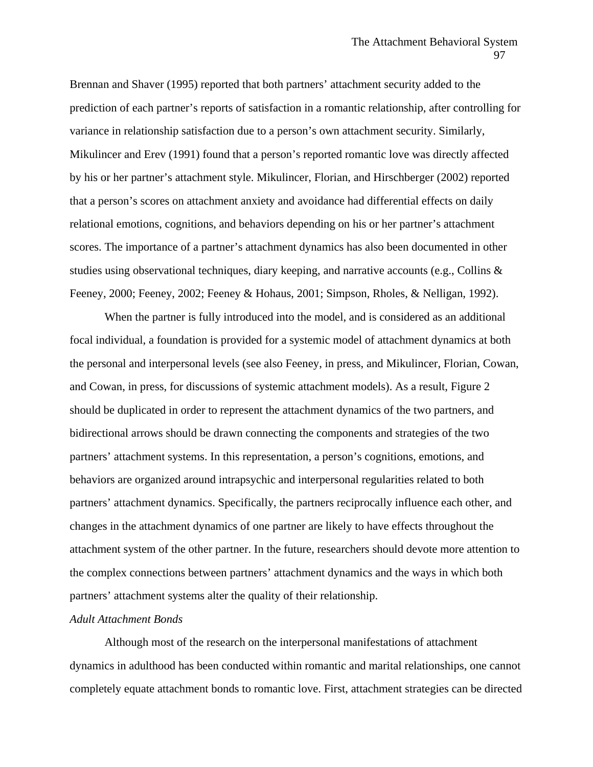Brennan and Shaver (1995) reported that both partners' attachment security added to the prediction of each partner's reports of satisfaction in a romantic relationship, after controlling for variance in relationship satisfaction due to a person's own attachment security. Similarly, Mikulincer and Erev (1991) found that a person's reported romantic love was directly affected by his or her partner's attachment style. Mikulincer, Florian, and Hirschberger (2002) reported that a person's scores on attachment anxiety and avoidance had differential effects on daily relational emotions, cognitions, and behaviors depending on his or her partner's attachment scores. The importance of a partner's attachment dynamics has also been documented in other studies using observational techniques, diary keeping, and narrative accounts (e.g., Collins & Feeney, 2000; Feeney, 2002; Feeney & Hohaus, 2001; Simpson, Rholes, & Nelligan, 1992).

When the partner is fully introduced into the model, and is considered as an additional focal individual, a foundation is provided for a systemic model of attachment dynamics at both the personal and interpersonal levels (see also Feeney, in press, and Mikulincer, Florian, Cowan, and Cowan, in press, for discussions of systemic attachment models). As a result, Figure 2 should be duplicated in order to represent the attachment dynamics of the two partners, and bidirectional arrows should be drawn connecting the components and strategies of the two partners' attachment systems. In this representation, a person's cognitions, emotions, and behaviors are organized around intrapsychic and interpersonal regularities related to both partners' attachment dynamics. Specifically, the partners reciprocally influence each other, and changes in the attachment dynamics of one partner are likely to have effects throughout the attachment system of the other partner. In the future, researchers should devote more attention to the complex connections between partners' attachment dynamics and the ways in which both partners' attachment systems alter the quality of their relationship.

# *Adult Attachment Bonds*

Although most of the research on the interpersonal manifestations of attachment dynamics in adulthood has been conducted within romantic and marital relationships, one cannot completely equate attachment bonds to romantic love. First, attachment strategies can be directed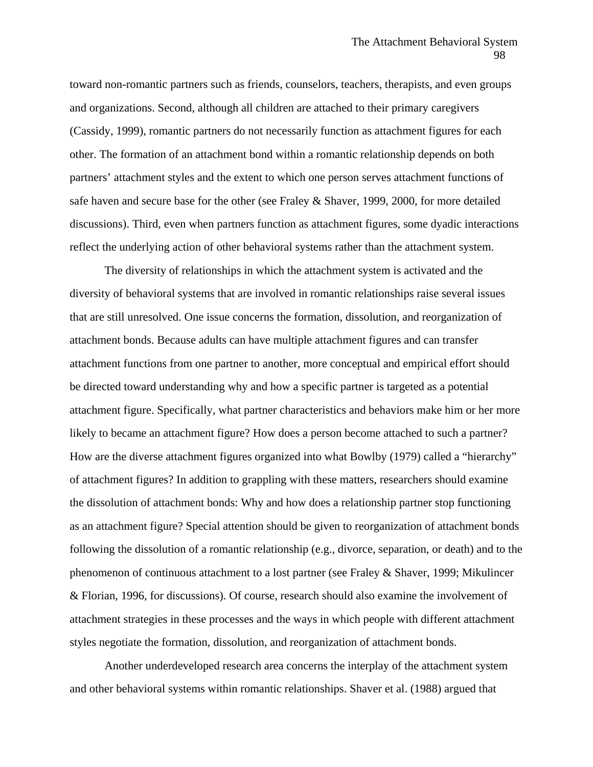toward non-romantic partners such as friends, counselors, teachers, therapists, and even groups and organizations. Second, although all children are attached to their primary caregivers (Cassidy, 1999), romantic partners do not necessarily function as attachment figures for each other. The formation of an attachment bond within a romantic relationship depends on both partners' attachment styles and the extent to which one person serves attachment functions of safe haven and secure base for the other (see Fraley & Shaver, 1999, 2000, for more detailed discussions). Third, even when partners function as attachment figures, some dyadic interactions reflect the underlying action of other behavioral systems rather than the attachment system.

The diversity of relationships in which the attachment system is activated and the diversity of behavioral systems that are involved in romantic relationships raise several issues that are still unresolved. One issue concerns the formation, dissolution, and reorganization of attachment bonds. Because adults can have multiple attachment figures and can transfer attachment functions from one partner to another, more conceptual and empirical effort should be directed toward understanding why and how a specific partner is targeted as a potential attachment figure. Specifically, what partner characteristics and behaviors make him or her more likely to became an attachment figure? How does a person become attached to such a partner? How are the diverse attachment figures organized into what Bowlby (1979) called a "hierarchy" of attachment figures? In addition to grappling with these matters, researchers should examine the dissolution of attachment bonds: Why and how does a relationship partner stop functioning as an attachment figure? Special attention should be given to reorganization of attachment bonds following the dissolution of a romantic relationship (e.g., divorce, separation, or death) and to the phenomenon of continuous attachment to a lost partner (see Fraley & Shaver, 1999; Mikulincer & Florian, 1996, for discussions). Of course, research should also examine the involvement of attachment strategies in these processes and the ways in which people with different attachment styles negotiate the formation, dissolution, and reorganization of attachment bonds.

Another underdeveloped research area concerns the interplay of the attachment system and other behavioral systems within romantic relationships. Shaver et al. (1988) argued that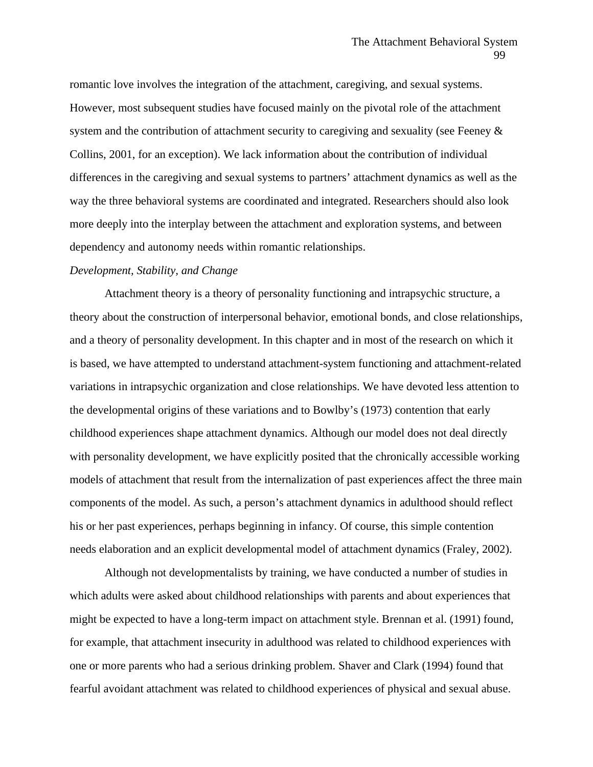romantic love involves the integration of the attachment, caregiving, and sexual systems. However, most subsequent studies have focused mainly on the pivotal role of the attachment system and the contribution of attachment security to caregiving and sexuality (see Feeney & Collins, 2001, for an exception). We lack information about the contribution of individual differences in the caregiving and sexual systems to partners' attachment dynamics as well as the way the three behavioral systems are coordinated and integrated. Researchers should also look more deeply into the interplay between the attachment and exploration systems, and between dependency and autonomy needs within romantic relationships.

#### *Development, Stability, and Change*

Attachment theory is a theory of personality functioning and intrapsychic structure, a theory about the construction of interpersonal behavior, emotional bonds, and close relationships, and a theory of personality development. In this chapter and in most of the research on which it is based, we have attempted to understand attachment-system functioning and attachment-related variations in intrapsychic organization and close relationships. We have devoted less attention to the developmental origins of these variations and to Bowlby's (1973) contention that early childhood experiences shape attachment dynamics. Although our model does not deal directly with personality development, we have explicitly posited that the chronically accessible working models of attachment that result from the internalization of past experiences affect the three main components of the model. As such, a person's attachment dynamics in adulthood should reflect his or her past experiences, perhaps beginning in infancy. Of course, this simple contention needs elaboration and an explicit developmental model of attachment dynamics (Fraley, 2002).

Although not developmentalists by training, we have conducted a number of studies in which adults were asked about childhood relationships with parents and about experiences that might be expected to have a long-term impact on attachment style. Brennan et al. (1991) found, for example, that attachment insecurity in adulthood was related to childhood experiences with one or more parents who had a serious drinking problem. Shaver and Clark (1994) found that fearful avoidant attachment was related to childhood experiences of physical and sexual abuse.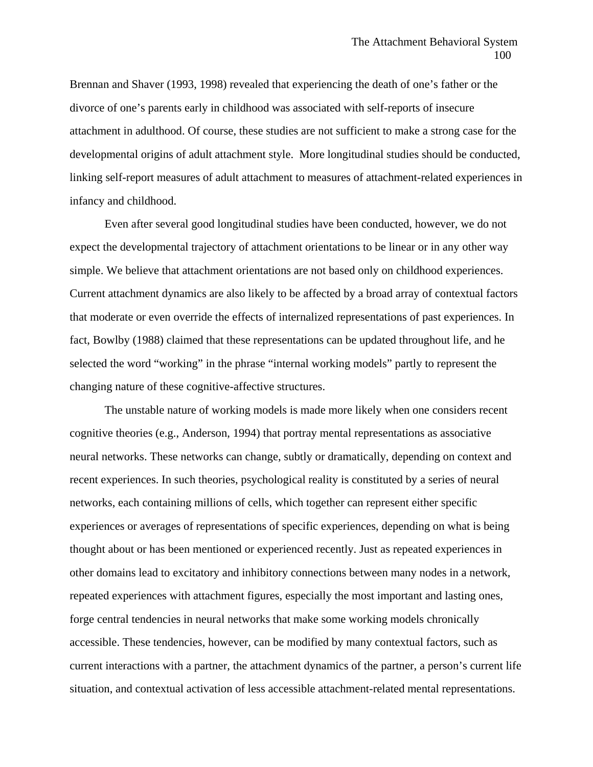Brennan and Shaver (1993, 1998) revealed that experiencing the death of one's father or the divorce of one's parents early in childhood was associated with self-reports of insecure attachment in adulthood. Of course, these studies are not sufficient to make a strong case for the developmental origins of adult attachment style. More longitudinal studies should be conducted, linking self-report measures of adult attachment to measures of attachment-related experiences in infancy and childhood.

Even after several good longitudinal studies have been conducted, however, we do not expect the developmental trajectory of attachment orientations to be linear or in any other way simple. We believe that attachment orientations are not based only on childhood experiences. Current attachment dynamics are also likely to be affected by a broad array of contextual factors that moderate or even override the effects of internalized representations of past experiences. In fact, Bowlby (1988) claimed that these representations can be updated throughout life, and he selected the word "working" in the phrase "internal working models" partly to represent the changing nature of these cognitive-affective structures.

The unstable nature of working models is made more likely when one considers recent cognitive theories (e.g., Anderson, 1994) that portray mental representations as associative neural networks. These networks can change, subtly or dramatically, depending on context and recent experiences. In such theories, psychological reality is constituted by a series of neural networks, each containing millions of cells, which together can represent either specific experiences or averages of representations of specific experiences, depending on what is being thought about or has been mentioned or experienced recently. Just as repeated experiences in other domains lead to excitatory and inhibitory connections between many nodes in a network, repeated experiences with attachment figures, especially the most important and lasting ones, forge central tendencies in neural networks that make some working models chronically accessible. These tendencies, however, can be modified by many contextual factors, such as current interactions with a partner, the attachment dynamics of the partner, a person's current life situation, and contextual activation of less accessible attachment-related mental representations.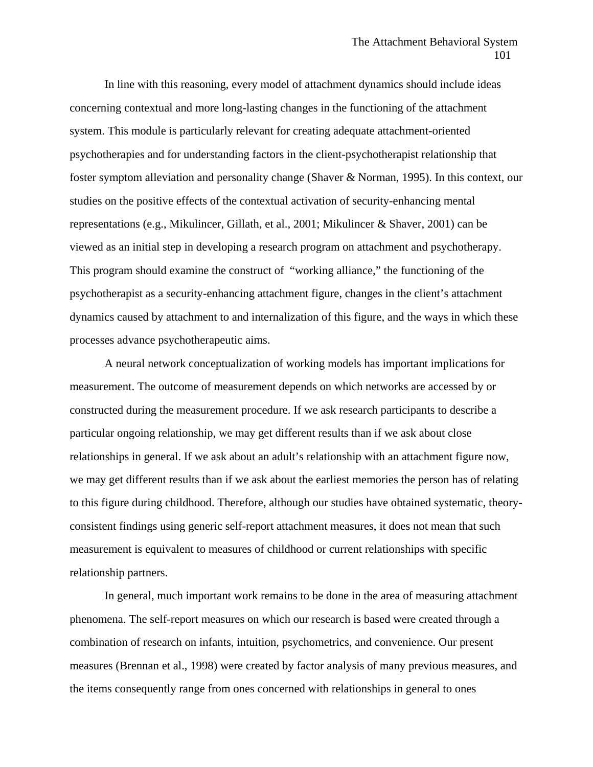In line with this reasoning, every model of attachment dynamics should include ideas concerning contextual and more long-lasting changes in the functioning of the attachment system. This module is particularly relevant for creating adequate attachment-oriented psychotherapies and for understanding factors in the client-psychotherapist relationship that foster symptom alleviation and personality change (Shaver & Norman, 1995). In this context, our studies on the positive effects of the contextual activation of security-enhancing mental representations (e.g., Mikulincer, Gillath, et al., 2001; Mikulincer & Shaver, 2001) can be viewed as an initial step in developing a research program on attachment and psychotherapy. This program should examine the construct of "working alliance," the functioning of the psychotherapist as a security-enhancing attachment figure, changes in the client's attachment dynamics caused by attachment to and internalization of this figure, and the ways in which these processes advance psychotherapeutic aims.

A neural network conceptualization of working models has important implications for measurement. The outcome of measurement depends on which networks are accessed by or constructed during the measurement procedure. If we ask research participants to describe a particular ongoing relationship, we may get different results than if we ask about close relationships in general. If we ask about an adult's relationship with an attachment figure now, we may get different results than if we ask about the earliest memories the person has of relating to this figure during childhood. Therefore, although our studies have obtained systematic, theoryconsistent findings using generic self-report attachment measures, it does not mean that such measurement is equivalent to measures of childhood or current relationships with specific relationship partners.

In general, much important work remains to be done in the area of measuring attachment phenomena. The self-report measures on which our research is based were created through a combination of research on infants, intuition, psychometrics, and convenience. Our present measures (Brennan et al., 1998) were created by factor analysis of many previous measures, and the items consequently range from ones concerned with relationships in general to ones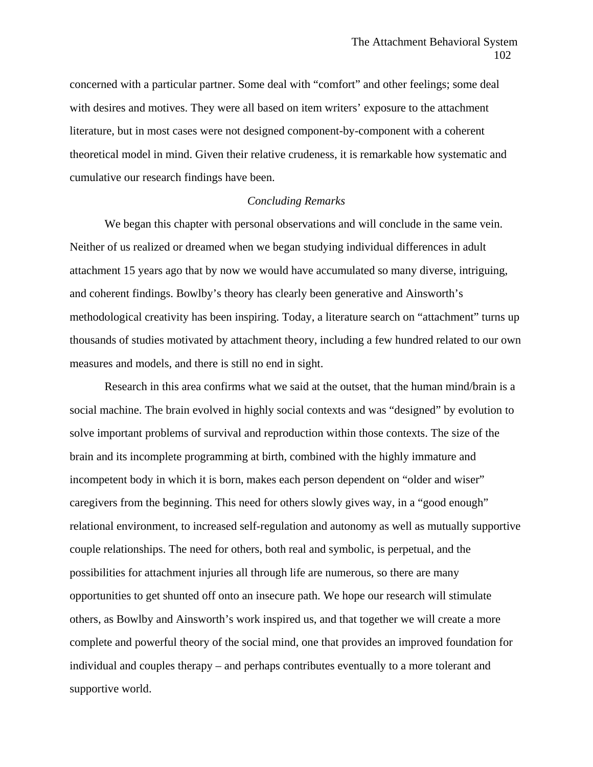concerned with a particular partner. Some deal with "comfort" and other feelings; some deal with desires and motives. They were all based on item writers' exposure to the attachment literature, but in most cases were not designed component-by-component with a coherent theoretical model in mind. Given their relative crudeness, it is remarkable how systematic and cumulative our research findings have been.

#### *Concluding Remarks*

We began this chapter with personal observations and will conclude in the same vein. Neither of us realized or dreamed when we began studying individual differences in adult attachment 15 years ago that by now we would have accumulated so many diverse, intriguing, and coherent findings. Bowlby's theory has clearly been generative and Ainsworth's methodological creativity has been inspiring. Today, a literature search on "attachment" turns up thousands of studies motivated by attachment theory, including a few hundred related to our own measures and models, and there is still no end in sight.

Research in this area confirms what we said at the outset, that the human mind/brain is a social machine. The brain evolved in highly social contexts and was "designed" by evolution to solve important problems of survival and reproduction within those contexts. The size of the brain and its incomplete programming at birth, combined with the highly immature and incompetent body in which it is born, makes each person dependent on "older and wiser" caregivers from the beginning. This need for others slowly gives way, in a "good enough" relational environment, to increased self-regulation and autonomy as well as mutually supportive couple relationships. The need for others, both real and symbolic, is perpetual, and the possibilities for attachment injuries all through life are numerous, so there are many opportunities to get shunted off onto an insecure path. We hope our research will stimulate others, as Bowlby and Ainsworth's work inspired us, and that together we will create a more complete and powerful theory of the social mind, one that provides an improved foundation for individual and couples therapy – and perhaps contributes eventually to a more tolerant and supportive world.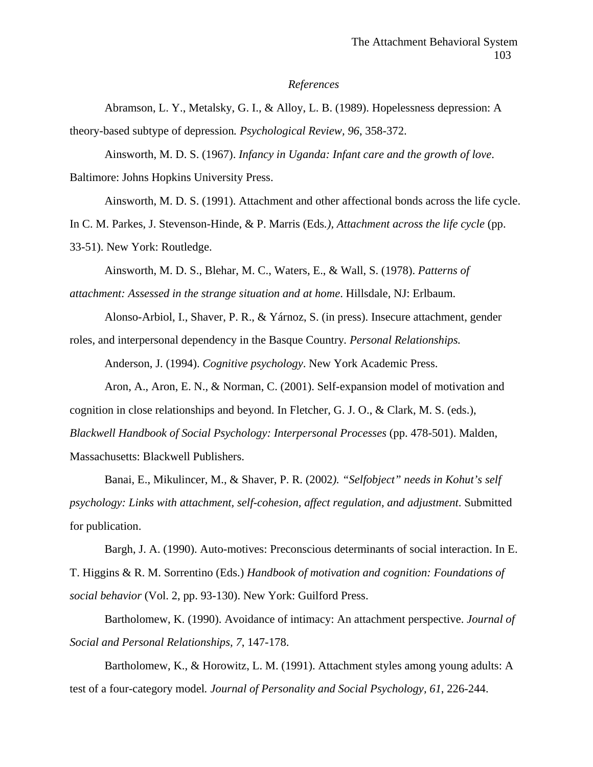### *References*

Abramson, L. Y., Metalsky, G. I., & Alloy, L. B. (1989). Hopelessness depression: A theory-based subtype of depression*. Psychological Review, 96*, 358-372.

Ainsworth, M. D. S. (1967). *Infancy in Uganda: Infant care and the growth of love*. Baltimore: Johns Hopkins University Press.

Ainsworth, M. D. S. (1991). Attachment and other affectional bonds across the life cycle. In C. M. Parkes, J. Stevenson-Hinde, & P. Marris (Eds*.), Attachment across the life cycle* (pp. 33-51). New York: Routledge.

Ainsworth, M. D. S., Blehar, M. C., Waters, E., & Wall, S. (1978). *Patterns of attachment: Assessed in the strange situation and at home*. Hillsdale, NJ: Erlbaum.

Alonso-Arbiol, I., Shaver, P. R., & Yárnoz, S. (in press). Insecure attachment, gender roles, and interpersonal dependency in the Basque Country*. Personal Relationships.* 

Anderson, J. (1994). *Cognitive psychology*. New York Academic Press.

Aron, A., Aron, E. N., & Norman, C. (2001). Self-expansion model of motivation and cognition in close relationships and beyond. In Fletcher, G. J. O., & Clark, M. S. (eds.), *Blackwell Handbook of Social Psychology: Interpersonal Processes* (pp. 478-501). Malden, Massachusetts: Blackwell Publishers.

Banai, E., Mikulincer, M., & Shaver, P. R. (2002*). "Selfobject" needs in Kohut's self psychology: Links with attachment, self-cohesion, affect regulation, and adjustment*. Submitted for publication.

Bargh, J. A. (1990). Auto-motives: Preconscious determinants of social interaction. In E. T. Higgins & R. M. Sorrentino (Eds.) *Handbook of motivation and cognition: Foundations of social behavior* (Vol. 2, pp. 93-130). New York: Guilford Press.

Bartholomew, K. (1990). Avoidance of intimacy: An attachment perspective. *Journal of Social and Personal Relationships, 7*, 147-178.

Bartholomew, K., & Horowitz, L. M. (1991). Attachment styles among young adults: A test of a four-category model*. Journal of Personality and Social Psychology, 61*, 226-244.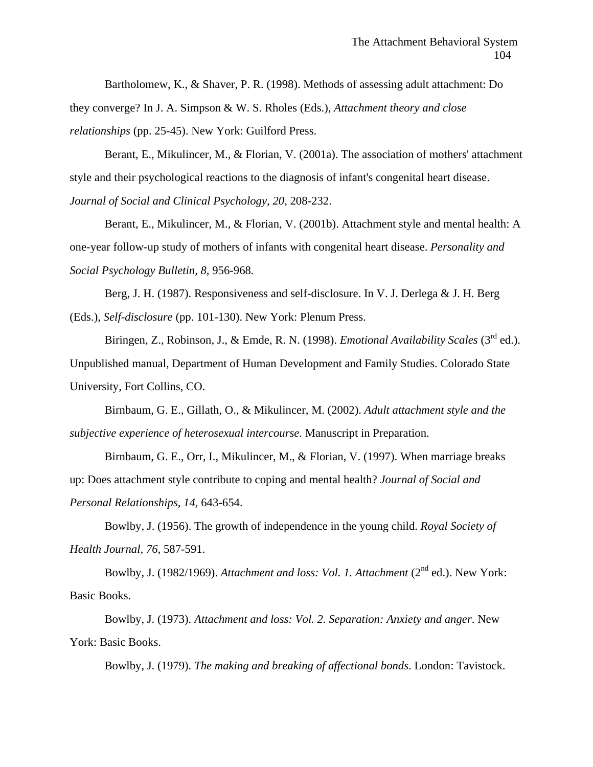Bartholomew, K., & Shaver, P. R. (1998). Methods of assessing adult attachment: Do

they converge? In J. A. Simpson & W. S. Rholes (Eds.), *Attachment theory and close* 

*relationships* (pp. 25-45). New York: Guilford Press.

Berant, E., Mikulincer, M., & Florian, V. (2001a). The association of mothers' attachment style and their psychological reactions to the diagnosis of infant's congenital heart disease. *Journal of Social and Clinical Psychology, 20,* 208-232.

Berant, E., Mikulincer, M., & Florian, V. (2001b). Attachment style and mental health: A one-year follow-up study of mothers of infants with congenital heart disease. *Personality and Social Psychology Bulletin, 8*, 956-968*.* 

Berg, J. H. (1987). Responsiveness and self-disclosure. In V. J. Derlega & J. H. Berg (Eds.), *Self-disclosure* (pp. 101-130). New York: Plenum Press.

Biringen, Z., Robinson, J., & Emde, R. N. (1998). *Emotional Availability Scales* (3rd ed.). Unpublished manual, Department of Human Development and Family Studies. Colorado State University, Fort Collins, CO.

Birnbaum, G. E., Gillath, O., & Mikulincer, M. (2002). *Adult attachment style and the subjective experience of heterosexual intercourse.* Manuscript in Preparation.

Birnbaum, G. E., Orr, I., Mikulincer, M., & Florian, V. (1997). When marriage breaks up: Does attachment style contribute to coping and mental health? *Journal of Social and Personal Relationships, 14,* 643-654.

Bowlby, J. (1956). The growth of independence in the young child. *Royal Society of Health Journal, 76*, 587-591.

Bowlby, J. (1982/1969). *Attachment and loss: Vol. 1. Attachment* (2<sup>nd</sup> ed.). New York: Basic Books.

Bowlby, J. (1973). *Attachment and loss: Vol. 2. Separation: Anxiety and anger*. New York: Basic Books.

Bowlby, J. (1979). *The making and breaking of affectional bonds*. London: Tavistock.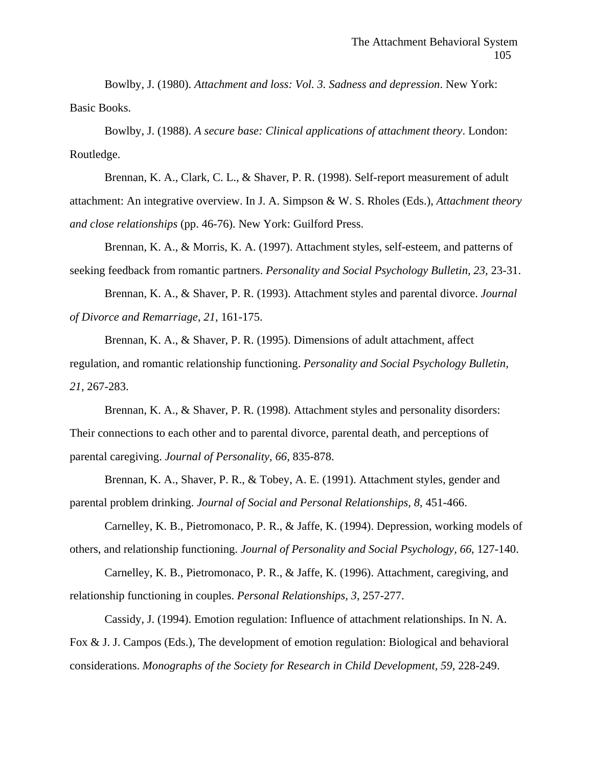Bowlby, J. (1980). *Attachment and loss: Vol. 3. Sadness and depression*. New York: Basic Books.

Bowlby, J. (1988). *A secure base: Clinical applications of attachment theory*. London: Routledge.

Brennan, K. A., Clark, C. L., & Shaver, P. R. (1998). Self-report measurement of adult attachment: An integrative overview. In J. A. Simpson & W. S. Rholes (Eds.), *Attachment theory and close relationships* (pp. 46-76). New York: Guilford Press.

Brennan, K. A., & Morris, K. A. (1997). Attachment styles, self-esteem, and patterns of seeking feedback from romantic partners. *Personality and Social Psychology Bulletin, 23,* 23-31.

Brennan, K. A., & Shaver, P. R. (1993). Attachment styles and parental divorce. *Journal of Divorce and Remarriage, 21,* 161-175.

Brennan, K. A., & Shaver, P. R. (1995). Dimensions of adult attachment, affect regulation, and romantic relationship functioning. *Personality and Social Psychology Bulletin, 21,* 267-283.

Brennan, K. A., & Shaver, P. R. (1998). Attachment styles and personality disorders: Their connections to each other and to parental divorce, parental death, and perceptions of parental caregiving. *Journal of Personality, 66,* 835-878.

Brennan, K. A., Shaver, P. R., & Tobey, A. E. (1991). Attachment styles, gender and parental problem drinking. *Journal of Social and Personal Relationships, 8,* 451-466.

Carnelley, K. B., Pietromonaco, P. R., & Jaffe, K. (1994). Depression, working models of others, and relationship functioning. *Journal of Personality and Social Psychology, 66*, 127-140.

Carnelley, K. B., Pietromonaco, P. R., & Jaffe, K. (1996). Attachment, caregiving, and relationship functioning in couples. *Personal Relationships, 3*, 257-277.

Cassidy, J. (1994). Emotion regulation: Influence of attachment relationships. In N. A. Fox & J. J. Campos (Eds.), The development of emotion regulation: Biological and behavioral considerations. *Monographs of the Society for Research in Child Development, 59*, 228-249.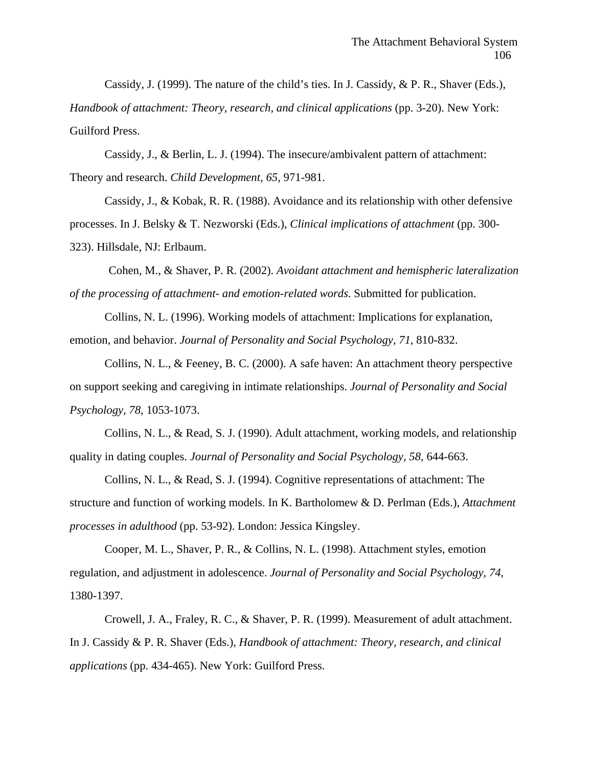Cassidy, J. (1999). The nature of the child's ties. In J. Cassidy, & P. R., Shaver (Eds.),

*Handbook of attachment: Theory, research, and clinical applications* (pp. 3-20). New York: Guilford Press.

Cassidy, J., & Berlin, L. J. (1994). The insecure/ambivalent pattern of attachment: Theory and research. *Child Development, 65,* 971-981.

Cassidy, J., & Kobak, R. R. (1988). Avoidance and its relationship with other defensive processes. In J. Belsky & T. Nezworski (Eds.), *Clinical implications of attachment* (pp. 300- 323). Hillsdale, NJ: Erlbaum.

Cohen, M., & Shaver, P. R. (2002). *Avoidant attachment and hemispheric lateralization of the processing of attachment- and emotion-related words*. Submitted for publication.

Collins, N. L. (1996). Working models of attachment: Implications for explanation, emotion, and behavior. *Journal of Personality and Social Psychology, 71*, 810-832.

Collins, N. L., & Feeney, B. C. (2000). A safe haven: An attachment theory perspective on support seeking and caregiving in intimate relationships. *Journal of Personality and Social Psychology, 78*, 1053-1073.

Collins, N. L., & Read, S. J. (1990). Adult attachment, working models, and relationship quality in dating couples. *Journal of Personality and Social Psychology, 58*, 644-663.

Collins, N. L., & Read, S. J. (1994). Cognitive representations of attachment: The structure and function of working models. In K. Bartholomew & D. Perlman (Eds.), *Attachment processes in adulthood* (pp. 53-92). London: Jessica Kingsley.

Cooper, M. L., Shaver, P. R., & Collins, N. L. (1998). Attachment styles, emotion regulation, and adjustment in adolescence. *Journal of Personality and Social Psychology, 74*, 1380-1397.

Crowell, J. A., Fraley, R. C., & Shaver, P. R. (1999). Measurement of adult attachment. In J. Cassidy & P. R. Shaver (Eds.), *Handbook of attachment: Theory, research, and clinical applications* (pp. 434-465). New York: Guilford Press.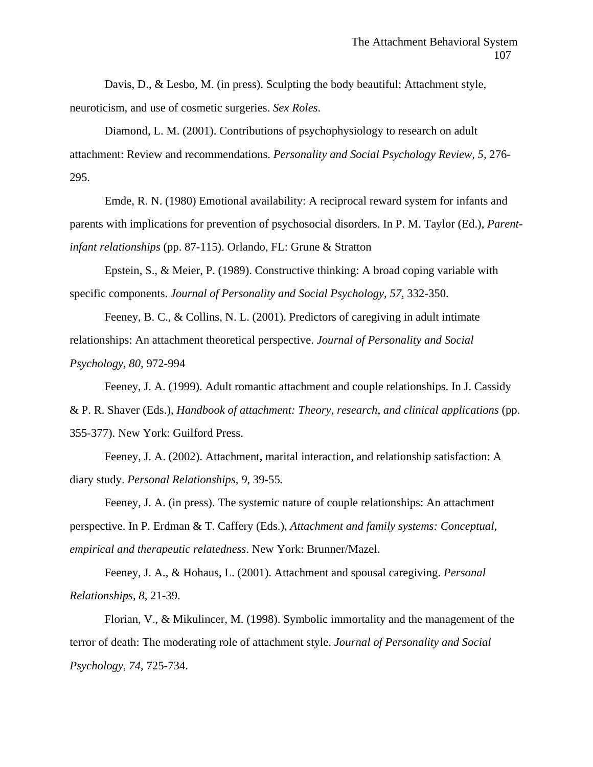Davis, D., & Lesbo, M. (in press). Sculpting the body beautiful: Attachment style, neuroticism, and use of cosmetic surgeries. *Sex Roles*.

Diamond, L. M. (2001). Contributions of psychophysiology to research on adult attachment: Review and recommendations. *Personality and Social Psychology Review, 5,* 276- 295.

Emde, R. N. (1980) Emotional availability: A reciprocal reward system for infants and parents with implications for prevention of psychosocial disorders. In P. M. Taylor (Ed.), *Parentinfant relationships* (pp. 87-115). Orlando, FL: Grune & Stratton

Epstein, S., & Meier, P. (1989). Constructive thinking: A broad coping variable with specific components. *Journal of Personality and Social Psychology, 57*, 332-350.

Feeney, B. C., & Collins, N. L. (2001). Predictors of caregiving in adult intimate relationships: An attachment theoretical perspective. *Journal of Personality and Social Psychology, 80,* 972-994

Feeney, J. A. (1999). Adult romantic attachment and couple relationships. In J. Cassidy & P. R. Shaver (Eds.), *Handbook of attachment: Theory, research, and clinical applications* (pp. 355-377). New York: Guilford Press.

Feeney, J. A. (2002). Attachment, marital interaction, and relationship satisfaction: A diary study. *Personal Relationships, 9,* 39-55*.*

Feeney, J. A. (in press). The systemic nature of couple relationships: An attachment perspective. In P. Erdman & T. Caffery (Eds.), *Attachment and family systems: Conceptual, empirical and therapeutic relatedness*. New York: Brunner/Mazel.

Feeney, J. A., & Hohaus, L. (2001). Attachment and spousal caregiving. *Personal Relationships, 8*, 21-39.

Florian, V., & Mikulincer, M. (1998). Symbolic immortality and the management of the terror of death: The moderating role of attachment style. *Journal of Personality and Social Psychology, 74,* 725-734.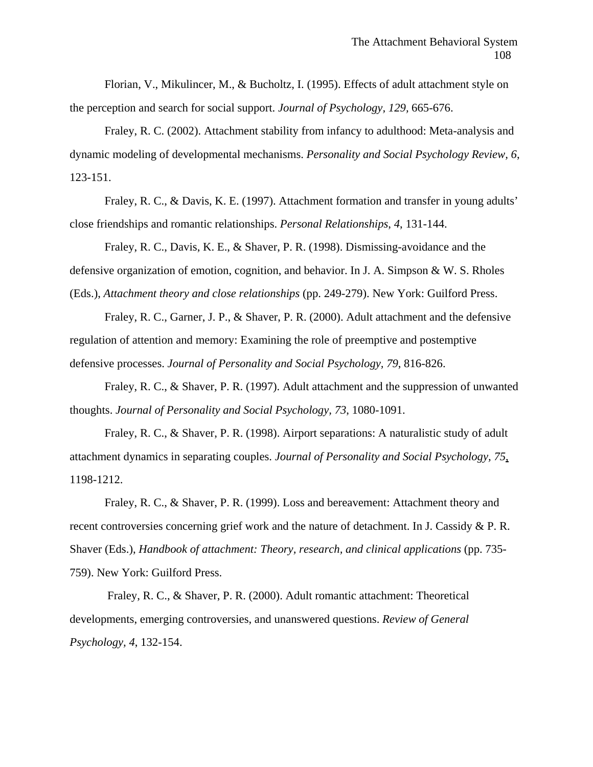Florian, V., Mikulincer, M., & Bucholtz, I. (1995). Effects of adult attachment style on the perception and search for social support. *Journal of Psychology, 129,* 665-676.

Fraley, R. C. (2002). Attachment stability from infancy to adulthood: Meta-analysis and dynamic modeling of developmental mechanisms. *Personality and Social Psychology Review, 6*, 123-151.

Fraley, R. C., & Davis, K. E. (1997). Attachment formation and transfer in young adults' close friendships and romantic relationships. *Personal Relationships*, *4*, 131-144.

Fraley, R. C., Davis, K. E., & Shaver, P. R. (1998). Dismissing-avoidance and the defensive organization of emotion, cognition, and behavior. In J. A. Simpson & W. S. Rholes (Eds.), *Attachment theory and close relationships* (pp. 249-279). New York: Guilford Press.

Fraley, R. C., Garner, J. P., & Shaver, P. R. (2000). Adult attachment and the defensive regulation of attention and memory: Examining the role of preemptive and postemptive defensive processes. *Journal of Personality and Social Psychology, 79*, 816-826.

Fraley, R. C., & Shaver, P. R. (1997). Adult attachment and the suppression of unwanted thoughts. *Journal of Personality and Social Psychology, 73*, 1080-1091.

Fraley, R. C., & Shaver, P. R. (1998). Airport separations: A naturalistic study of adult attachment dynamics in separating couples. *Journal of Personality and Social Psychology, 75*, 1198-1212.

Fraley, R. C., & Shaver, P. R. (1999). Loss and bereavement: Attachment theory and recent controversies concerning grief work and the nature of detachment. In J. Cassidy & P. R. Shaver (Eds.), *Handbook of attachment: Theory, research, and clinical applications* (pp. 735- 759). New York: Guilford Press.

 Fraley, R. C., & Shaver, P. R. (2000). Adult romantic attachment: Theoretical developments, emerging controversies, and unanswered questions. *Review of General Psychology, 4*, 132-154.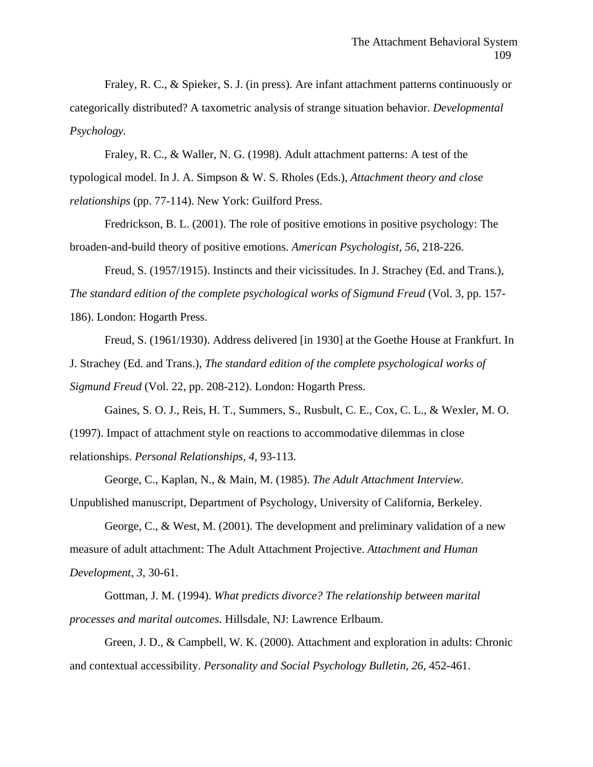Fraley, R. C., & Spieker, S. J. (in press). Are infant attachment patterns continuously or categorically distributed? A taxometric analysis of strange situation behavior. *Developmental Psychology.*

Fraley, R. C., & Waller, N. G. (1998). Adult attachment patterns: A test of the typological model. In J. A. Simpson & W. S. Rholes (Eds.), *Attachment theory and close relationships* (pp. 77-114). New York: Guilford Press.

Fredrickson, B. L. (2001). The role of positive emotions in positive psychology: The broaden-and-build theory of positive emotions. *American Psychologist, 56*, 218-226.

Freud, S. (1957/1915). Instincts and their vicissitudes. In J. Strachey (Ed. and Trans.), *The standard edition of the complete psychological works of Sigmund Freud* (Vol. 3, pp. 157- 186). London: Hogarth Press.

Freud, S. (1961/1930). Address delivered [in 1930] at the Goethe House at Frankfurt. In J. Strachey (Ed. and Trans.), *The standard edition of the complete psychological works of Sigmund Freud* (Vol. 22, pp. 208-212). London: Hogarth Press.

Gaines, S. O. J., Reis, H. T., Summers, S., Rusbult, C. E., Cox, C. L., & Wexler, M. O. (1997). Impact of attachment style on reactions to accommodative dilemmas in close relationships. *Personal Relationships, 4,* 93-113.

George, C., Kaplan, N., & Main, M. (1985). *The Adult Attachment Interview*. Unpublished manuscript, Department of Psychology, University of California, Berkeley.

George, C., & West, M. (2001). The development and preliminary validation of a new measure of adult attachment: The Adult Attachment Projective. *Attachment and Human Development, 3*, 30-61.

Gottman, J. M. (1994). *What predicts divorce? The relationship between marital processes and marital outcomes.* Hillsdale, NJ: Lawrence Erlbaum.

Green, J. D., & Campbell, W. K. (2000). Attachment and exploration in adults: Chronic and contextual accessibility. *Personality and Social Psychology Bulletin, 26*, 452-461.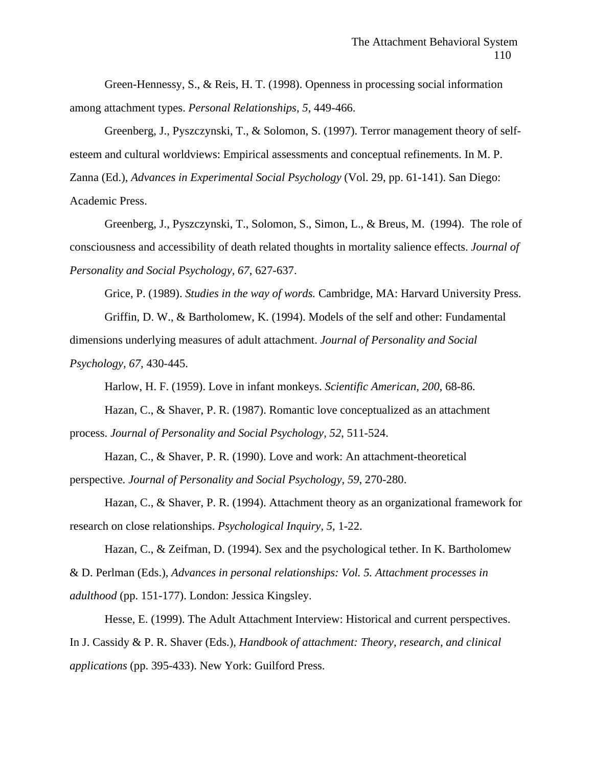Green-Hennessy, S., & Reis, H. T. (1998). Openness in processing social information among attachment types. *Personal Relationships, 5*, 449-466.

Greenberg, J., Pyszczynski, T., & Solomon, S. (1997). Terror management theory of selfesteem and cultural worldviews: Empirical assessments and conceptual refinements. In M. P. Zanna (Ed.), *Advances in Experimental Social Psychology* (Vol. 29, pp. 61-141). San Diego: Academic Press.

Greenberg, J., Pyszczynski, T., Solomon, S., Simon, L., & Breus, M. (1994). The role of consciousness and accessibility of death related thoughts in mortality salience effects. *Journal of Personality and Social Psychology, 67*, 627-637.

Grice, P. (1989). *Studies in the way of words.* Cambridge, MA: Harvard University Press.

Griffin, D. W., & Bartholomew, K. (1994). Models of the self and other: Fundamental dimensions underlying measures of adult attachment. *Journal of Personality and Social Psychology, 67,* 430-445.

Harlow, H. F. (1959). Love in infant monkeys. *Scientific American, 200*, 68-86.

Hazan, C., & Shaver, P. R. (1987). Romantic love conceptualized as an attachment process. *Journal of Personality and Social Psychology, 52*, 511-524.

Hazan, C., & Shaver, P. R. (1990). Love and work: An attachment-theoretical perspective*. Journal of Personality and Social Psychology, 59*, 270-280.

Hazan, C., & Shaver, P. R. (1994). Attachment theory as an organizational framework for research on close relationships. *Psychological Inquiry, 5*, 1-22.

Hazan, C., & Zeifman, D. (1994). Sex and the psychological tether. In K. Bartholomew & D. Perlman (Eds.), *Advances in personal relationships: Vol. 5. Attachment processes in adulthood* (pp. 151-177). London: Jessica Kingsley.

Hesse, E. (1999). The Adult Attachment Interview: Historical and current perspectives. In J. Cassidy & P. R. Shaver (Eds.), *Handbook of attachment: Theory, research, and clinical applications* (pp. 395-433). New York: Guilford Press.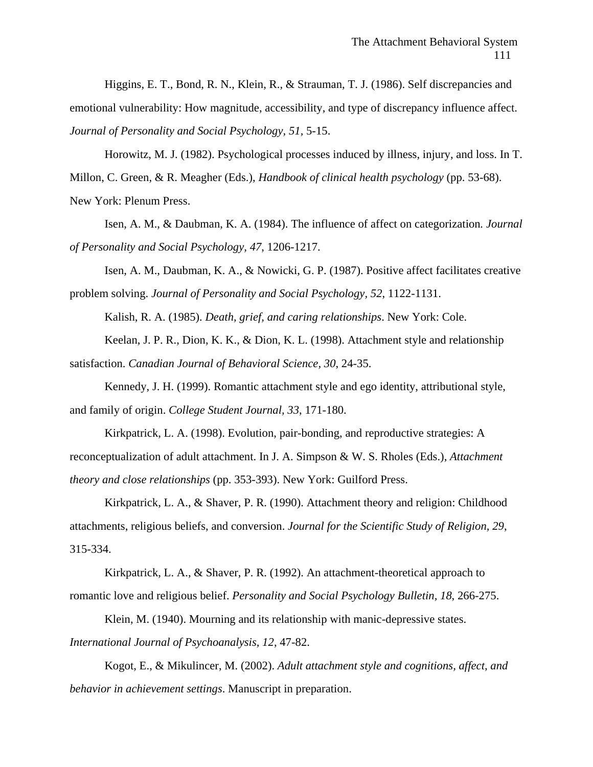Higgins, E. T., Bond, R. N., Klein, R., & Strauman, T. J. (1986). Self discrepancies and emotional vulnerability: How magnitude, accessibility, and type of discrepancy influence affect. *Journal of Personality and Social Psychology, 51,* 5-15.

Horowitz, M. J. (1982). Psychological processes induced by illness, injury, and loss. In T. Millon, C. Green, & R. Meagher (Eds.), *Handbook of clinical health psychology* (pp. 53-68).

New York: Plenum Press.

Isen, A. M., & Daubman, K. A. (1984). The influence of affect on categorization*. Journal of Personality and Social Psychology, 47*, 1206-1217.

Isen, A. M., Daubman, K. A., & Nowicki, G. P. (1987). Positive affect facilitates creative problem solving. *Journal of Personality and Social Psychology, 52*, 1122-1131.

Kalish, R. A. (1985). *Death, grief, and caring relationships*. New York: Cole.

Keelan, J. P. R., Dion, K. K., & Dion, K. L. (1998). Attachment style and relationship satisfaction. *Canadian Journal of Behavioral Science, 30*, 24-35.

Kennedy, J. H. (1999). Romantic attachment style and ego identity, attributional style, and family of origin. *College Student Journal, 33*, 171-180.

Kirkpatrick, L. A. (1998). Evolution, pair-bonding, and reproductive strategies: A reconceptualization of adult attachment. In J. A. Simpson & W. S. Rholes (Eds.), *Attachment theory and close relationships* (pp. 353-393). New York: Guilford Press.

Kirkpatrick, L. A., & Shaver, P. R. (1990). Attachment theory and religion: Childhood attachments, religious beliefs, and conversion. *Journal for the Scientific Study of Religion, 29*, 315-334.

Kirkpatrick, L. A., & Shaver, P. R. (1992). An attachment-theoretical approach to romantic love and religious belief. *Personality and Social Psychology Bulletin, 18*, 266-275.

Klein, M. (1940). Mourning and its relationship with manic-depressive states. *International Journal of Psychoanalysis, 12*, 47-82.

Kogot, E., & Mikulincer, M. (2002). *Adult attachment style and cognitions, affect, and behavior in achievement settings*. Manuscript in preparation.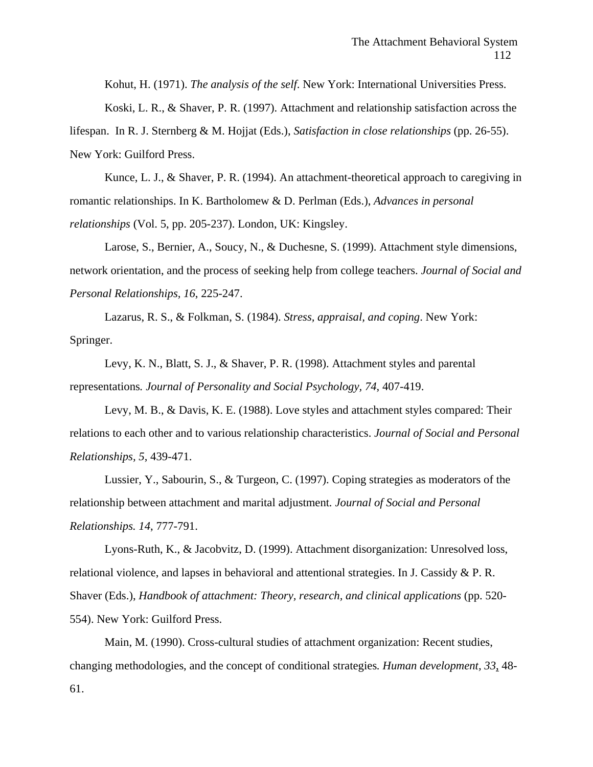Kohut, H. (1971). *The analysis of the self*. New York: International Universities Press.

Koski, L. R., & Shaver, P. R. (1997). Attachment and relationship satisfaction across the lifespan. In R. J. Sternberg & M. Hojjat (Eds.), *Satisfaction in close relationships* (pp. 26-55). New York: Guilford Press.

Kunce, L. J., & Shaver, P. R. (1994). An attachment-theoretical approach to caregiving in romantic relationships. In K. Bartholomew & D. Perlman (Eds.), *Advances in personal relationships* (Vol. 5, pp. 205-237). London, UK: Kingsley.

Larose, S., Bernier, A., Soucy, N., & Duchesne, S. (1999). Attachment style dimensions, network orientation, and the process of seeking help from college teachers. *Journal of Social and Personal Relationships, 16*, 225-247.

Lazarus, R. S., & Folkman, S. (1984). *Stress, appraisal, and coping*. New York: Springer.

Levy, K. N., Blatt, S. J., & Shaver, P. R. (1998). Attachment styles and parental representations*. Journal of Personality and Social Psychology, 74*, 407-419.

Levy, M. B., & Davis, K. E. (1988). Love styles and attachment styles compared: Their relations to each other and to various relationship characteristics. *Journal of Social and Personal Relationships, 5*, 439-471.

Lussier, Y., Sabourin, S., & Turgeon, C. (1997). Coping strategies as moderators of the relationship between attachment and marital adjustment*. Journal of Social and Personal Relationships. 14*, 777-791.

Lyons-Ruth, K., & Jacobvitz, D. (1999). Attachment disorganization: Unresolved loss, relational violence, and lapses in behavioral and attentional strategies. In J. Cassidy & P. R. Shaver (Eds.), *Handbook of attachment: Theory, research, and clinical applications* (pp. 520- 554). New York: Guilford Press.

Main, M. (1990). Cross-cultural studies of attachment organization: Recent studies, changing methodologies, and the concept of conditional strategies*. Human development, 33*, 48- 61.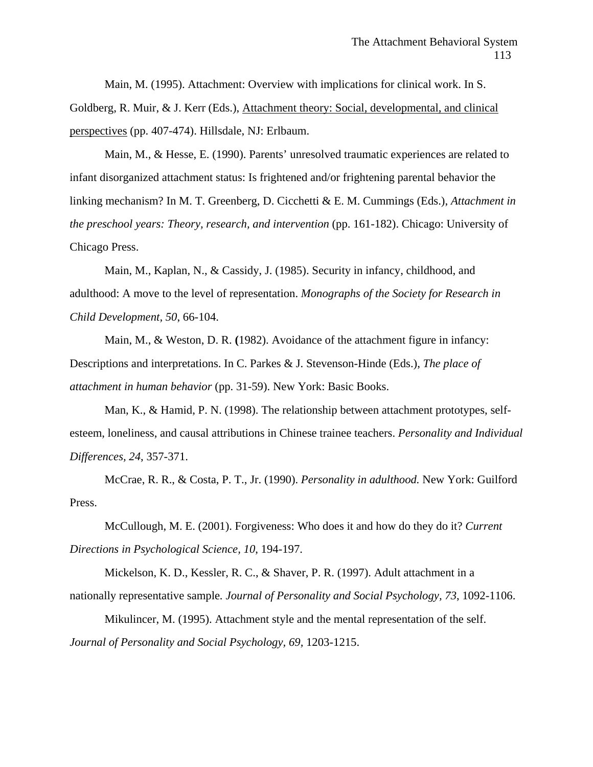Main, M. (1995). Attachment: Overview with implications for clinical work. In S.

Goldberg, R. Muir, & J. Kerr (Eds.), Attachment theory: Social, developmental, and clinical perspectives (pp. 407-474). Hillsdale, NJ: Erlbaum.

Main, M., & Hesse, E. (1990). Parents' unresolved traumatic experiences are related to infant disorganized attachment status: Is frightened and/or frightening parental behavior the linking mechanism? In M. T. Greenberg, D. Cicchetti & E. M. Cummings (Eds.), *Attachment in the preschool years: Theory, research, and intervention* (pp. 161-182). Chicago: University of Chicago Press.

Main, M., Kaplan, N., & Cassidy, J. (1985). Security in infancy, childhood, and adulthood: A move to the level of representation. *Monographs of the Society for Research in Child Development, 50*, 66-104.

Main, M., & Weston, D. R. **(**1982). Avoidance of the attachment figure in infancy: Descriptions and interpretations. In C. Parkes & J. Stevenson-Hinde (Eds.), *The place of attachment in human behavior* (pp. 31-59). New York: Basic Books.

Man, K., & Hamid, P. N. (1998). The relationship between attachment prototypes, selfesteem, loneliness, and causal attributions in Chinese trainee teachers. *Personality and Individual Differences, 24*, 357-371.

McCrae, R. R., & Costa, P. T., Jr. (1990). *Personality in adulthood.* New York: Guilford Press.

McCullough, M. E. (2001). Forgiveness: Who does it and how do they do it? *Current Directions in Psychological Science, 10*, 194-197.

Mickelson, K. D., Kessler, R. C., & Shaver, P. R. (1997). Adult attachment in a nationally representative sample*. Journal of Personality and Social Psychology, 73*, 1092-1106.

Mikulincer, M. (1995). Attachment style and the mental representation of the self. *Journal of Personality and Social Psychology, 69,* 1203-1215.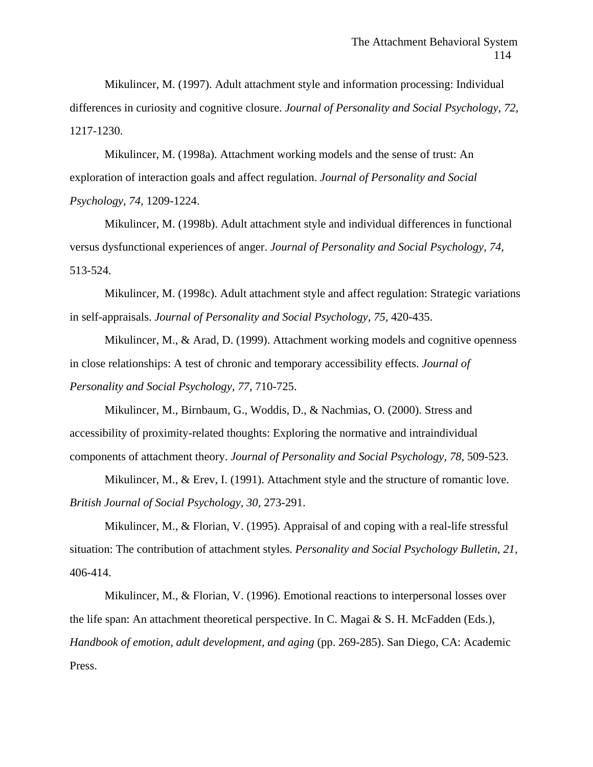Mikulincer, M. (1997). Adult attachment style and information processing: Individual differences in curiosity and cognitive closure. *Journal of Personality and Social Psychology, 72,* 1217-1230.

Mikulincer, M. (1998a). Attachment working models and the sense of trust: An exploration of interaction goals and affect regulation. *Journal of Personality and Social Psychology, 74,* 1209-1224.

Mikulincer, M. (1998b). Adult attachment style and individual differences in functional versus dysfunctional experiences of anger. *Journal of Personality and Social Psychology, 74,* 513-524.

Mikulincer, M. (1998c). Adult attachment style and affect regulation: Strategic variations in self-appraisals. *Journal of Personality and Social Psychology, 75,* 420-435.

Mikulincer, M., & Arad, D. (1999). Attachment working models and cognitive openness in close relationships: A test of chronic and temporary accessibility effects. *Journal of Personality and Social Psychology, 77,* 710-725.

Mikulincer, M., Birnbaum, G., Woddis, D., & Nachmias, O. (2000). Stress and accessibility of proximity-related thoughts: Exploring the normative and intraindividual components of attachment theory. *Journal of Personality and Social Psychology, 78,* 509-523.

Mikulincer, M., & Erev, I. (1991). Attachment style and the structure of romantic love. *British Journal of Social Psychology, 30,* 273-291.

Mikulincer, M., & Florian, V. (1995). Appraisal of and coping with a real-life stressful situation: The contribution of attachment styles. *Personality and Social Psychology Bulletin, 21,* 406-414.

Mikulincer, M., & Florian, V. (1996). Emotional reactions to interpersonal losses over the life span: An attachment theoretical perspective. In C. Magai  $& S. H. McFadden (Eds.),$ *Handbook of emotion, adult development, and aging* (pp. 269-285). San Diego, CA: Academic Press.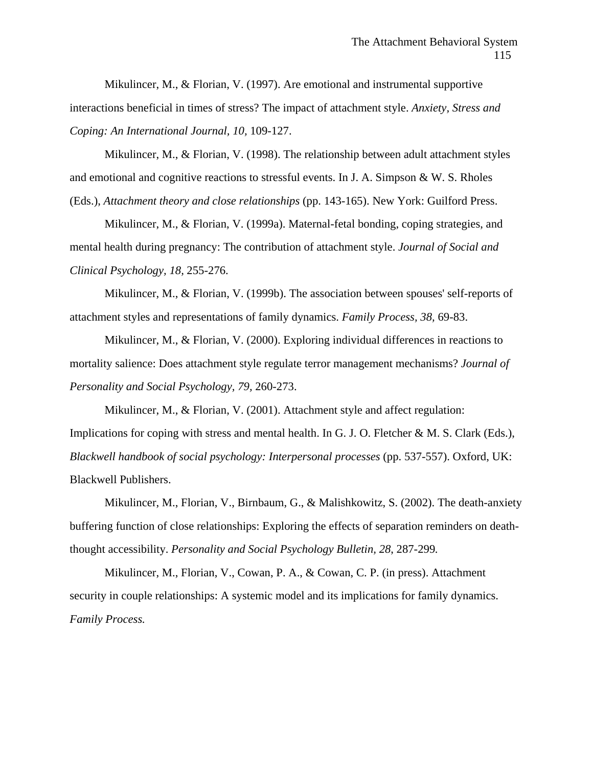Mikulincer, M., & Florian, V. (1997). Are emotional and instrumental supportive interactions beneficial in times of stress? The impact of attachment style. *Anxiety, Stress and Coping: An International Journal, 10,* 109-127.

Mikulincer, M., & Florian, V. (1998). The relationship between adult attachment styles and emotional and cognitive reactions to stressful events. In J. A. Simpson & W. S. Rholes (Eds.), *Attachment theory and close relationships* (pp. 143-165). New York: Guilford Press.

Mikulincer, M., & Florian, V. (1999a). Maternal-fetal bonding, coping strategies, and mental health during pregnancy: The contribution of attachment style. *Journal of Social and Clinical Psychology, 18,* 255-276.

Mikulincer, M., & Florian, V. (1999b). The association between spouses' self-reports of attachment styles and representations of family dynamics. *Family Process, 38,* 69-83.

Mikulincer, M., & Florian, V. (2000). Exploring individual differences in reactions to mortality salience: Does attachment style regulate terror management mechanisms? *Journal of Personality and Social Psychology, 79,* 260-273.

Mikulincer, M., & Florian, V. (2001). Attachment style and affect regulation: Implications for coping with stress and mental health. In G. J. O. Fletcher & M. S. Clark (Eds.), *Blackwell handbook of social psychology: Interpersonal processes* (pp. 537-557). Oxford, UK: Blackwell Publishers.

Mikulincer, M., Florian, V., Birnbaum, G., & Malishkowitz, S. (2002). The death-anxiety buffering function of close relationships: Exploring the effects of separation reminders on deaththought accessibility. *Personality and Social Psychology Bulletin, 28*, 287-299*.* 

Mikulincer, M., Florian, V., Cowan, P. A., & Cowan, C. P. (in press). Attachment security in couple relationships: A systemic model and its implications for family dynamics. *Family Process.*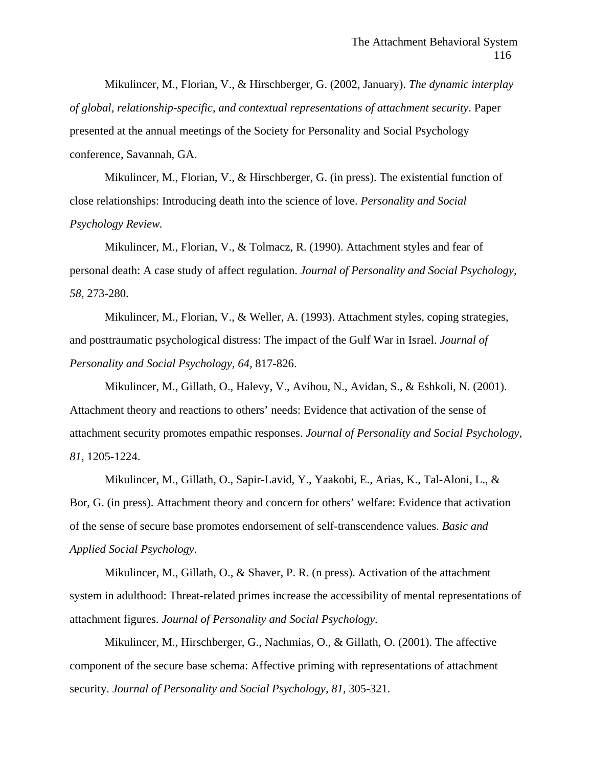Mikulincer, M., Florian, V., & Hirschberger, G. (2002, January). *The dynamic interplay of global, relationship-specific, and contextual representations of attachment security*. Paper presented at the annual meetings of the Society for Personality and Social Psychology conference, Savannah, GA.

Mikulincer, M., Florian, V., & Hirschberger, G. (in press). The existential function of close relationships: Introducing death into the science of love. *Personality and Social Psychology Review.* 

Mikulincer, M., Florian, V., & Tolmacz, R. (1990). Attachment styles and fear of personal death: A case study of affect regulation. *Journal of Personality and Social Psychology, 58,* 273-280.

Mikulincer, M., Florian, V., & Weller, A. (1993). Attachment styles, coping strategies, and posttraumatic psychological distress: The impact of the Gulf War in Israel. *Journal of Personality and Social Psychology, 64,* 817-826.

Mikulincer, M., Gillath, O., Halevy, V., Avihou, N., Avidan, S., & Eshkoli, N. (2001). Attachment theory and reactions to others' needs: Evidence that activation of the sense of attachment security promotes empathic responses. *Journal of Personality and Social Psychology, 81,* 1205-1224.

Mikulincer, M., Gillath, O., Sapir-Lavid, Y., Yaakobi, E., Arias, K., Tal-Aloni, L., & Bor, G. (in press). Attachment theory and concern for others' welfare: Evidence that activation of the sense of secure base promotes endorsement of self-transcendence values. *Basic and Applied Social Psychology.* 

Mikulincer, M., Gillath, O., & Shaver, P. R. (n press). Activation of the attachment system in adulthood: Threat-related primes increase the accessibility of mental representations of attachment figures. *Journal of Personality and Social Psychology.* 

Mikulincer, M., Hirschberger, G., Nachmias, O., & Gillath, O. (2001). The affective component of the secure base schema: Affective priming with representations of attachment security. *Journal of Personality and Social Psychology, 81,* 305-321.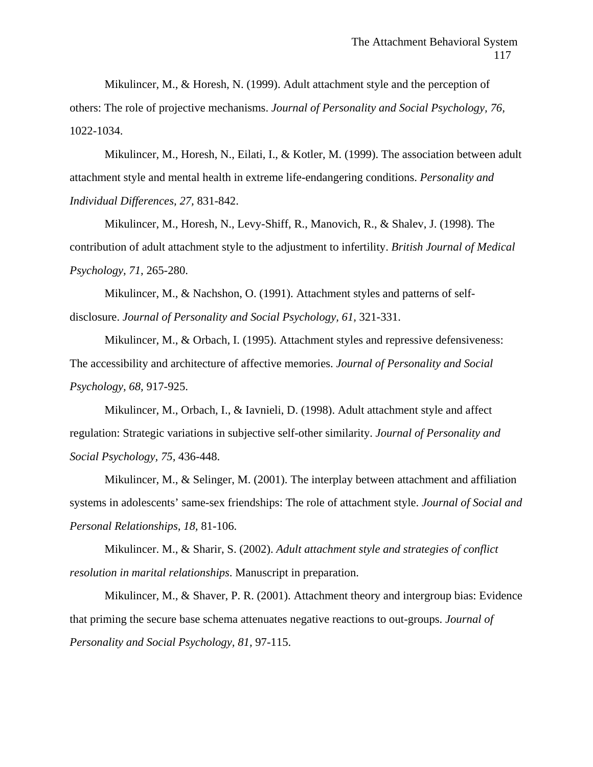Mikulincer, M., & Horesh, N. (1999). Adult attachment style and the perception of others: The role of projective mechanisms. *Journal of Personality and Social Psychology, 76,* 1022-1034.

Mikulincer, M., Horesh, N., Eilati, I., & Kotler, M. (1999). The association between adult attachment style and mental health in extreme life-endangering conditions. *Personality and Individual Differences, 27,* 831-842.

Mikulincer, M., Horesh, N., Levy-Shiff, R., Manovich, R., & Shalev, J. (1998). The contribution of adult attachment style to the adjustment to infertility. *British Journal of Medical Psychology, 71,* 265-280.

Mikulincer, M., & Nachshon, O. (1991). Attachment styles and patterns of selfdisclosure. *Journal of Personality and Social Psychology, 61,* 321-331.

Mikulincer, M., & Orbach, I. (1995). Attachment styles and repressive defensiveness: The accessibility and architecture of affective memories. *Journal of Personality and Social Psychology, 68,* 917-925.

Mikulincer, M., Orbach, I., & Iavnieli, D. (1998). Adult attachment style and affect regulation: Strategic variations in subjective self-other similarity. *Journal of Personality and Social Psychology, 75,* 436-448.

Mikulincer, M., & Selinger, M. (2001). The interplay between attachment and affiliation systems in adolescents' same-sex friendships: The role of attachment style. *Journal of Social and Personal Relationships, 18,* 81-106.

Mikulincer. M., & Sharir, S. (2002). *Adult attachment style and strategies of conflict resolution in marital relationships*. Manuscript in preparation.

Mikulincer, M., & Shaver, P. R. (2001). Attachment theory and intergroup bias: Evidence that priming the secure base schema attenuates negative reactions to out-groups. *Journal of Personality and Social Psychology, 81,* 97-115.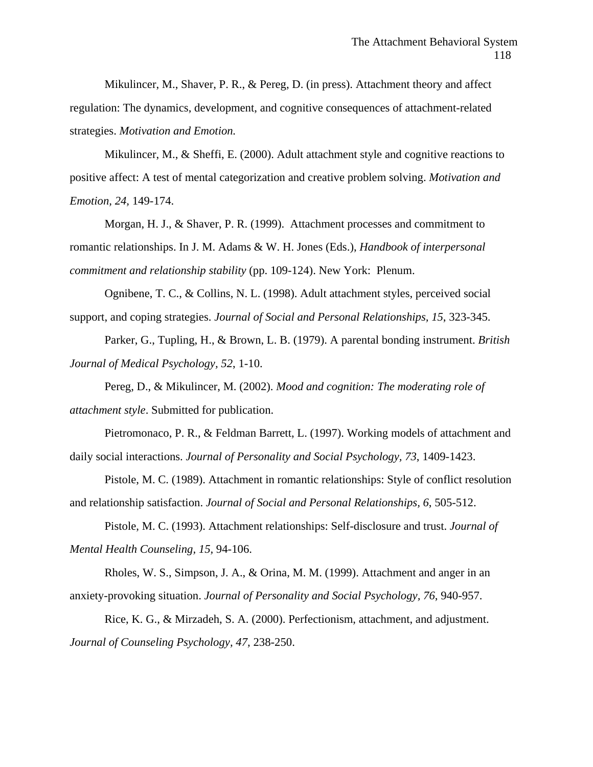Mikulincer, M., Shaver, P. R., & Pereg, D. (in press). Attachment theory and affect regulation: The dynamics, development, and cognitive consequences of attachment-related strategies. *Motivation and Emotion.* 

Mikulincer, M., & Sheffi, E. (2000). Adult attachment style and cognitive reactions to positive affect: A test of mental categorization and creative problem solving. *Motivation and Emotion, 24,* 149-174.

Morgan, H. J., & Shaver, P. R. (1999). Attachment processes and commitment to romantic relationships. In J. M. Adams & W. H. Jones (Eds.), *Handbook of interpersonal commitment and relationship stability* (pp. 109-124). New York: Plenum.

Ognibene, T. C., & Collins, N. L. (1998). Adult attachment styles, perceived social support, and coping strategies. *Journal of Social and Personal Relationships, 15*, 323-345.

Parker, G., Tupling, H., & Brown, L. B. (1979). A parental bonding instrument. *British Journal of Medical Psychology, 52*, 1-10.

Pereg, D., & Mikulincer, M. (2002). *Mood and cognition: The moderating role of attachment style*. Submitted for publication.

Pietromonaco, P. R., & Feldman Barrett, L. (1997). Working models of attachment and daily social interactions. *Journal of Personality and Social Psychology, 73*, 1409-1423.

Pistole, M. C. (1989). Attachment in romantic relationships: Style of conflict resolution and relationship satisfaction. *Journal of Social and Personal Relationships, 6*, 505-512.

Pistole, M. C. (1993). Attachment relationships: Self-disclosure and trust. *Journal of Mental Health Counseling, 15,* 94-106.

Rholes, W. S., Simpson, J. A., & Orina, M. M. (1999). Attachment and anger in an anxiety-provoking situation. *Journal of Personality and Social Psychology, 76*, 940-957.

Rice, K. G., & Mirzadeh, S. A. (2000). Perfectionism, attachment, and adjustment. *Journal of Counseling Psychology, 47,* 238-250.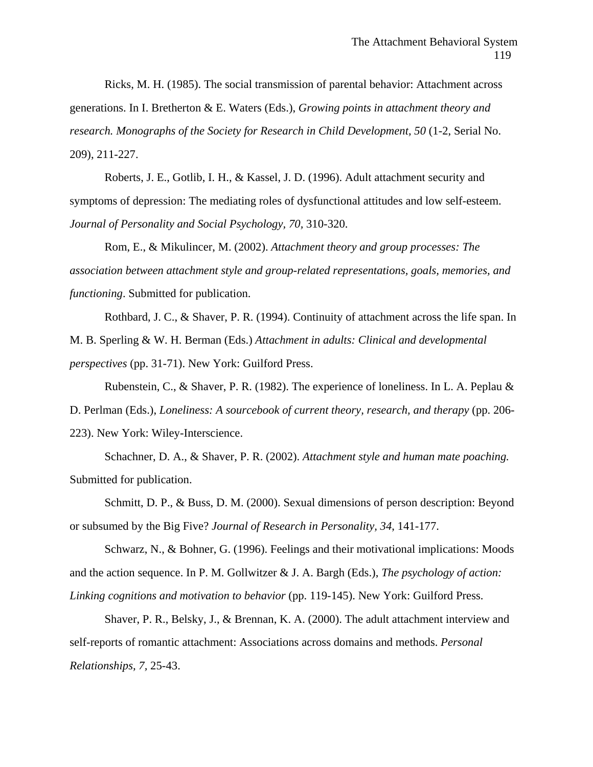Ricks, M. H. (1985). The social transmission of parental behavior: Attachment across generations. In I. Bretherton & E. Waters (Eds.), *Growing points in attachment theory and research. Monographs of the Society for Research in Child Development, 50* (1-2, Serial No. 209), 211-227.

Roberts, J. E., Gotlib, I. H., & Kassel, J. D. (1996). Adult attachment security and symptoms of depression: The mediating roles of dysfunctional attitudes and low self-esteem. *Journal of Personality and Social Psychology, 70,* 310-320.

Rom, E., & Mikulincer, M. (2002). *Attachment theory and group processes: The association between attachment style and group-related representations, goals, memories, and functioning*. Submitted for publication.

Rothbard, J. C., & Shaver, P. R. (1994). Continuity of attachment across the life span. In M. B. Sperling & W. H. Berman (Eds.) *Attachment in adults: Clinical and developmental perspectives* (pp. 31-71). New York: Guilford Press.

Rubenstein, C., & Shaver, P. R. (1982). The experience of loneliness. In L. A. Peplau & D. Perlman (Eds.), *Loneliness: A sourcebook of current theory, research, and therapy* (pp. 206- 223). New York: Wiley-Interscience.

Schachner, D. A., & Shaver, P. R. (2002). *Attachment style and human mate poaching.*  Submitted for publication.

Schmitt, D. P., & Buss, D. M. (2000). Sexual dimensions of person description: Beyond or subsumed by the Big Five? *Journal of Research in Personality, 34*, 141-177.

Schwarz, N., & Bohner, G. (1996). Feelings and their motivational implications: Moods and the action sequence. In P. M. Gollwitzer & J. A. Bargh (Eds.), *The psychology of action: Linking cognitions and motivation to behavior* (pp. 119-145). New York: Guilford Press.

Shaver, P. R., Belsky, J., & Brennan, K. A. (2000). The adult attachment interview and self-reports of romantic attachment: Associations across domains and methods. *Personal Relationships, 7,* 25-43.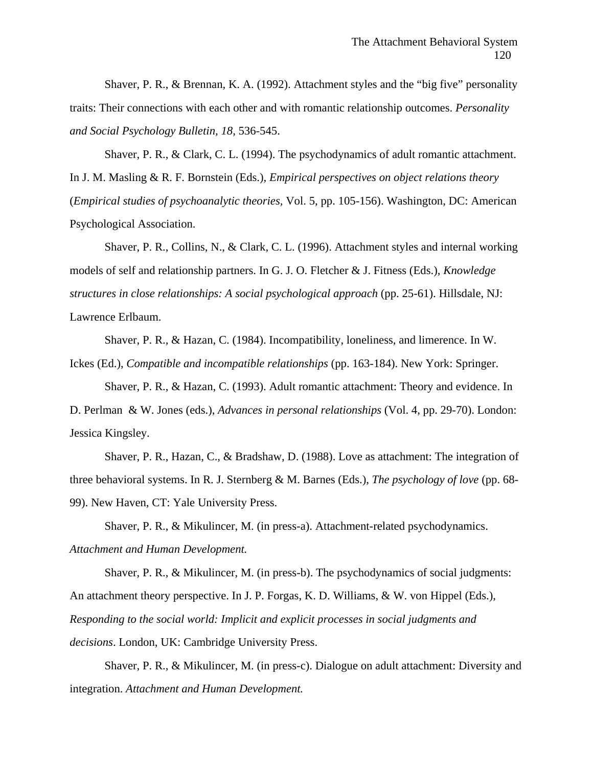Shaver, P. R., & Brennan, K. A. (1992). Attachment styles and the "big five" personality traits: Their connections with each other and with romantic relationship outcomes. *Personality and Social Psychology Bulletin, 18,* 536-545.

Shaver, P. R., & Clark, C. L. (1994). The psychodynamics of adult romantic attachment. In J. M. Masling & R. F. Bornstein (Eds.), *Empirical perspectives on object relations theory*  (*Empirical studies of psychoanalytic theories,* Vol. 5, pp. 105-156). Washington, DC: American Psychological Association.

Shaver, P. R., Collins, N., & Clark, C. L. (1996). Attachment styles and internal working models of self and relationship partners. In G. J. O. Fletcher & J. Fitness (Eds.), *Knowledge structures in close relationships: A social psychological approach* (pp. 25-61). Hillsdale, NJ: Lawrence Erlbaum.

Shaver, P. R., & Hazan, C. (1984). Incompatibility, loneliness, and limerence. In W. Ickes (Ed.), *Compatible and incompatible relationships* (pp. 163-184). New York: Springer.

Shaver, P. R., & Hazan, C. (1993). Adult romantic attachment: Theory and evidence. In D. Perlman & W. Jones (eds.), *Advances in personal relationships* (Vol. 4, pp. 29-70). London: Jessica Kingsley.

Shaver, P. R., Hazan, C., & Bradshaw, D. (1988). Love as attachment: The integration of three behavioral systems. In R. J. Sternberg & M. Barnes (Eds.), *The psychology of love* (pp. 68- 99). New Haven, CT: Yale University Press.

Shaver, P. R., & Mikulincer, M. (in press-a). Attachment-related psychodynamics. *Attachment and Human Development.* 

Shaver, P. R., & Mikulincer, M. (in press-b). The psychodynamics of social judgments: An attachment theory perspective. In J. P. Forgas, K. D. Williams, & W. von Hippel (Eds.), *Responding to the social world: Implicit and explicit processes in social judgments and decisions*. London, UK: Cambridge University Press.

Shaver, P. R., & Mikulincer, M. (in press-c). Dialogue on adult attachment: Diversity and integration. *Attachment and Human Development.*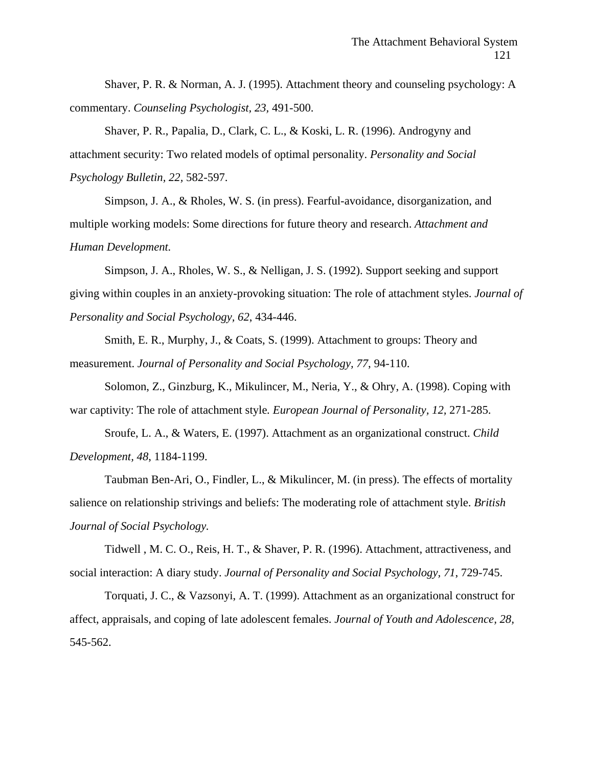Shaver, P. R. & Norman, A. J. (1995). Attachment theory and counseling psychology: A commentary. *Counseling Psychologist, 23,* 491-500.

Shaver, P. R., Papalia, D., Clark, C. L., & Koski, L. R. (1996). Androgyny and attachment security: Two related models of optimal personality. *Personality and Social Psychology Bulletin, 22,* 582-597.

Simpson, J. A., & Rholes, W. S. (in press). Fearful-avoidance, disorganization, and multiple working models: Some directions for future theory and research. *Attachment and Human Development.*

Simpson, J. A., Rholes, W. S., & Nelligan, J. S. (1992). Support seeking and support giving within couples in an anxiety-provoking situation: The role of attachment styles. *Journal of Personality and Social Psychology, 62*, 434-446.

Smith, E. R., Murphy, J., & Coats, S. (1999). Attachment to groups: Theory and measurement. *Journal of Personality and Social Psychology, 77*, 94-110.

Solomon, Z., Ginzburg, K., Mikulincer, M., Neria, Y., & Ohry, A. (1998). Coping with war captivity: The role of attachment style*. European Journal of Personality, 12,* 271-285.

Sroufe, L. A., & Waters, E. (1997). Attachment as an organizational construct. *Child Development, 48*, 1184-1199.

Taubman Ben-Ari, O., Findler, L., & Mikulincer, M. (in press). The effects of mortality salience on relationship strivings and beliefs: The moderating role of attachment style. *British Journal of Social Psychology.*

Tidwell , M. C. O., Reis, H. T., & Shaver, P. R. (1996). Attachment, attractiveness, and social interaction: A diary study. *Journal of Personality and Social Psychology, 71*, 729-745.

Torquati, J. C., & Vazsonyi, A. T. (1999). Attachment as an organizational construct for affect, appraisals, and coping of late adolescent females. *Journal of Youth and Adolescence, 28,* 545-562.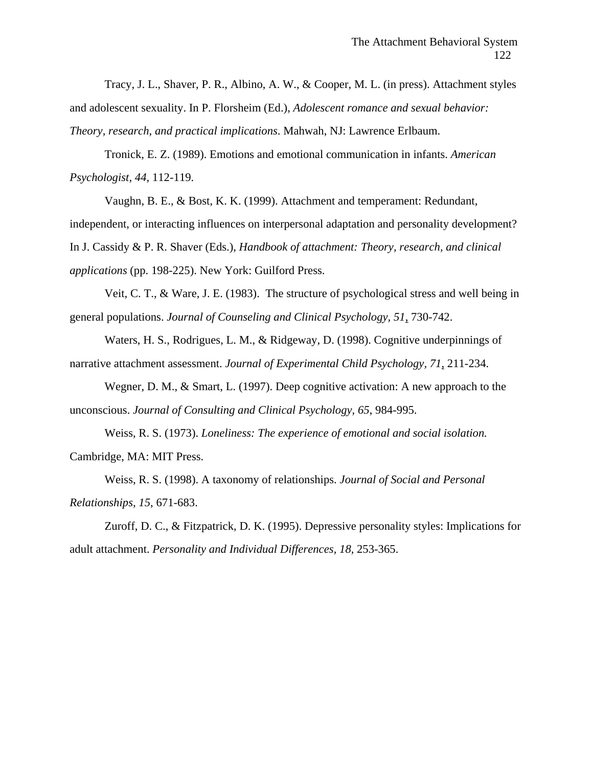Tracy, J. L., Shaver, P. R., Albino, A. W., & Cooper, M. L. (in press). Attachment styles and adolescent sexuality. In P. Florsheim (Ed.), *Adolescent romance and sexual behavior: Theory, research, and practical implications*. Mahwah, NJ: Lawrence Erlbaum.

Tronick, E. Z. (1989). Emotions and emotional communication in infants. *American Psychologist, 44*, 112-119.

Vaughn, B. E., & Bost, K. K. (1999). Attachment and temperament: Redundant, independent, or interacting influences on interpersonal adaptation and personality development? In J. Cassidy & P. R. Shaver (Eds.), *Handbook of attachment: Theory, research, and clinical applications* (pp. 198-225). New York: Guilford Press.

Veit, C. T., & Ware, J. E. (1983). The structure of psychological stress and well being in general populations. *Journal of Counseling and Clinical Psychology, 51*, 730-742.

Waters, H. S., Rodrigues, L. M., & Ridgeway, D. (1998). Cognitive underpinnings of narrative attachment assessment. *Journal of Experimental Child Psychology, 71*, 211-234.

Wegner, D. M., & Smart, L. (1997). Deep cognitive activation: A new approach to the unconscious. *Journal of Consulting and Clinical Psychology, 65*, 984-995.

Weiss, R. S. (1973). *Loneliness: The experience of emotional and social isolation.* Cambridge, MA: MIT Press.

Weiss, R. S. (1998). A taxonomy of relationships. *Journal of Social and Personal Relationships, 15*, 671-683.

Zuroff, D. C., & Fitzpatrick, D. K. (1995). Depressive personality styles: Implications for adult attachment. *Personality and Individual Differences, 18,* 253-365.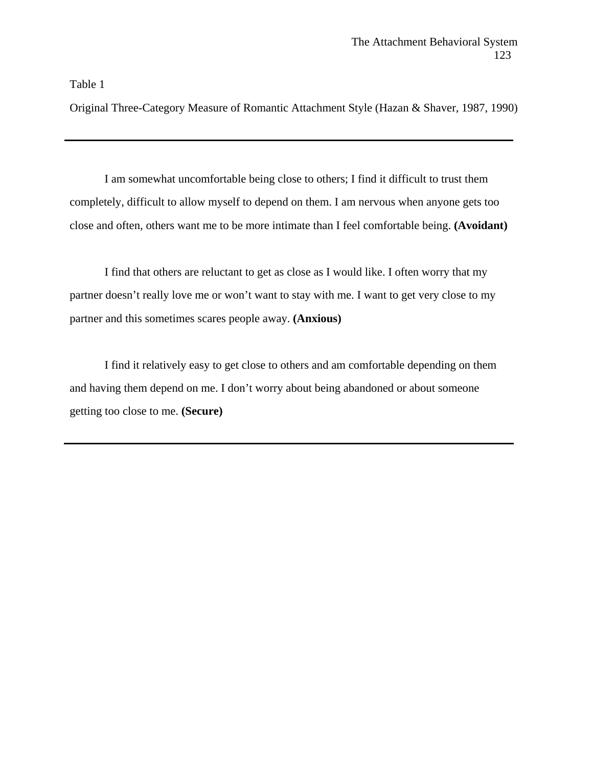Table 1

Original Three-Category Measure of Romantic Attachment Style (Hazan & Shaver, 1987, 1990)

I am somewhat uncomfortable being close to others; I find it difficult to trust them completely, difficult to allow myself to depend on them. I am nervous when anyone gets too close and often, others want me to be more intimate than I feel comfortable being. **(Avoidant)**

I find that others are reluctant to get as close as I would like. I often worry that my partner doesn't really love me or won't want to stay with me. I want to get very close to my partner and this sometimes scares people away. **(Anxious)** 

I find it relatively easy to get close to others and am comfortable depending on them and having them depend on me. I don't worry about being abandoned or about someone getting too close to me. **(Secure)**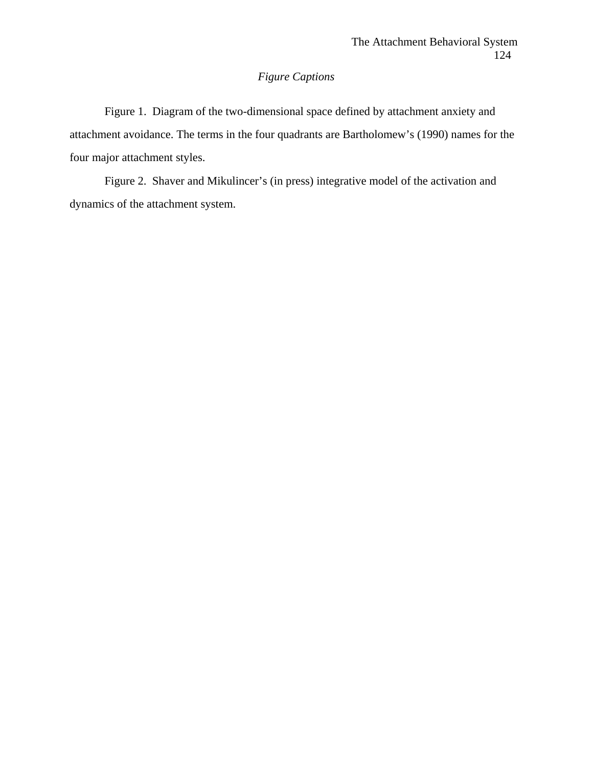## *Figure Captions*

Figure 1. Diagram of the two-dimensional space defined by attachment anxiety and attachment avoidance. The terms in the four quadrants are Bartholomew's (1990) names for the four major attachment styles.

Figure 2. Shaver and Mikulincer's (in press) integrative model of the activation and dynamics of the attachment system.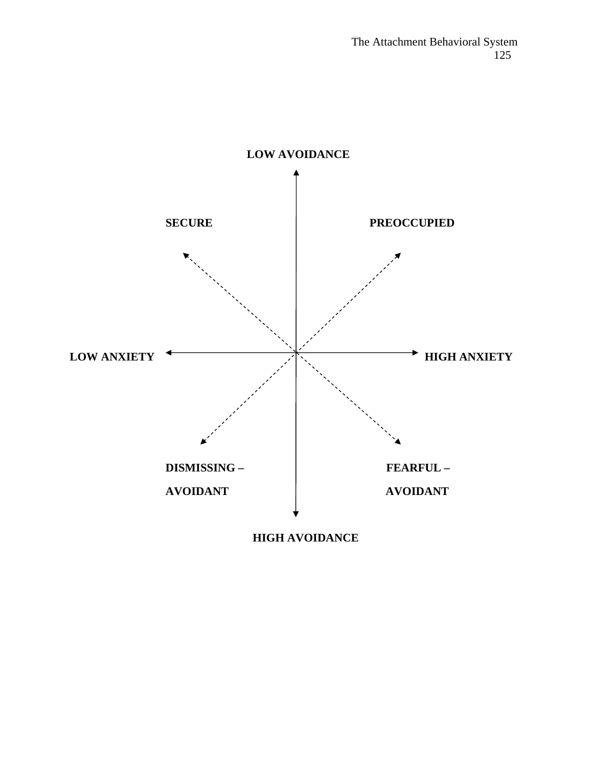

 **HIGH AVOIDANCE**